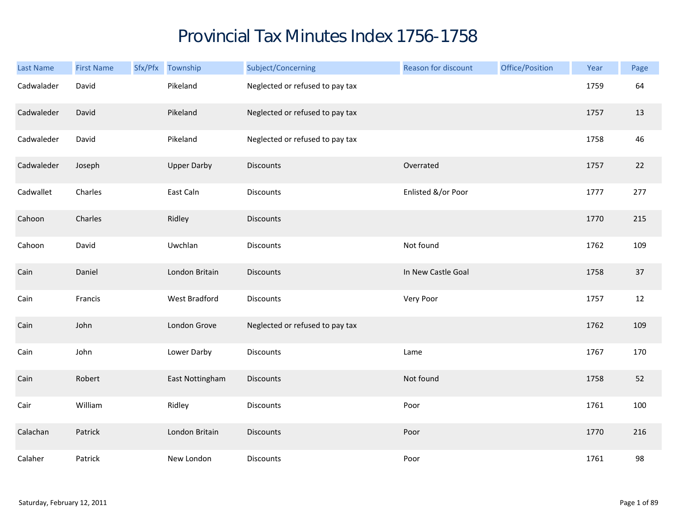## Provincial Tax Minutes Index 1756-1758

| Last Name  | <b>First Name</b> | Sfx/Pfx Township   | Subject/Concerning              | Reason for discount | Office/Position | Year | Page |
|------------|-------------------|--------------------|---------------------------------|---------------------|-----------------|------|------|
| Cadwalader | David             | Pikeland           | Neglected or refused to pay tax |                     |                 | 1759 | 64   |
| Cadwaleder | David             | Pikeland           | Neglected or refused to pay tax |                     |                 | 1757 | 13   |
| Cadwaleder | David             | Pikeland           | Neglected or refused to pay tax |                     |                 | 1758 | 46   |
| Cadwaleder | Joseph            | <b>Upper Darby</b> | <b>Discounts</b>                | Overrated           |                 | 1757 | 22   |
| Cadwallet  | Charles           | East Caln          | Discounts                       | Enlisted &/or Poor  |                 | 1777 | 277  |
| Cahoon     | Charles           | Ridley             | Discounts                       |                     |                 | 1770 | 215  |
| Cahoon     | David             | Uwchlan            | Discounts                       | Not found           |                 | 1762 | 109  |
| Cain       | Daniel            | London Britain     | <b>Discounts</b>                | In New Castle Goal  |                 | 1758 | 37   |
| Cain       | Francis           | West Bradford      | Discounts                       | Very Poor           |                 | 1757 | 12   |
| Cain       | John              | London Grove       | Neglected or refused to pay tax |                     |                 | 1762 | 109  |
| Cain       | John              | Lower Darby        | Discounts                       | Lame                |                 | 1767 | 170  |
| Cain       | Robert            | East Nottingham    | <b>Discounts</b>                | Not found           |                 | 1758 | 52   |
| Cair       | William           | Ridley             | Discounts                       | Poor                |                 | 1761 | 100  |
| Calachan   | Patrick           | London Britain     | <b>Discounts</b>                | Poor                |                 | 1770 | 216  |
| Calaher    | Patrick           | New London         | Discounts                       | Poor                |                 | 1761 | 98   |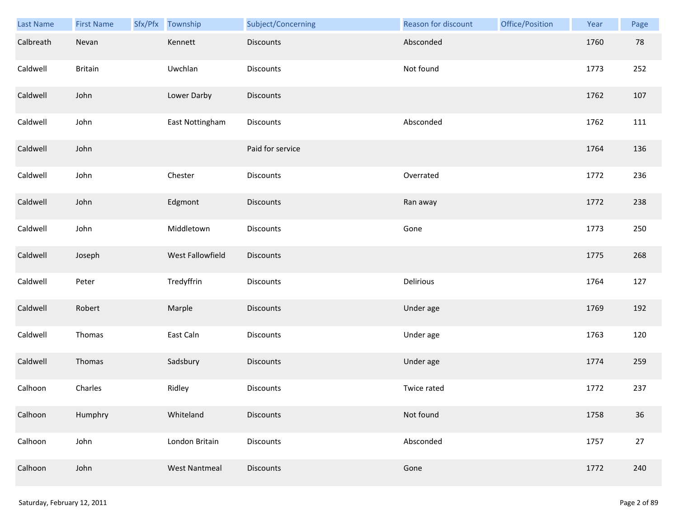| Last Name | <b>First Name</b> | Sfx/Pfx Township     | Subject/Concerning | Reason for discount | Office/Position | Year | Page |
|-----------|-------------------|----------------------|--------------------|---------------------|-----------------|------|------|
| Calbreath | Nevan             | Kennett              | Discounts          | Absconded           |                 | 1760 | 78   |
| Caldwell  | <b>Britain</b>    | Uwchlan              | Discounts          | Not found           |                 | 1773 | 252  |
| Caldwell  | John              | Lower Darby          | Discounts          |                     |                 | 1762 | 107  |
| Caldwell  | John              | East Nottingham      | Discounts          | Absconded           |                 | 1762 | 111  |
| Caldwell  | John              |                      | Paid for service   |                     |                 | 1764 | 136  |
| Caldwell  | John              | Chester              | Discounts          | Overrated           |                 | 1772 | 236  |
| Caldwell  | John              | Edgmont              | Discounts          | Ran away            |                 | 1772 | 238  |
| Caldwell  | John              | Middletown           | Discounts          | Gone                |                 | 1773 | 250  |
| Caldwell  | Joseph            | West Fallowfield     | <b>Discounts</b>   |                     |                 | 1775 | 268  |
| Caldwell  | Peter             | Tredyffrin           | Discounts          | Delirious           |                 | 1764 | 127  |
| Caldwell  | Robert            | Marple               | Discounts          | Under age           |                 | 1769 | 192  |
| Caldwell  | Thomas            | East Caln            | Discounts          | Under age           |                 | 1763 | 120  |
| Caldwell  | Thomas            | Sadsbury             | Discounts          | Under age           |                 | 1774 | 259  |
| Calhoon   | Charles           | Ridley               | Discounts          | Twice rated         |                 | 1772 | 237  |
| Calhoon   | Humphry           | Whiteland            | <b>Discounts</b>   | Not found           |                 | 1758 | 36   |
| Calhoon   | John              | London Britain       | Discounts          | Absconded           |                 | 1757 | 27   |
| Calhoon   | John              | <b>West Nantmeal</b> | Discounts          | Gone                |                 | 1772 | 240  |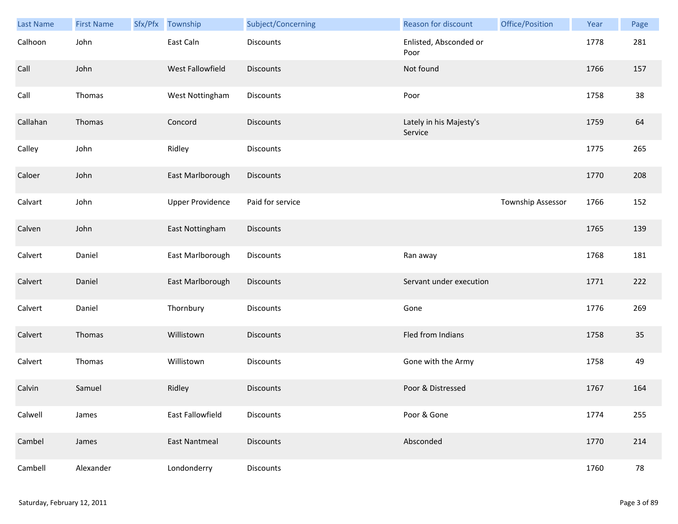| <b>Last Name</b> | <b>First Name</b> | Sfx/Pfx | Township                | Subject/Concerning | Reason for discount                | Office/Position   | Year | Page |
|------------------|-------------------|---------|-------------------------|--------------------|------------------------------------|-------------------|------|------|
| Calhoon          | John              |         | East Caln               | <b>Discounts</b>   | Enlisted, Absconded or<br>Poor     |                   | 1778 | 281  |
| Call             | John              |         | West Fallowfield        | <b>Discounts</b>   | Not found                          |                   | 1766 | 157  |
| Call             | Thomas            |         | West Nottingham         | Discounts          | Poor                               |                   | 1758 | 38   |
| Callahan         | Thomas            |         | Concord                 | <b>Discounts</b>   | Lately in his Majesty's<br>Service |                   | 1759 | 64   |
| Calley           | John              |         | Ridley                  | Discounts          |                                    |                   | 1775 | 265  |
| Caloer           | John              |         | East Marlborough        | <b>Discounts</b>   |                                    |                   | 1770 | 208  |
| Calvart          | John              |         | <b>Upper Providence</b> | Paid for service   |                                    | Township Assessor | 1766 | 152  |
| Calven           | John              |         | East Nottingham         | Discounts          |                                    |                   | 1765 | 139  |
| Calvert          | Daniel            |         | East Marlborough        | <b>Discounts</b>   | Ran away                           |                   | 1768 | 181  |
| Calvert          | Daniel            |         | East Marlborough        | <b>Discounts</b>   | Servant under execution            |                   | 1771 | 222  |
| Calvert          | Daniel            |         | Thornbury               | Discounts          | Gone                               |                   | 1776 | 269  |
| Calvert          | Thomas            |         | Willistown              | <b>Discounts</b>   | Fled from Indians                  |                   | 1758 | 35   |
| Calvert          | Thomas            |         | Willistown              | Discounts          | Gone with the Army                 |                   | 1758 | 49   |
| Calvin           | Samuel            |         | Ridley                  | <b>Discounts</b>   | Poor & Distressed                  |                   | 1767 | 164  |
| Calwell          | James             |         | East Fallowfield        | Discounts          | Poor & Gone                        |                   | 1774 | 255  |
| Cambel           | James             |         | <b>East Nantmeal</b>    | Discounts          | Absconded                          |                   | 1770 | 214  |
| Cambell          | Alexander         |         | Londonderry             | Discounts          |                                    |                   | 1760 | 78   |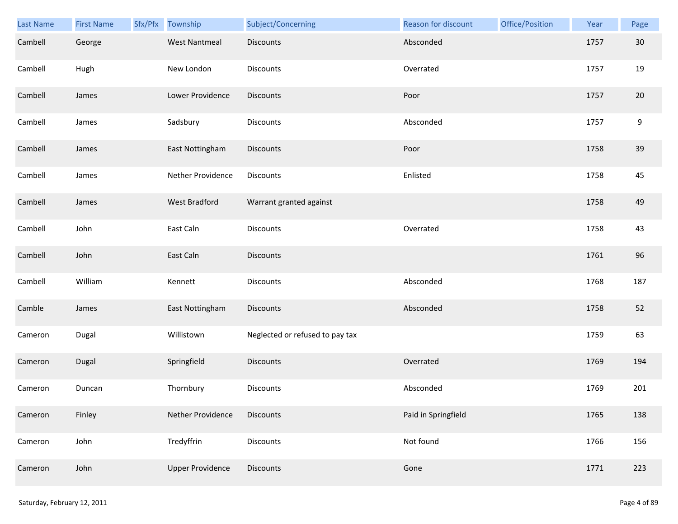| Last Name | <b>First Name</b> | Sfx/Pfx | Township                | Subject/Concerning              | Reason for discount | Office/Position | Year | Page |
|-----------|-------------------|---------|-------------------------|---------------------------------|---------------------|-----------------|------|------|
| Cambell   | George            |         | <b>West Nantmeal</b>    | <b>Discounts</b>                | Absconded           |                 | 1757 | 30   |
| Cambell   | Hugh              |         | New London              | <b>Discounts</b>                | Overrated           |                 | 1757 | 19   |
| Cambell   | James             |         | Lower Providence        | <b>Discounts</b>                | Poor                |                 | 1757 | 20   |
| Cambell   | James             |         | Sadsbury                | Discounts                       | Absconded           |                 | 1757 | 9    |
| Cambell   | James             |         | East Nottingham         | Discounts                       | Poor                |                 | 1758 | 39   |
| Cambell   | James             |         | Nether Providence       | Discounts                       | Enlisted            |                 | 1758 | 45   |
| Cambell   | James             |         | West Bradford           | Warrant granted against         |                     |                 | 1758 | 49   |
| Cambell   | John              |         | East Caln               | Discounts                       | Overrated           |                 | 1758 | 43   |
| Cambell   | John              |         | East Caln               | <b>Discounts</b>                |                     |                 | 1761 | 96   |
| Cambell   | William           |         | Kennett                 | Discounts                       | Absconded           |                 | 1768 | 187  |
| Camble    | James             |         | East Nottingham         | <b>Discounts</b>                | Absconded           |                 | 1758 | 52   |
| Cameron   | Dugal             |         | Willistown              | Neglected or refused to pay tax |                     |                 | 1759 | 63   |
| Cameron   | <b>Dugal</b>      |         | Springfield             | Discounts                       | Overrated           |                 | 1769 | 194  |
| Cameron   | Duncan            |         | Thornbury               | <b>Discounts</b>                | Absconded           |                 | 1769 | 201  |
| Cameron   | Finley            |         | Nether Providence       | <b>Discounts</b>                | Paid in Springfield |                 | 1765 | 138  |
| Cameron   | John              |         | Tredyffrin              | <b>Discounts</b>                | Not found           |                 | 1766 | 156  |
| Cameron   | John              |         | <b>Upper Providence</b> | Discounts                       | Gone                |                 | 1771 | 223  |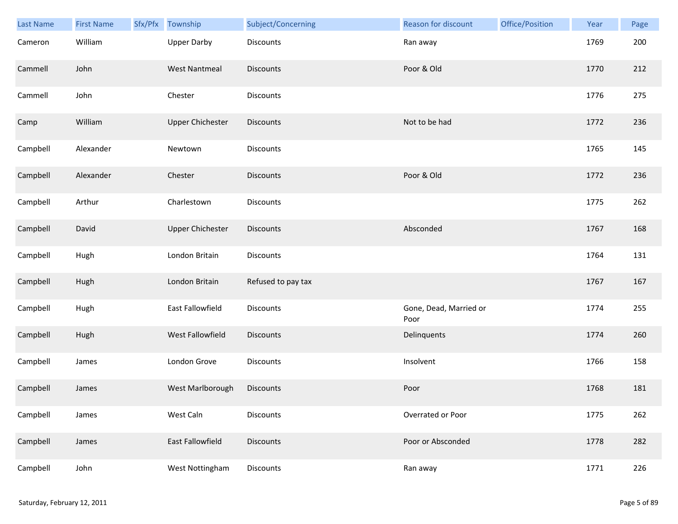| Last Name | <b>First Name</b> | Sfx/Pfx | Township                | Subject/Concerning | Reason for discount            | Office/Position | Year | Page |
|-----------|-------------------|---------|-------------------------|--------------------|--------------------------------|-----------------|------|------|
| Cameron   | William           |         | <b>Upper Darby</b>      | Discounts          | Ran away                       |                 | 1769 | 200  |
| Cammell   | John              |         | <b>West Nantmeal</b>    | <b>Discounts</b>   | Poor & Old                     |                 | 1770 | 212  |
| Cammell   | John              |         | Chester                 | Discounts          |                                |                 | 1776 | 275  |
| Camp      | William           |         | <b>Upper Chichester</b> | <b>Discounts</b>   | Not to be had                  |                 | 1772 | 236  |
| Campbell  | Alexander         |         | Newtown                 | Discounts          |                                |                 | 1765 | 145  |
| Campbell  | Alexander         |         | Chester                 | <b>Discounts</b>   | Poor & Old                     |                 | 1772 | 236  |
| Campbell  | Arthur            |         | Charlestown             | Discounts          |                                |                 | 1775 | 262  |
| Campbell  | David             |         | <b>Upper Chichester</b> | Discounts          | Absconded                      |                 | 1767 | 168  |
| Campbell  | Hugh              |         | London Britain          | <b>Discounts</b>   |                                |                 | 1764 | 131  |
| Campbell  | Hugh              |         | London Britain          | Refused to pay tax |                                |                 | 1767 | 167  |
| Campbell  | Hugh              |         | East Fallowfield        | Discounts          | Gone, Dead, Married or<br>Poor |                 | 1774 | 255  |
| Campbell  | Hugh              |         | West Fallowfield        | <b>Discounts</b>   | Delinquents                    |                 | 1774 | 260  |
| Campbell  | James             |         | London Grove            | Discounts          | Insolvent                      |                 | 1766 | 158  |
| Campbell  | James             |         | West Marlborough        | <b>Discounts</b>   | Poor                           |                 | 1768 | 181  |
| Campbell  | James             |         | West Caln               | Discounts          | Overrated or Poor              |                 | 1775 | 262  |
| Campbell  | James             |         | East Fallowfield        | <b>Discounts</b>   | Poor or Absconded              |                 | 1778 | 282  |
| Campbell  | John              |         | West Nottingham         | <b>Discounts</b>   | Ran away                       |                 | 1771 | 226  |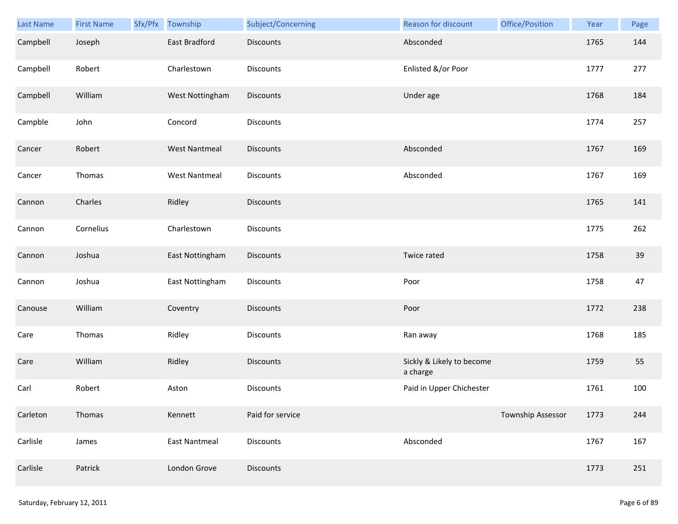| Last Name | <b>First Name</b> | Sfx/Pfx Township     | Subject/Concerning | Reason for discount                   | Office/Position          | Year | Page |
|-----------|-------------------|----------------------|--------------------|---------------------------------------|--------------------------|------|------|
| Campbell  | Joseph            | East Bradford        | <b>Discounts</b>   | Absconded                             |                          | 1765 | 144  |
| Campbell  | Robert            | Charlestown          | <b>Discounts</b>   | Enlisted &/or Poor                    |                          | 1777 | 277  |
| Campbell  | William           | West Nottingham      | Discounts          | Under age                             |                          | 1768 | 184  |
| Campble   | John              | Concord              | <b>Discounts</b>   |                                       |                          | 1774 | 257  |
| Cancer    | Robert            | <b>West Nantmeal</b> | <b>Discounts</b>   | Absconded                             |                          | 1767 | 169  |
| Cancer    | Thomas            | <b>West Nantmeal</b> | <b>Discounts</b>   | Absconded                             |                          | 1767 | 169  |
| Cannon    | Charles           | Ridley               | Discounts          |                                       |                          | 1765 | 141  |
| Cannon    | Cornelius         | Charlestown          | Discounts          |                                       |                          | 1775 | 262  |
| Cannon    | Joshua            | East Nottingham      | <b>Discounts</b>   | Twice rated                           |                          | 1758 | 39   |
| Cannon    | Joshua            | East Nottingham      | <b>Discounts</b>   | Poor                                  |                          | 1758 | 47   |
| Canouse   | William           | Coventry             | <b>Discounts</b>   | Poor                                  |                          | 1772 | 238  |
| Care      | Thomas            | Ridley               | <b>Discounts</b>   | Ran away                              |                          | 1768 | 185  |
| Care      | William           | Ridley               | <b>Discounts</b>   | Sickly & Likely to become<br>a charge |                          | 1759 | 55   |
| Carl      | Robert            | Aston                | <b>Discounts</b>   | Paid in Upper Chichester              |                          | 1761 | 100  |
| Carleton  | Thomas            | Kennett              | Paid for service   |                                       | <b>Township Assessor</b> | 1773 | 244  |
| Carlisle  | James             | East Nantmeal        | Discounts          | Absconded                             |                          | 1767 | 167  |
| Carlisle  | Patrick           | London Grove         | <b>Discounts</b>   |                                       |                          | 1773 | 251  |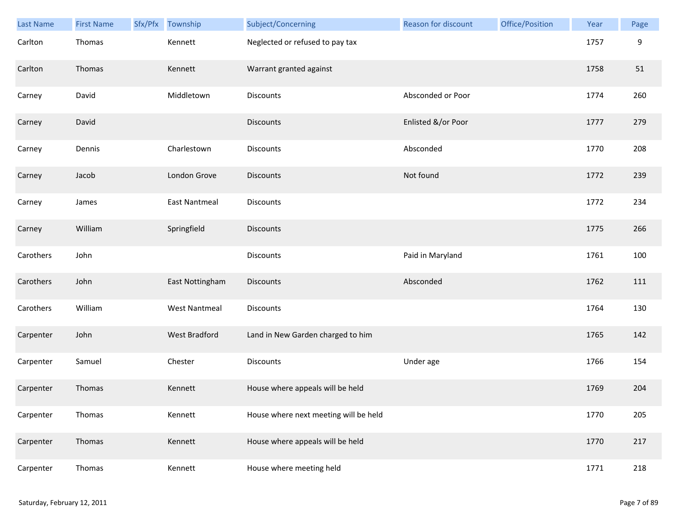| Last Name | <b>First Name</b> | Sfx/Pfx | Township             | Subject/Concerning                    | Reason for discount | Office/Position | Year | Page |
|-----------|-------------------|---------|----------------------|---------------------------------------|---------------------|-----------------|------|------|
| Carlton   | Thomas            |         | Kennett              | Neglected or refused to pay tax       |                     |                 | 1757 | 9    |
| Carlton   | Thomas            |         | Kennett              | Warrant granted against               |                     |                 | 1758 | 51   |
| Carney    | David             |         | Middletown           | Discounts                             | Absconded or Poor   |                 | 1774 | 260  |
| Carney    | David             |         |                      | <b>Discounts</b>                      | Enlisted &/or Poor  |                 | 1777 | 279  |
| Carney    | Dennis            |         | Charlestown          | Discounts                             | Absconded           |                 | 1770 | 208  |
| Carney    | Jacob             |         | London Grove         | <b>Discounts</b>                      | Not found           |                 | 1772 | 239  |
| Carney    | James             |         | <b>East Nantmeal</b> | Discounts                             |                     |                 | 1772 | 234  |
| Carney    | William           |         | Springfield          | <b>Discounts</b>                      |                     |                 | 1775 | 266  |
| Carothers | John              |         |                      | <b>Discounts</b>                      | Paid in Maryland    |                 | 1761 | 100  |
| Carothers | John              |         | East Nottingham      | <b>Discounts</b>                      | Absconded           |                 | 1762 | 111  |
| Carothers | William           |         | <b>West Nantmeal</b> | Discounts                             |                     |                 | 1764 | 130  |
| Carpenter | John              |         | West Bradford        | Land in New Garden charged to him     |                     |                 | 1765 | 142  |
| Carpenter | Samuel            |         | Chester              | Discounts                             | Under age           |                 | 1766 | 154  |
| Carpenter | Thomas            |         | Kennett              | House where appeals will be held      |                     |                 | 1769 | 204  |
| Carpenter | Thomas            |         | Kennett              | House where next meeting will be held |                     |                 | 1770 | 205  |
| Carpenter | Thomas            |         | Kennett              | House where appeals will be held      |                     |                 | 1770 | 217  |
| Carpenter | Thomas            |         | Kennett              | House where meeting held              |                     |                 | 1771 | 218  |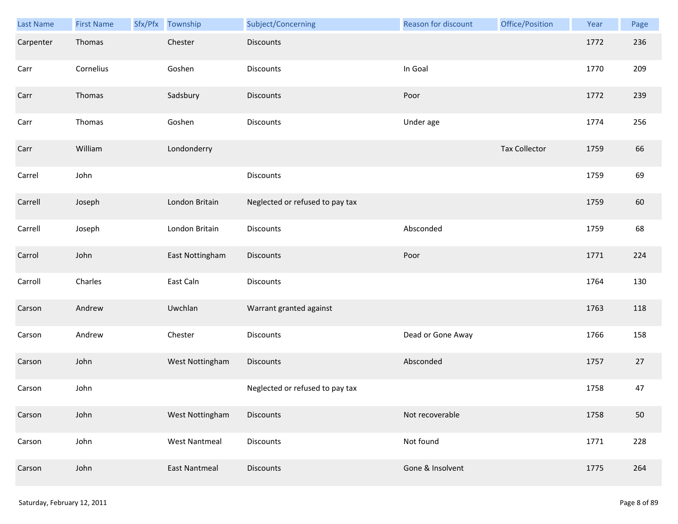| Last Name | <b>First Name</b> | Sfx/Pfx Township     | Subject/Concerning              | <b>Reason for discount</b> | Office/Position      | Year | Page |
|-----------|-------------------|----------------------|---------------------------------|----------------------------|----------------------|------|------|
| Carpenter | Thomas            | Chester              | <b>Discounts</b>                |                            |                      | 1772 | 236  |
| Carr      | Cornelius         | Goshen               | Discounts                       | In Goal                    |                      | 1770 | 209  |
| Carr      | Thomas            | Sadsbury             | <b>Discounts</b>                | Poor                       |                      | 1772 | 239  |
| Carr      | Thomas            | Goshen               | Discounts                       | Under age                  |                      | 1774 | 256  |
| Carr      | William           | Londonderry          |                                 |                            | <b>Tax Collector</b> | 1759 | 66   |
| Carrel    | John              |                      | Discounts                       |                            |                      | 1759 | 69   |
| Carrell   | Joseph            | London Britain       | Neglected or refused to pay tax |                            |                      | 1759 | 60   |
| Carrell   | Joseph            | London Britain       | Discounts                       | Absconded                  |                      | 1759 | 68   |
| Carrol    | John              | East Nottingham      | <b>Discounts</b>                | Poor                       |                      | 1771 | 224  |
| Carroll   | Charles           | East Caln            | Discounts                       |                            |                      | 1764 | 130  |
| Carson    | Andrew            | Uwchlan              | Warrant granted against         |                            |                      | 1763 | 118  |
| Carson    | Andrew            | Chester              | Discounts                       | Dead or Gone Away          |                      | 1766 | 158  |
| Carson    | John              | West Nottingham      | Discounts                       | Absconded                  |                      | 1757 | 27   |
| Carson    | John              |                      | Neglected or refused to pay tax |                            |                      | 1758 | 47   |
| Carson    | John              | West Nottingham      | <b>Discounts</b>                | Not recoverable            |                      | 1758 | 50   |
| Carson    | John              | <b>West Nantmeal</b> | Discounts                       | Not found                  |                      | 1771 | 228  |
| Carson    | John              | <b>East Nantmeal</b> | Discounts                       | Gone & Insolvent           |                      | 1775 | 264  |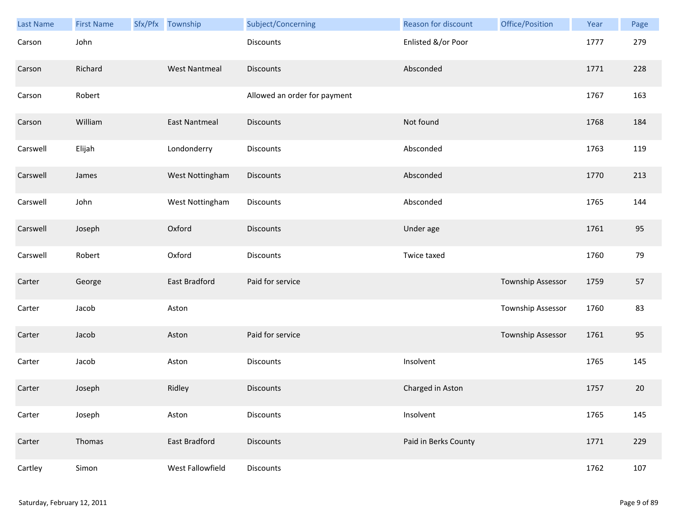| Last Name | <b>First Name</b> | Sfx/Pfx Township     | Subject/Concerning           | Reason for discount  | Office/Position   | Year | Page |
|-----------|-------------------|----------------------|------------------------------|----------------------|-------------------|------|------|
| Carson    | John              |                      | <b>Discounts</b>             | Enlisted &/or Poor   |                   | 1777 | 279  |
| Carson    | Richard           | <b>West Nantmeal</b> | <b>Discounts</b>             | Absconded            |                   | 1771 | 228  |
| Carson    | Robert            |                      | Allowed an order for payment |                      |                   | 1767 | 163  |
| Carson    | William           | <b>East Nantmeal</b> | <b>Discounts</b>             | Not found            |                   | 1768 | 184  |
| Carswell  | Elijah            | Londonderry          | Discounts                    | Absconded            |                   | 1763 | 119  |
| Carswell  | James             | West Nottingham      | Discounts                    | Absconded            |                   | 1770 | 213  |
| Carswell  | John              | West Nottingham      | Discounts                    | Absconded            |                   | 1765 | 144  |
| Carswell  | Joseph            | Oxford               | <b>Discounts</b>             | Under age            |                   | 1761 | 95   |
| Carswell  | Robert            | Oxford               | <b>Discounts</b>             | Twice taxed          |                   | 1760 | 79   |
| Carter    | George            | East Bradford        | Paid for service             |                      | Township Assessor | 1759 | 57   |
| Carter    | Jacob             | Aston                |                              |                      | Township Assessor | 1760 | 83   |
| Carter    | Jacob             | Aston                | Paid for service             |                      | Township Assessor | 1761 | 95   |
| Carter    | Jacob             | Aston                | Discounts                    | Insolvent            |                   | 1765 | 145  |
| Carter    | Joseph            | Ridley               | <b>Discounts</b>             | Charged in Aston     |                   | 1757 | 20   |
| Carter    | Joseph            | Aston                | Discounts                    | Insolvent            |                   | 1765 | 145  |
| Carter    | Thomas            | East Bradford        | Discounts                    | Paid in Berks County |                   | 1771 | 229  |
| Cartley   | Simon             | West Fallowfield     | Discounts                    |                      |                   | 1762 | 107  |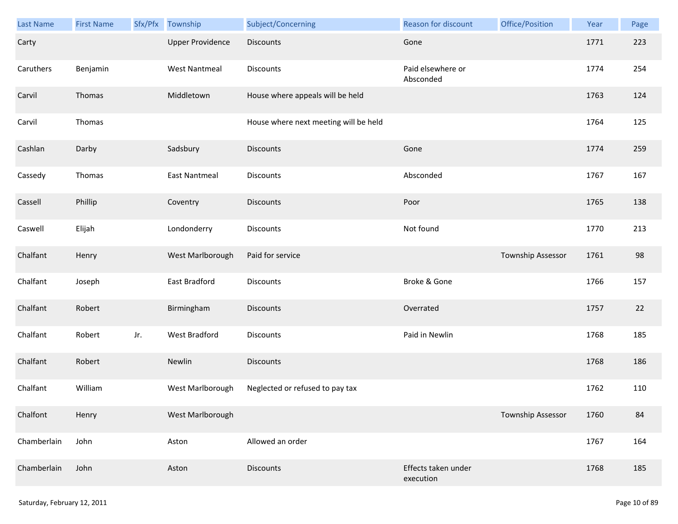| Last Name   | <b>First Name</b> | Sfx/Pfx | Township                | Subject/Concerning                    | Reason for discount              | Office/Position          | Year | Page |
|-------------|-------------------|---------|-------------------------|---------------------------------------|----------------------------------|--------------------------|------|------|
| Carty       |                   |         | <b>Upper Providence</b> | <b>Discounts</b>                      | Gone                             |                          | 1771 | 223  |
| Caruthers   | Benjamin          |         | <b>West Nantmeal</b>    | Discounts                             | Paid elsewhere or<br>Absconded   |                          | 1774 | 254  |
| Carvil      | Thomas            |         | Middletown              | House where appeals will be held      |                                  |                          | 1763 | 124  |
| Carvil      | Thomas            |         |                         | House where next meeting will be held |                                  |                          | 1764 | 125  |
| Cashlan     | Darby             |         | Sadsbury                | <b>Discounts</b>                      | Gone                             |                          | 1774 | 259  |
| Cassedy     | Thomas            |         | <b>East Nantmeal</b>    | Discounts                             | Absconded                        |                          | 1767 | 167  |
| Cassell     | Phillip           |         | Coventry                | Discounts                             | Poor                             |                          | 1765 | 138  |
| Caswell     | Elijah            |         | Londonderry             | <b>Discounts</b>                      | Not found                        |                          | 1770 | 213  |
| Chalfant    | Henry             |         | West Marlborough        | Paid for service                      |                                  | Township Assessor        | 1761 | 98   |
| Chalfant    | Joseph            |         | East Bradford           | Discounts                             | Broke & Gone                     |                          | 1766 | 157  |
| Chalfant    | Robert            |         | Birmingham              | <b>Discounts</b>                      | Overrated                        |                          | 1757 | 22   |
| Chalfant    | Robert            | Jr.     | West Bradford           | Discounts                             | Paid in Newlin                   |                          | 1768 | 185  |
| Chalfant    | Robert            |         | Newlin                  | Discounts                             |                                  |                          | 1768 | 186  |
| Chalfant    | William           |         | West Marlborough        | Neglected or refused to pay tax       |                                  |                          | 1762 | 110  |
| Chalfont    | Henry             |         | West Marlborough        |                                       |                                  | <b>Township Assessor</b> | 1760 | 84   |
| Chamberlain | John              |         | Aston                   | Allowed an order                      |                                  |                          | 1767 | 164  |
| Chamberlain | John              |         | Aston                   | <b>Discounts</b>                      | Effects taken under<br>execution |                          | 1768 | 185  |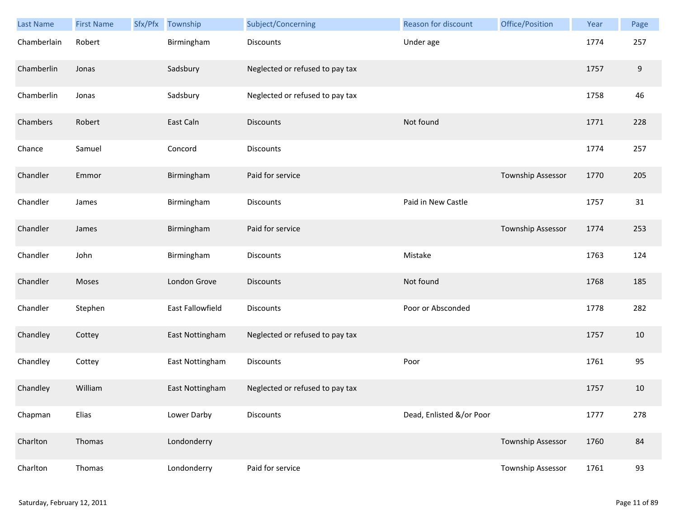| Last Name   | <b>First Name</b> | Sfx/Pfx | Township         | Subject/Concerning              | Reason for discount      | Office/Position          | Year | Page             |
|-------------|-------------------|---------|------------------|---------------------------------|--------------------------|--------------------------|------|------------------|
| Chamberlain | Robert            |         | Birmingham       | <b>Discounts</b>                | Under age                |                          | 1774 | 257              |
| Chamberlin  | Jonas             |         | Sadsbury         | Neglected or refused to pay tax |                          |                          | 1757 | $\boldsymbol{9}$ |
| Chamberlin  | Jonas             |         | Sadsbury         | Neglected or refused to pay tax |                          |                          | 1758 | 46               |
| Chambers    | Robert            |         | East Caln        | <b>Discounts</b>                | Not found                |                          | 1771 | 228              |
| Chance      | Samuel            |         | Concord          | Discounts                       |                          |                          | 1774 | 257              |
| Chandler    | Emmor             |         | Birmingham       | Paid for service                |                          | Township Assessor        | 1770 | 205              |
| Chandler    | James             |         | Birmingham       | Discounts                       | Paid in New Castle       |                          | 1757 | 31               |
| Chandler    | James             |         | Birmingham       | Paid for service                |                          | <b>Township Assessor</b> | 1774 | 253              |
| Chandler    | John              |         | Birmingham       | <b>Discounts</b>                | Mistake                  |                          | 1763 | 124              |
| Chandler    | Moses             |         | London Grove     | <b>Discounts</b>                | Not found                |                          | 1768 | 185              |
| Chandler    | Stephen           |         | East Fallowfield | Discounts                       | Poor or Absconded        |                          | 1778 | 282              |
| Chandley    | Cottey            |         | East Nottingham  | Neglected or refused to pay tax |                          |                          | 1757 | 10               |
| Chandley    | Cottey            |         | East Nottingham  | Discounts                       | Poor                     |                          | 1761 | 95               |
| Chandley    | William           |         | East Nottingham  | Neglected or refused to pay tax |                          |                          | 1757 | 10               |
| Chapman     | Elias             |         | Lower Darby      | <b>Discounts</b>                | Dead, Enlisted &/or Poor |                          | 1777 | 278              |
| Charlton    | Thomas            |         | Londonderry      |                                 |                          | <b>Township Assessor</b> | 1760 | 84               |
| Charlton    | Thomas            |         | Londonderry      | Paid for service                |                          | Township Assessor        | 1761 | 93               |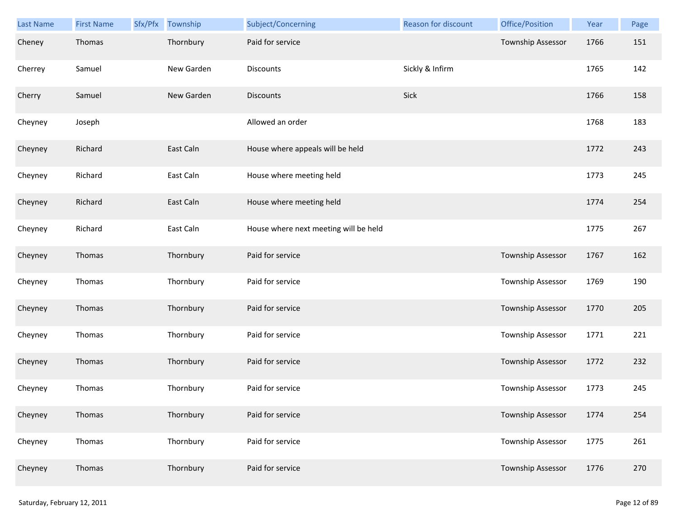| <b>Last Name</b> | <b>First Name</b> | Sfx/Pfx | Township   | Subject/Concerning                    | Reason for discount | Office/Position          | Year | Page |
|------------------|-------------------|---------|------------|---------------------------------------|---------------------|--------------------------|------|------|
| Cheney           | Thomas            |         | Thornbury  | Paid for service                      |                     | Township Assessor        | 1766 | 151  |
| Cherrey          | Samuel            |         | New Garden | Discounts                             | Sickly & Infirm     |                          | 1765 | 142  |
| Cherry           | Samuel            |         | New Garden | <b>Discounts</b>                      | Sick                |                          | 1766 | 158  |
| Cheyney          | Joseph            |         |            | Allowed an order                      |                     |                          | 1768 | 183  |
| Cheyney          | Richard           |         | East Caln  | House where appeals will be held      |                     |                          | 1772 | 243  |
| Cheyney          | Richard           |         | East Caln  | House where meeting held              |                     |                          | 1773 | 245  |
| Cheyney          | Richard           |         | East Caln  | House where meeting held              |                     |                          | 1774 | 254  |
| Cheyney          | Richard           |         | East Caln  | House where next meeting will be held |                     |                          | 1775 | 267  |
| Cheyney          | Thomas            |         | Thornbury  | Paid for service                      |                     | Township Assessor        | 1767 | 162  |
| Cheyney          | Thomas            |         | Thornbury  | Paid for service                      |                     | Township Assessor        | 1769 | 190  |
| Cheyney          | Thomas            |         | Thornbury  | Paid for service                      |                     | Township Assessor        | 1770 | 205  |
| Cheyney          | Thomas            |         | Thornbury  | Paid for service                      |                     | <b>Township Assessor</b> | 1771 | 221  |
| Cheyney          | Thomas            |         | Thornbury  | Paid for service                      |                     | Township Assessor        | 1772 | 232  |
| Cheyney          | Thomas            |         | Thornbury  | Paid for service                      |                     | Township Assessor        | 1773 | 245  |
| Cheyney          | Thomas            |         | Thornbury  | Paid for service                      |                     | Township Assessor        | 1774 | 254  |
| Cheyney          | Thomas            |         | Thornbury  | Paid for service                      |                     | <b>Township Assessor</b> | 1775 | 261  |
| Cheyney          | Thomas            |         | Thornbury  | Paid for service                      |                     | Township Assessor        | 1776 | 270  |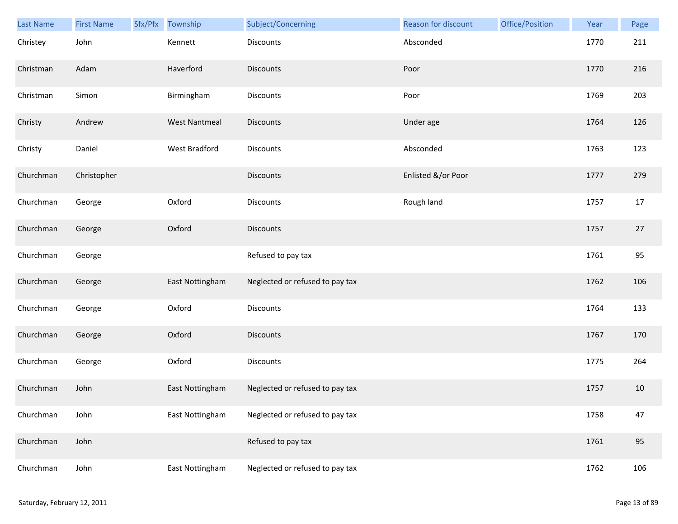| Last Name | <b>First Name</b> | Sfx/Pfx | Township             | Subject/Concerning              | Reason for discount | Office/Position | Year | Page   |
|-----------|-------------------|---------|----------------------|---------------------------------|---------------------|-----------------|------|--------|
| Christey  | John              |         | Kennett              | <b>Discounts</b>                | Absconded           |                 | 1770 | 211    |
| Christman | Adam              |         | Haverford            | <b>Discounts</b>                | Poor                |                 | 1770 | 216    |
| Christman | Simon             |         | Birmingham           | Discounts                       | Poor                |                 | 1769 | 203    |
| Christy   | Andrew            |         | <b>West Nantmeal</b> | <b>Discounts</b>                | Under age           |                 | 1764 | 126    |
| Christy   | Daniel            |         | West Bradford        | Discounts                       | Absconded           |                 | 1763 | 123    |
| Churchman | Christopher       |         |                      | Discounts                       | Enlisted &/or Poor  |                 | 1777 | 279    |
| Churchman | George            |         | Oxford               | Discounts                       | Rough land          |                 | 1757 | 17     |
| Churchman | George            |         | Oxford               | Discounts                       |                     |                 | 1757 | $27\,$ |
| Churchman | George            |         |                      | Refused to pay tax              |                     |                 | 1761 | 95     |
| Churchman | George            |         | East Nottingham      | Neglected or refused to pay tax |                     |                 | 1762 | 106    |
| Churchman | George            |         | Oxford               | Discounts                       |                     |                 | 1764 | 133    |
| Churchman | George            |         | Oxford               | <b>Discounts</b>                |                     |                 | 1767 | 170    |
| Churchman | George            |         | Oxford               | Discounts                       |                     |                 | 1775 | 264    |
| Churchman | John              |         | East Nottingham      | Neglected or refused to pay tax |                     |                 | 1757 | 10     |
| Churchman | John              |         | East Nottingham      | Neglected or refused to pay tax |                     |                 | 1758 | 47     |
| Churchman | John              |         |                      | Refused to pay tax              |                     |                 | 1761 | 95     |
| Churchman | John              |         | East Nottingham      | Neglected or refused to pay tax |                     |                 | 1762 | 106    |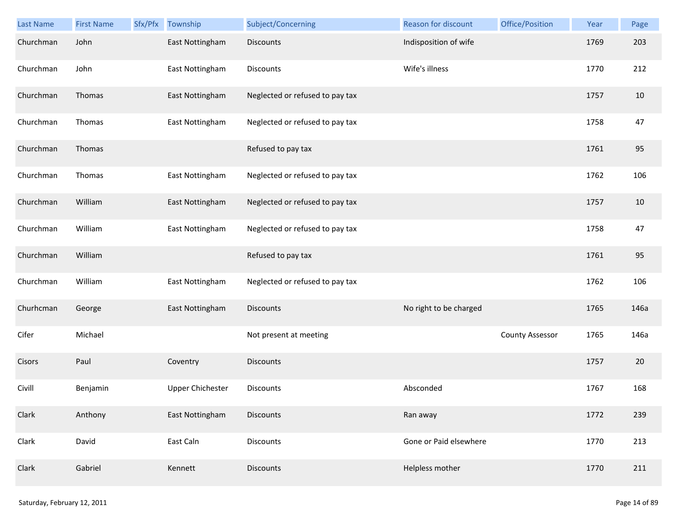| <b>Last Name</b> | <b>First Name</b> | Sfx/Pfx | Township                | Subject/Concerning              | Reason for discount    | Office/Position        | Year | Page |
|------------------|-------------------|---------|-------------------------|---------------------------------|------------------------|------------------------|------|------|
| Churchman        | John              |         | East Nottingham         | Discounts                       | Indisposition of wife  |                        | 1769 | 203  |
| Churchman        | John              |         | East Nottingham         | Discounts                       | Wife's illness         |                        | 1770 | 212  |
| Churchman        | Thomas            |         | East Nottingham         | Neglected or refused to pay tax |                        |                        | 1757 | 10   |
| Churchman        | Thomas            |         | East Nottingham         | Neglected or refused to pay tax |                        |                        | 1758 | 47   |
| Churchman        | Thomas            |         |                         | Refused to pay tax              |                        |                        | 1761 | 95   |
| Churchman        | Thomas            |         | East Nottingham         | Neglected or refused to pay tax |                        |                        | 1762 | 106  |
| Churchman        | William           |         | East Nottingham         | Neglected or refused to pay tax |                        |                        | 1757 | 10   |
| Churchman        | William           |         | East Nottingham         | Neglected or refused to pay tax |                        |                        | 1758 | 47   |
| Churchman        | William           |         |                         | Refused to pay tax              |                        |                        | 1761 | 95   |
| Churchman        | William           |         | East Nottingham         | Neglected or refused to pay tax |                        |                        | 1762 | 106  |
| Churhcman        | George            |         | East Nottingham         | Discounts                       | No right to be charged |                        | 1765 | 146a |
| Cifer            | Michael           |         |                         | Not present at meeting          |                        | <b>County Assessor</b> | 1765 | 146a |
| Cisors           | Paul              |         | Coventry                | <b>Discounts</b>                |                        |                        | 1757 | 20   |
| Civill           | Benjamin          |         | <b>Upper Chichester</b> | <b>Discounts</b>                | Absconded              |                        | 1767 | 168  |
| Clark            | Anthony           |         | East Nottingham         | Discounts                       | Ran away               |                        | 1772 | 239  |
| Clark            | David             |         | East Caln               | Discounts                       | Gone or Paid elsewhere |                        | 1770 | 213  |
| Clark            | Gabriel           |         | Kennett                 | <b>Discounts</b>                | Helpless mother        |                        | 1770 | 211  |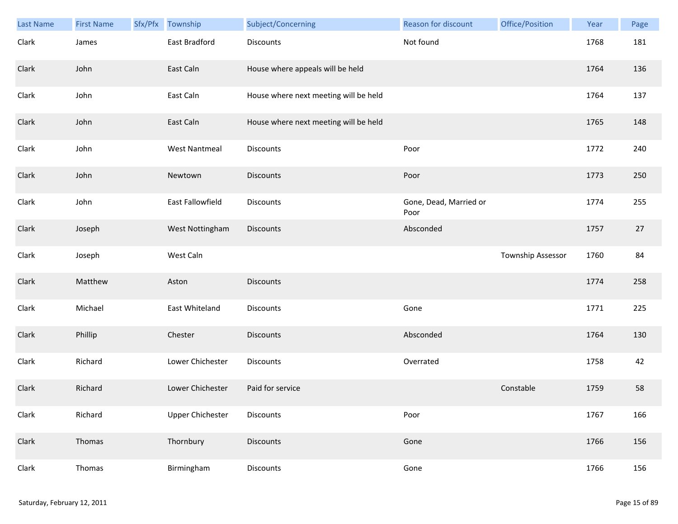| <b>Last Name</b> | <b>First Name</b> | Sfx/Pfx | Township                | Subject/Concerning                    | <b>Reason for discount</b>     | Office/Position   | Year | Page |
|------------------|-------------------|---------|-------------------------|---------------------------------------|--------------------------------|-------------------|------|------|
| Clark            | James             |         | East Bradford           | <b>Discounts</b>                      | Not found                      |                   | 1768 | 181  |
| Clark            | John              |         | East Caln               | House where appeals will be held      |                                |                   | 1764 | 136  |
| Clark            | John              |         | East Caln               | House where next meeting will be held |                                |                   | 1764 | 137  |
| Clark            | John              |         | East Caln               | House where next meeting will be held |                                |                   | 1765 | 148  |
| Clark            | John              |         | <b>West Nantmeal</b>    | Discounts                             | Poor                           |                   | 1772 | 240  |
| Clark            | John              |         | Newtown                 | <b>Discounts</b>                      | Poor                           |                   | 1773 | 250  |
| Clark            | John              |         | East Fallowfield        | Discounts                             | Gone, Dead, Married or<br>Poor |                   | 1774 | 255  |
| Clark            | Joseph            |         | West Nottingham         | Discounts                             | Absconded                      |                   | 1757 | 27   |
| Clark            | Joseph            |         | West Caln               |                                       |                                | Township Assessor | 1760 | 84   |
| Clark            | Matthew           |         | Aston                   | <b>Discounts</b>                      |                                |                   | 1774 | 258  |
| Clark            | Michael           |         | East Whiteland          | <b>Discounts</b>                      | Gone                           |                   | 1771 | 225  |
| Clark            | Phillip           |         | Chester                 | <b>Discounts</b>                      | Absconded                      |                   | 1764 | 130  |
| Clark            | Richard           |         | Lower Chichester        | Discounts                             | Overrated                      |                   | 1758 | 42   |
| Clark            | Richard           |         | Lower Chichester        | Paid for service                      |                                | Constable         | 1759 | 58   |
| Clark            | Richard           |         | <b>Upper Chichester</b> | Discounts                             | Poor                           |                   | 1767 | 166  |
| Clark            | Thomas            |         | Thornbury               | <b>Discounts</b>                      | Gone                           |                   | 1766 | 156  |
| Clark            | Thomas            |         | Birmingham              | Discounts                             | Gone                           |                   | 1766 | 156  |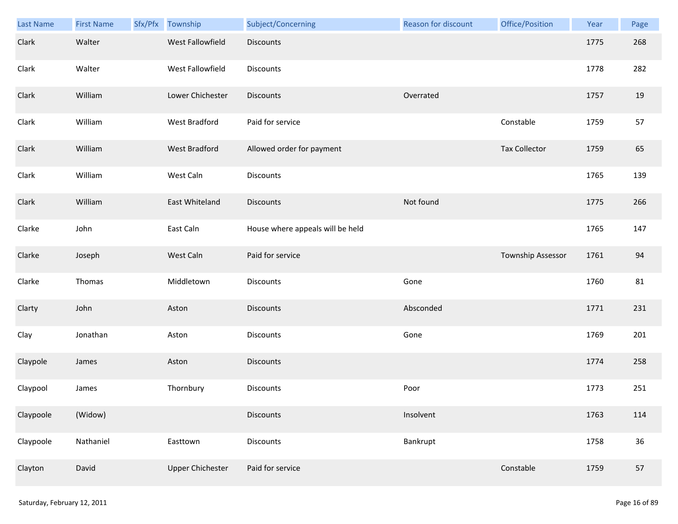| Last Name | <b>First Name</b> | Sfx/Pfx | Township                | Subject/Concerning               | <b>Reason for discount</b> | Office/Position      | Year | Page |
|-----------|-------------------|---------|-------------------------|----------------------------------|----------------------------|----------------------|------|------|
| Clark     | Walter            |         | West Fallowfield        | Discounts                        |                            |                      | 1775 | 268  |
| Clark     | Walter            |         | West Fallowfield        | <b>Discounts</b>                 |                            |                      | 1778 | 282  |
| Clark     | William           |         | Lower Chichester        | <b>Discounts</b>                 | Overrated                  |                      | 1757 | 19   |
| Clark     | William           |         | West Bradford           | Paid for service                 |                            | Constable            | 1759 | 57   |
| Clark     | William           |         | <b>West Bradford</b>    | Allowed order for payment        |                            | <b>Tax Collector</b> | 1759 | 65   |
| Clark     | William           |         | West Caln               | <b>Discounts</b>                 |                            |                      | 1765 | 139  |
| Clark     | William           |         | East Whiteland          | <b>Discounts</b>                 | Not found                  |                      | 1775 | 266  |
| Clarke    | John              |         | East Caln               | House where appeals will be held |                            |                      | 1765 | 147  |
| Clarke    | Joseph            |         | West Caln               | Paid for service                 |                            | Township Assessor    | 1761 | 94   |
| Clarke    | Thomas            |         | Middletown              | Discounts                        | Gone                       |                      | 1760 | 81   |
| Clarty    | John              |         | Aston                   | <b>Discounts</b>                 | Absconded                  |                      | 1771 | 231  |
| Clay      | Jonathan          |         | Aston                   | Discounts                        | Gone                       |                      | 1769 | 201  |
| Claypole  | James             |         | Aston                   | Discounts                        |                            |                      | 1774 | 258  |
| Claypool  | James             |         | Thornbury               | Discounts                        | Poor                       |                      | 1773 | 251  |
| Claypoole | (Widow)           |         |                         | <b>Discounts</b>                 | Insolvent                  |                      | 1763 | 114  |
| Claypoole | Nathaniel         |         | Easttown                | Discounts                        | Bankrupt                   |                      | 1758 | 36   |
| Clayton   | David             |         | <b>Upper Chichester</b> | Paid for service                 |                            | Constable            | 1759 | 57   |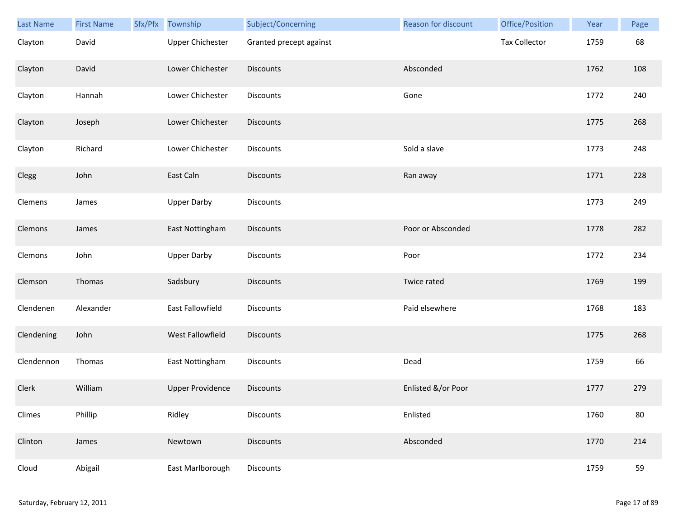| Last Name  | <b>First Name</b> | Sfx/Pfx | Township                | Subject/Concerning      | <b>Reason for discount</b> | Office/Position      | Year | Page |
|------------|-------------------|---------|-------------------------|-------------------------|----------------------------|----------------------|------|------|
| Clayton    | David             |         | <b>Upper Chichester</b> | Granted precept against |                            | <b>Tax Collector</b> | 1759 | 68   |
| Clayton    | David             |         | Lower Chichester        | <b>Discounts</b>        | Absconded                  |                      | 1762 | 108  |
| Clayton    | Hannah            |         | Lower Chichester        | Discounts               | Gone                       |                      | 1772 | 240  |
| Clayton    | Joseph            |         | Lower Chichester        | Discounts               |                            |                      | 1775 | 268  |
| Clayton    | Richard           |         | Lower Chichester        | Discounts               | Sold a slave               |                      | 1773 | 248  |
| Clegg      | John              |         | East Caln               | Discounts               | Ran away                   |                      | 1771 | 228  |
| Clemens    | James             |         | <b>Upper Darby</b>      | Discounts               |                            |                      | 1773 | 249  |
| Clemons    | James             |         | East Nottingham         | Discounts               | Poor or Absconded          |                      | 1778 | 282  |
| Clemons    | John              |         | <b>Upper Darby</b>      | Discounts               | Poor                       |                      | 1772 | 234  |
| Clemson    | Thomas            |         | Sadsbury                | Discounts               | Twice rated                |                      | 1769 | 199  |
| Clendenen  | Alexander         |         | East Fallowfield        | Discounts               | Paid elsewhere             |                      | 1768 | 183  |
| Clendening | John              |         | West Fallowfield        | <b>Discounts</b>        |                            |                      | 1775 | 268  |
| Clendennon | Thomas            |         | East Nottingham         | Discounts               | Dead                       |                      | 1759 | 66   |
| Clerk      | William           |         | <b>Upper Providence</b> | <b>Discounts</b>        | Enlisted &/or Poor         |                      | 1777 | 279  |
| Climes     | Phillip           |         | Ridley                  | Discounts               | Enlisted                   |                      | 1760 | 80   |
| Clinton    | James             |         | Newtown                 | <b>Discounts</b>        | Absconded                  |                      | 1770 | 214  |
| Cloud      | Abigail           |         | East Marlborough        | Discounts               |                            |                      | 1759 | 59   |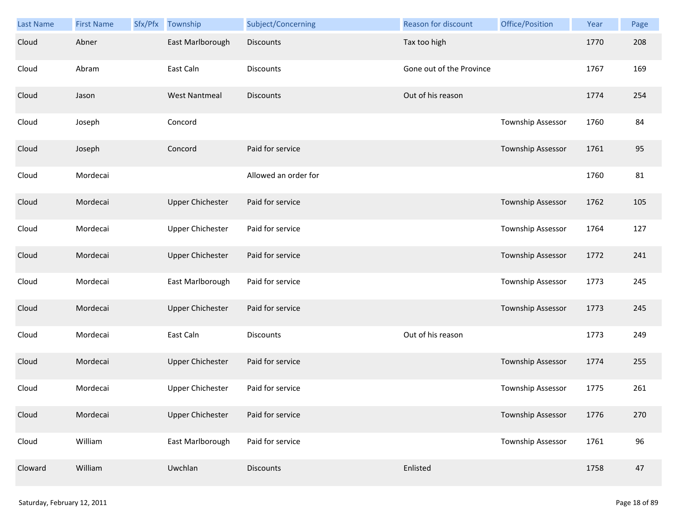| <b>Last Name</b> | <b>First Name</b> | Sfx/Pfx | Township                | Subject/Concerning   | <b>Reason for discount</b> | Office/Position          | Year | Page |
|------------------|-------------------|---------|-------------------------|----------------------|----------------------------|--------------------------|------|------|
| Cloud            | Abner             |         | East Marlborough        | <b>Discounts</b>     | Tax too high               |                          | 1770 | 208  |
| Cloud            | Abram             |         | East Caln               | <b>Discounts</b>     | Gone out of the Province   |                          | 1767 | 169  |
| Cloud            | Jason             |         | <b>West Nantmeal</b>    | <b>Discounts</b>     | Out of his reason          |                          | 1774 | 254  |
| Cloud            | Joseph            |         | Concord                 |                      |                            | Township Assessor        | 1760 | 84   |
| Cloud            | Joseph            |         | Concord                 | Paid for service     |                            | Township Assessor        | 1761 | 95   |
| Cloud            | Mordecai          |         |                         | Allowed an order for |                            |                          | 1760 | 81   |
| Cloud            | Mordecai          |         | <b>Upper Chichester</b> | Paid for service     |                            | <b>Township Assessor</b> | 1762 | 105  |
| Cloud            | Mordecai          |         | <b>Upper Chichester</b> | Paid for service     |                            | Township Assessor        | 1764 | 127  |
| Cloud            | Mordecai          |         | <b>Upper Chichester</b> | Paid for service     |                            | Township Assessor        | 1772 | 241  |
| Cloud            | Mordecai          |         | East Marlborough        | Paid for service     |                            | <b>Township Assessor</b> | 1773 | 245  |
| Cloud            | Mordecai          |         | <b>Upper Chichester</b> | Paid for service     |                            | <b>Township Assessor</b> | 1773 | 245  |
| Cloud            | Mordecai          |         | East Caln               | <b>Discounts</b>     | Out of his reason          |                          | 1773 | 249  |
| Cloud            | Mordecai          |         | <b>Upper Chichester</b> | Paid for service     |                            | Township Assessor        | 1774 | 255  |
| Cloud            | Mordecai          |         | <b>Upper Chichester</b> | Paid for service     |                            | Township Assessor        | 1775 | 261  |
| Cloud            | Mordecai          |         | <b>Upper Chichester</b> | Paid for service     |                            | <b>Township Assessor</b> | 1776 | 270  |
| Cloud            | William           |         | East Marlborough        | Paid for service     |                            | Township Assessor        | 1761 | 96   |
| Cloward          | William           |         | Uwchlan                 | <b>Discounts</b>     | Enlisted                   |                          | 1758 | 47   |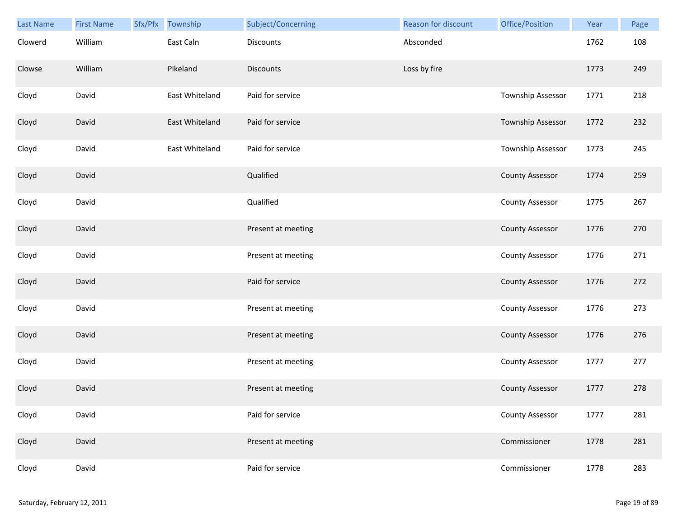| <b>Last Name</b> | <b>First Name</b> | Sfx/Pfx | Township       | Subject/Concerning | Reason for discount | Office/Position          | Year | Page |
|------------------|-------------------|---------|----------------|--------------------|---------------------|--------------------------|------|------|
| Clowerd          | William           |         | East Caln      | <b>Discounts</b>   | Absconded           |                          | 1762 | 108  |
| Clowse           | William           |         | Pikeland       | <b>Discounts</b>   | Loss by fire        |                          | 1773 | 249  |
| Cloyd            | David             |         | East Whiteland | Paid for service   |                     | Township Assessor        | 1771 | 218  |
| Cloyd            | David             |         | East Whiteland | Paid for service   |                     | <b>Township Assessor</b> | 1772 | 232  |
| Cloyd            | David             |         | East Whiteland | Paid for service   |                     | Township Assessor        | 1773 | 245  |
| Cloyd            | David             |         |                | Qualified          |                     | <b>County Assessor</b>   | 1774 | 259  |
| Cloyd            | David             |         |                | Qualified          |                     | <b>County Assessor</b>   | 1775 | 267  |
| Cloyd            | David             |         |                | Present at meeting |                     | <b>County Assessor</b>   | 1776 | 270  |
| Cloyd            | David             |         |                | Present at meeting |                     | <b>County Assessor</b>   | 1776 | 271  |
| Cloyd            | David             |         |                | Paid for service   |                     | <b>County Assessor</b>   | 1776 | 272  |
| Cloyd            | David             |         |                | Present at meeting |                     | <b>County Assessor</b>   | 1776 | 273  |
| Cloyd            | David             |         |                | Present at meeting |                     | <b>County Assessor</b>   | 1776 | 276  |
| Cloyd            | David             |         |                | Present at meeting |                     | <b>County Assessor</b>   | 1777 | 277  |
| Cloyd            | David             |         |                | Present at meeting |                     | <b>County Assessor</b>   | 1777 | 278  |
| Cloyd            | David             |         |                | Paid for service   |                     | <b>County Assessor</b>   | 1777 | 281  |
| Cloyd            | David             |         |                | Present at meeting |                     | Commissioner             | 1778 | 281  |
| Cloyd            | David             |         |                | Paid for service   |                     | Commissioner             | 1778 | 283  |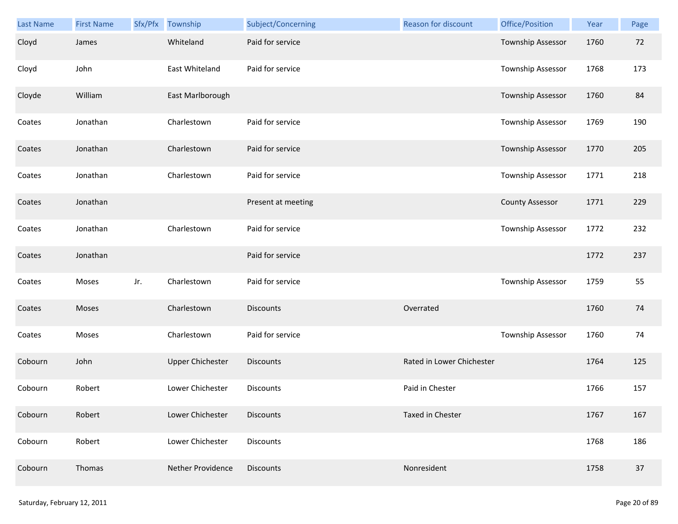| Last Name | <b>First Name</b> |     | Sfx/Pfx Township        | Subject/Concerning | Reason for discount       | Office/Position          | Year | Page |
|-----------|-------------------|-----|-------------------------|--------------------|---------------------------|--------------------------|------|------|
| Cloyd     | James             |     | Whiteland               | Paid for service   |                           | Township Assessor        | 1760 | 72   |
| Cloyd     | John              |     | East Whiteland          | Paid for service   |                           | Township Assessor        | 1768 | 173  |
| Cloyde    | William           |     | East Marlborough        |                    |                           | <b>Township Assessor</b> | 1760 | 84   |
| Coates    | Jonathan          |     | Charlestown             | Paid for service   |                           | Township Assessor        | 1769 | 190  |
| Coates    | Jonathan          |     | Charlestown             | Paid for service   |                           | Township Assessor        | 1770 | 205  |
| Coates    | Jonathan          |     | Charlestown             | Paid for service   |                           | Township Assessor        | 1771 | 218  |
| Coates    | Jonathan          |     |                         | Present at meeting |                           | <b>County Assessor</b>   | 1771 | 229  |
| Coates    | Jonathan          |     | Charlestown             | Paid for service   |                           | Township Assessor        | 1772 | 232  |
| Coates    | Jonathan          |     |                         | Paid for service   |                           |                          | 1772 | 237  |
| Coates    | Moses             | Jr. | Charlestown             | Paid for service   |                           | Township Assessor        | 1759 | 55   |
| Coates    | Moses             |     | Charlestown             | <b>Discounts</b>   | Overrated                 |                          | 1760 | 74   |
| Coates    | Moses             |     | Charlestown             | Paid for service   |                           | Township Assessor        | 1760 | 74   |
| Cobourn   | John              |     | <b>Upper Chichester</b> | <b>Discounts</b>   | Rated in Lower Chichester |                          | 1764 | 125  |
| Cobourn   | Robert            |     | Lower Chichester        | Discounts          | Paid in Chester           |                          | 1766 | 157  |
| Cobourn   | Robert            |     | Lower Chichester        | <b>Discounts</b>   | Taxed in Chester          |                          | 1767 | 167  |
| Cobourn   | Robert            |     | Lower Chichester        | Discounts          |                           |                          | 1768 | 186  |
| Cobourn   | Thomas            |     | Nether Providence       | Discounts          | Nonresident               |                          | 1758 | 37   |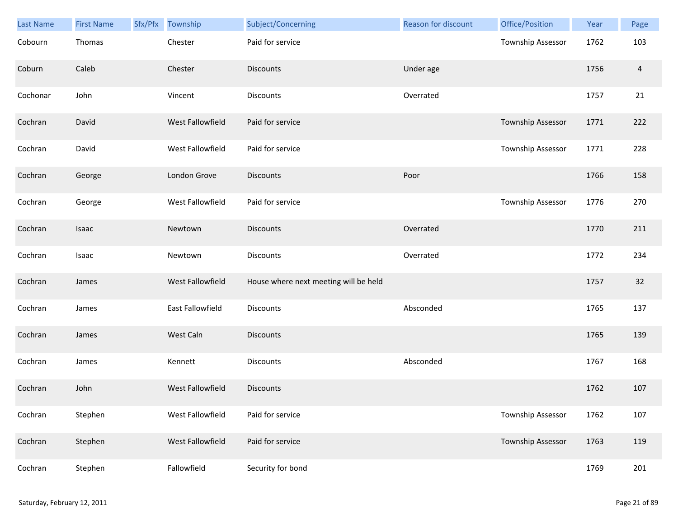| Last Name | <b>First Name</b> | Sfx/Pfx | Township         | Subject/Concerning                    | Reason for discount | Office/Position   | Year | Page           |
|-----------|-------------------|---------|------------------|---------------------------------------|---------------------|-------------------|------|----------------|
| Cobourn   | Thomas            |         | Chester          | Paid for service                      |                     | Township Assessor | 1762 | 103            |
| Coburn    | Caleb             |         | Chester          | <b>Discounts</b>                      | Under age           |                   | 1756 | $\overline{a}$ |
| Cochonar  | John              |         | Vincent          | <b>Discounts</b>                      | Overrated           |                   | 1757 | 21             |
| Cochran   | David             |         | West Fallowfield | Paid for service                      |                     | Township Assessor | 1771 | 222            |
| Cochran   | David             |         | West Fallowfield | Paid for service                      |                     | Township Assessor | 1771 | 228            |
| Cochran   | George            |         | London Grove     | <b>Discounts</b>                      | Poor                |                   | 1766 | 158            |
| Cochran   | George            |         | West Fallowfield | Paid for service                      |                     | Township Assessor | 1776 | 270            |
| Cochran   | Isaac             |         | Newtown          | <b>Discounts</b>                      | Overrated           |                   | 1770 | 211            |
| Cochran   | Isaac             |         | Newtown          | <b>Discounts</b>                      | Overrated           |                   | 1772 | 234            |
| Cochran   | James             |         | West Fallowfield | House where next meeting will be held |                     |                   | 1757 | 32             |
| Cochran   | James             |         | East Fallowfield | Discounts                             | Absconded           |                   | 1765 | 137            |
| Cochran   | James             |         | West Caln        | <b>Discounts</b>                      |                     |                   | 1765 | 139            |
| Cochran   | James             |         | Kennett          | Discounts                             | Absconded           |                   | 1767 | 168            |
| Cochran   | John              |         | West Fallowfield | <b>Discounts</b>                      |                     |                   | 1762 | 107            |
| Cochran   | Stephen           |         | West Fallowfield | Paid for service                      |                     | Township Assessor | 1762 | 107            |
| Cochran   | Stephen           |         | West Fallowfield | Paid for service                      |                     | Township Assessor | 1763 | 119            |
| Cochran   | Stephen           |         | Fallowfield      | Security for bond                     |                     |                   | 1769 | 201            |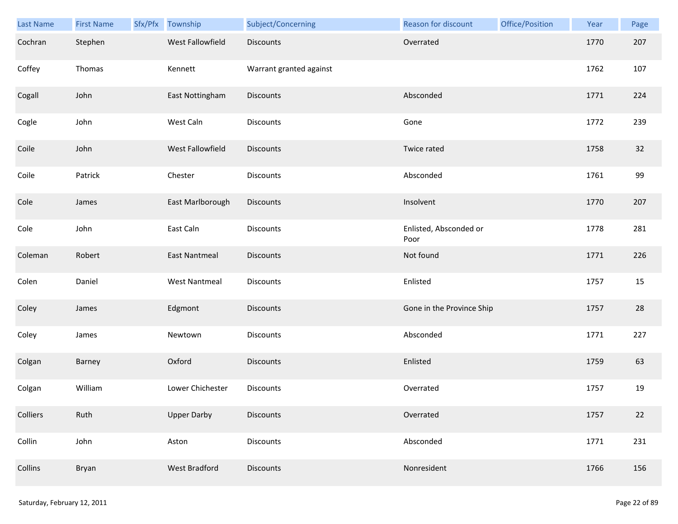| <b>Last Name</b> | <b>First Name</b> | Sfx/Pfx | Township             | Subject/Concerning      | Reason for discount            | Office/Position | Year | Page |
|------------------|-------------------|---------|----------------------|-------------------------|--------------------------------|-----------------|------|------|
| Cochran          | Stephen           |         | West Fallowfield     | <b>Discounts</b>        | Overrated                      |                 | 1770 | 207  |
| Coffey           | Thomas            |         | Kennett              | Warrant granted against |                                |                 | 1762 | 107  |
| Cogall           | John              |         | East Nottingham      | Discounts               | Absconded                      |                 | 1771 | 224  |
| Cogle            | John              |         | West Caln            | <b>Discounts</b>        | Gone                           |                 | 1772 | 239  |
| Coile            | John              |         | West Fallowfield     | Discounts               | Twice rated                    |                 | 1758 | 32   |
| Coile            | Patrick           |         | Chester              | <b>Discounts</b>        | Absconded                      |                 | 1761 | 99   |
| Cole             | James             |         | East Marlborough     | Discounts               | Insolvent                      |                 | 1770 | 207  |
| Cole             | John              |         | East Caln            | Discounts               | Enlisted, Absconded or<br>Poor |                 | 1778 | 281  |
| Coleman          | Robert            |         | <b>East Nantmeal</b> | <b>Discounts</b>        | Not found                      |                 | 1771 | 226  |
| Colen            | Daniel            |         | <b>West Nantmeal</b> | Discounts               | Enlisted                       |                 | 1757 | 15   |
| Coley            | James             |         | Edgmont              | <b>Discounts</b>        | Gone in the Province Ship      |                 | 1757 | 28   |
| Coley            | James             |         | Newtown              | Discounts               | Absconded                      |                 | 1771 | 227  |
| Colgan           | Barney            |         | Oxford               | Discounts               | Enlisted                       |                 | 1759 | 63   |
| Colgan           | William           |         | Lower Chichester     | <b>Discounts</b>        | Overrated                      |                 | 1757 | 19   |
| Colliers         | Ruth              |         | <b>Upper Darby</b>   | <b>Discounts</b>        | Overrated                      |                 | 1757 | 22   |
| Collin           | John              |         | Aston                | <b>Discounts</b>        | Absconded                      |                 | 1771 | 231  |
| Collins          | Bryan             |         | <b>West Bradford</b> | <b>Discounts</b>        | Nonresident                    |                 | 1766 | 156  |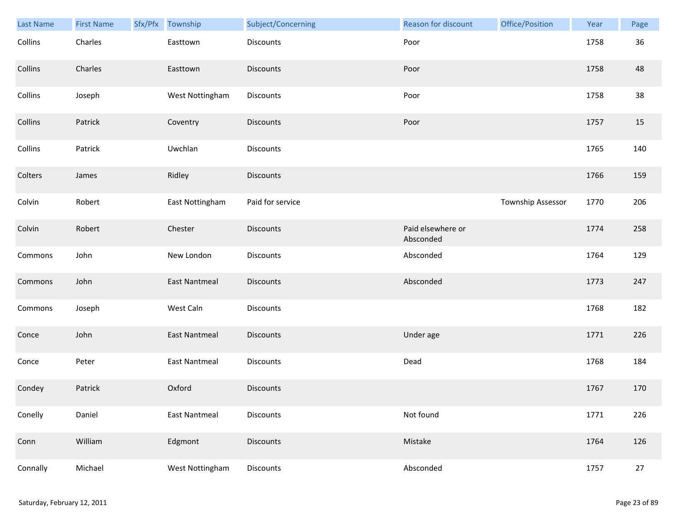| Last Name | <b>First Name</b> | Sfx/Pfx | Township             | Subject/Concerning | Reason for discount            | Office/Position   | Year | Page |
|-----------|-------------------|---------|----------------------|--------------------|--------------------------------|-------------------|------|------|
| Collins   | Charles           |         | Easttown             | Discounts          | Poor                           |                   | 1758 | 36   |
| Collins   | Charles           |         | Easttown             | <b>Discounts</b>   | Poor                           |                   | 1758 | 48   |
| Collins   | Joseph            |         | West Nottingham      | Discounts          | Poor                           |                   | 1758 | 38   |
| Collins   | Patrick           |         | Coventry             | <b>Discounts</b>   | Poor                           |                   | 1757 | 15   |
| Collins   | Patrick           |         | Uwchlan              | Discounts          |                                |                   | 1765 | 140  |
| Colters   | James             |         | Ridley               | Discounts          |                                |                   | 1766 | 159  |
| Colvin    | Robert            |         | East Nottingham      | Paid for service   |                                | Township Assessor | 1770 | 206  |
| Colvin    | Robert            |         | Chester              | Discounts          | Paid elsewhere or<br>Absconded |                   | 1774 | 258  |
| Commons   | John              |         | New London           | Discounts          | Absconded                      |                   | 1764 | 129  |
| Commons   | John              |         | East Nantmeal        | Discounts          | Absconded                      |                   | 1773 | 247  |
| Commons   | Joseph            |         | West Caln            | Discounts          |                                |                   | 1768 | 182  |
| Conce     | John              |         | <b>East Nantmeal</b> | <b>Discounts</b>   | Under age                      |                   | 1771 | 226  |
| Conce     | Peter             |         | <b>East Nantmeal</b> | Discounts          | Dead                           |                   | 1768 | 184  |
| Condey    | Patrick           |         | Oxford               | <b>Discounts</b>   |                                |                   | 1767 | 170  |
| Conelly   | Daniel            |         | <b>East Nantmeal</b> | Discounts          | Not found                      |                   | 1771 | 226  |
| Conn      | William           |         | Edgmont              | Discounts          | Mistake                        |                   | 1764 | 126  |
| Connally  | Michael           |         | West Nottingham      | Discounts          | Absconded                      |                   | 1757 | 27   |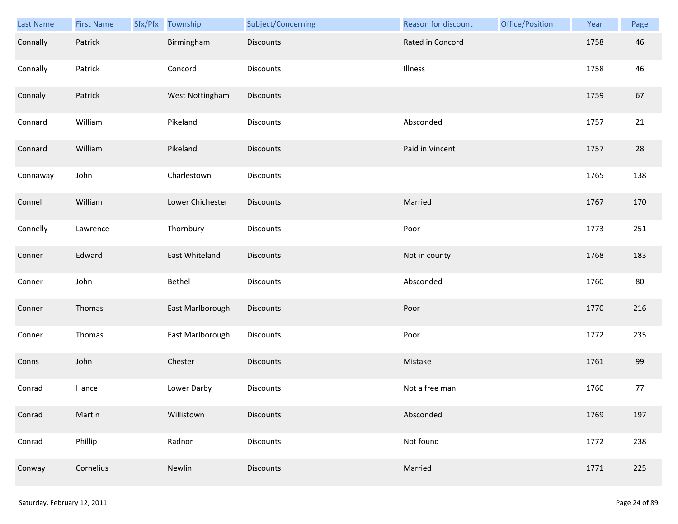| Last Name | <b>First Name</b> | Sfx/Pfx Township | Subject/Concerning | Reason for discount | Office/Position | Year | Page |
|-----------|-------------------|------------------|--------------------|---------------------|-----------------|------|------|
| Connally  | Patrick           | Birmingham       | <b>Discounts</b>   | Rated in Concord    |                 | 1758 | 46   |
| Connally  | Patrick           | Concord          | <b>Discounts</b>   | Illness             |                 | 1758 | 46   |
| Connaly   | Patrick           | West Nottingham  | Discounts          |                     |                 | 1759 | 67   |
| Connard   | William           | Pikeland         | <b>Discounts</b>   | Absconded           |                 | 1757 | 21   |
| Connard   | William           | Pikeland         | <b>Discounts</b>   | Paid in Vincent     |                 | 1757 | 28   |
| Connaway  | John              | Charlestown      | <b>Discounts</b>   |                     |                 | 1765 | 138  |
| Connel    | William           | Lower Chichester | Discounts          | Married             |                 | 1767 | 170  |
| Connelly  | Lawrence          | Thornbury        | Discounts          | Poor                |                 | 1773 | 251  |
| Conner    | Edward            | East Whiteland   | <b>Discounts</b>   | Not in county       |                 | 1768 | 183  |
| Conner    | John              | Bethel           | Discounts          | Absconded           |                 | 1760 | 80   |
| Conner    | Thomas            | East Marlborough | Discounts          | Poor                |                 | 1770 | 216  |
| Conner    | Thomas            | East Marlborough | Discounts          | Poor                |                 | 1772 | 235  |
| Conns     | John              | Chester          | Discounts          | Mistake             |                 | 1761 | 99   |
| Conrad    | Hance             | Lower Darby      | <b>Discounts</b>   | Not a free man      |                 | 1760 | 77   |
| Conrad    | Martin            | Willistown       | <b>Discounts</b>   | Absconded           |                 | 1769 | 197  |
| Conrad    | Phillip           | Radnor           | Discounts          | Not found           |                 | 1772 | 238  |
| Conway    | Cornelius         | Newlin           | <b>Discounts</b>   | Married             |                 | 1771 | 225  |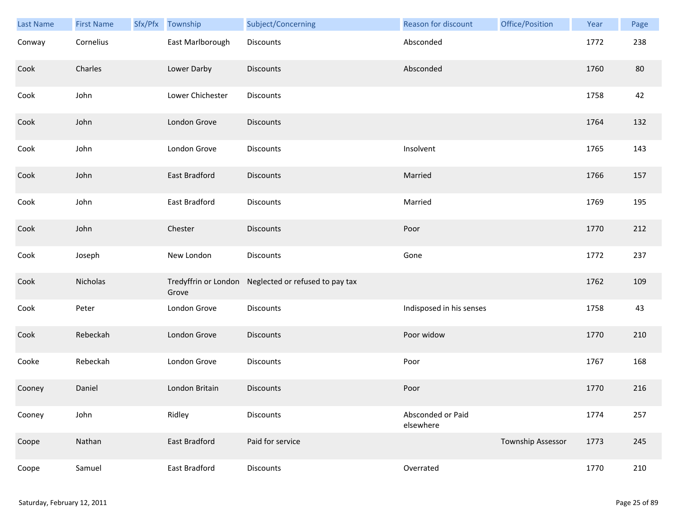| Last Name | <b>First Name</b> | Sfx/Pfx | Township         | Subject/Concerning                                   | Reason for discount            | Office/Position          | Year | Page |
|-----------|-------------------|---------|------------------|------------------------------------------------------|--------------------------------|--------------------------|------|------|
| Conway    | Cornelius         |         | East Marlborough | Discounts                                            | Absconded                      |                          | 1772 | 238  |
| Cook      | Charles           |         | Lower Darby      | <b>Discounts</b>                                     | Absconded                      |                          | 1760 | 80   |
| Cook      | John              |         | Lower Chichester | Discounts                                            |                                |                          | 1758 | 42   |
| Cook      | John              |         | London Grove     | <b>Discounts</b>                                     |                                |                          | 1764 | 132  |
| Cook      | John              |         | London Grove     | Discounts                                            | Insolvent                      |                          | 1765 | 143  |
| Cook      | John              |         | East Bradford    | Discounts                                            | Married                        |                          | 1766 | 157  |
| Cook      | John              |         | East Bradford    | Discounts                                            | Married                        |                          | 1769 | 195  |
| Cook      | John              |         | Chester          | Discounts                                            | Poor                           |                          | 1770 | 212  |
| Cook      | Joseph            |         | New London       | Discounts                                            | Gone                           |                          | 1772 | 237  |
| Cook      | Nicholas          |         | Grove            | Tredyffrin or London Neglected or refused to pay tax |                                |                          | 1762 | 109  |
| Cook      | Peter             |         | London Grove     | Discounts                                            | Indisposed in his senses       |                          | 1758 | 43   |
| Cook      | Rebeckah          |         | London Grove     | <b>Discounts</b>                                     | Poor widow                     |                          | 1770 | 210  |
| Cooke     | Rebeckah          |         | London Grove     | Discounts                                            | Poor                           |                          | 1767 | 168  |
| Cooney    | Daniel            |         | London Britain   | Discounts                                            | Poor                           |                          | 1770 | 216  |
| Cooney    | John              |         | Ridley           | Discounts                                            | Absconded or Paid<br>elsewhere |                          | 1774 | 257  |
| Coope     | Nathan            |         | East Bradford    | Paid for service                                     |                                | <b>Township Assessor</b> | 1773 | 245  |
| Coope     | Samuel            |         | East Bradford    | Discounts                                            | Overrated                      |                          | 1770 | 210  |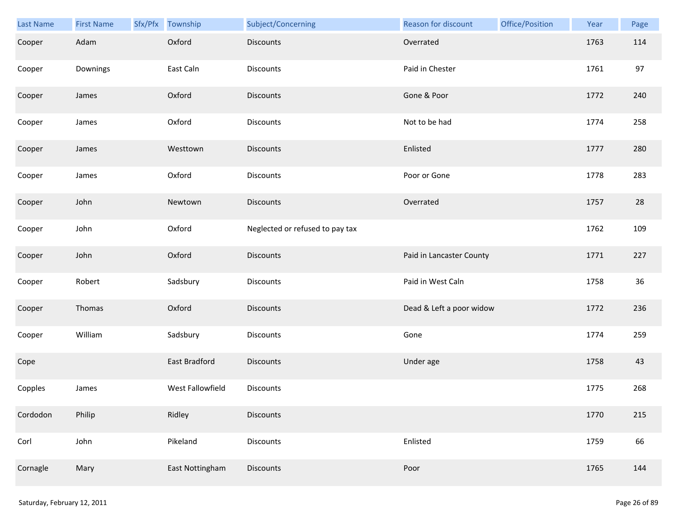| Last Name | <b>First Name</b> | Sfx/Pfx Township | Subject/Concerning              | Reason for discount      | Office/Position | Year | Page |
|-----------|-------------------|------------------|---------------------------------|--------------------------|-----------------|------|------|
| Cooper    | Adam              | Oxford           | <b>Discounts</b>                | Overrated                |                 | 1763 | 114  |
| Cooper    | Downings          | East Caln        | Discounts                       | Paid in Chester          |                 | 1761 | 97   |
| Cooper    | James             | Oxford           | Discounts                       | Gone & Poor              |                 | 1772 | 240  |
| Cooper    | James             | Oxford           | Discounts                       | Not to be had            |                 | 1774 | 258  |
| Cooper    | James             | Westtown         | <b>Discounts</b>                | Enlisted                 |                 | 1777 | 280  |
| Cooper    | James             | Oxford           | Discounts                       | Poor or Gone             |                 | 1778 | 283  |
| Cooper    | John              | Newtown          | Discounts                       | Overrated                |                 | 1757 | 28   |
| Cooper    | John              | Oxford           | Neglected or refused to pay tax |                          |                 | 1762 | 109  |
| Cooper    | John              | Oxford           | <b>Discounts</b>                | Paid in Lancaster County |                 | 1771 | 227  |
| Cooper    | Robert            | Sadsbury         | Discounts                       | Paid in West Caln        |                 | 1758 | 36   |
| Cooper    | Thomas            | Oxford           | Discounts                       | Dead & Left a poor widow |                 | 1772 | 236  |
| Cooper    | William           | Sadsbury         | Discounts                       | Gone                     |                 | 1774 | 259  |
| Cope      |                   | East Bradford    | <b>Discounts</b>                | Under age                |                 | 1758 | 43   |
| Copples   | James             | West Fallowfield | <b>Discounts</b>                |                          |                 | 1775 | 268  |
| Cordodon  | Philip            | Ridley           | <b>Discounts</b>                |                          |                 | 1770 | 215  |
| Corl      | John              | Pikeland         | Discounts                       | Enlisted                 |                 | 1759 | 66   |
| Cornagle  | Mary              | East Nottingham  | Discounts                       | Poor                     |                 | 1765 | 144  |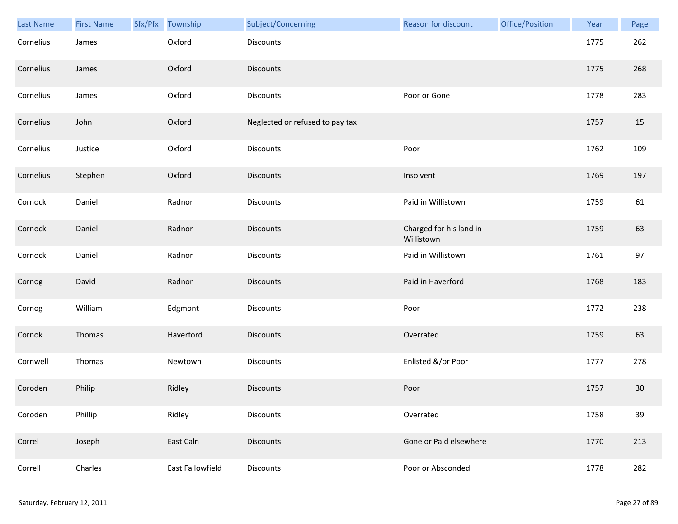| Last Name | <b>First Name</b> | Sfx/Pfx | Township         | Subject/Concerning              | <b>Reason for discount</b>            | Office/Position | Year | Page |
|-----------|-------------------|---------|------------------|---------------------------------|---------------------------------------|-----------------|------|------|
| Cornelius | James             |         | Oxford           | Discounts                       |                                       |                 | 1775 | 262  |
| Cornelius | James             |         | Oxford           | <b>Discounts</b>                |                                       |                 | 1775 | 268  |
| Cornelius | James             |         | Oxford           | Discounts                       | Poor or Gone                          |                 | 1778 | 283  |
| Cornelius | John              |         | Oxford           | Neglected or refused to pay tax |                                       |                 | 1757 | 15   |
| Cornelius | Justice           |         | Oxford           | Discounts                       | Poor                                  |                 | 1762 | 109  |
| Cornelius | Stephen           |         | Oxford           | <b>Discounts</b>                | Insolvent                             |                 | 1769 | 197  |
| Cornock   | Daniel            |         | Radnor           | Discounts                       | Paid in Willistown                    |                 | 1759 | 61   |
| Cornock   | Daniel            |         | Radnor           | <b>Discounts</b>                | Charged for his land in<br>Willistown |                 | 1759 | 63   |
| Cornock   | Daniel            |         | Radnor           | Discounts                       | Paid in Willistown                    |                 | 1761 | 97   |
| Cornog    | David             |         | Radnor           | <b>Discounts</b>                | Paid in Haverford                     |                 | 1768 | 183  |
| Cornog    | William           |         | Edgmont          | Discounts                       | Poor                                  |                 | 1772 | 238  |
| Cornok    | Thomas            |         | Haverford        | <b>Discounts</b>                | Overrated                             |                 | 1759 | 63   |
| Cornwell  | Thomas            |         | Newtown          | Discounts                       | Enlisted &/or Poor                    |                 | 1777 | 278  |
| Coroden   | Philip            |         | Ridley           | <b>Discounts</b>                | Poor                                  |                 | 1757 | 30   |
| Coroden   | Phillip           |         | Ridley           | Discounts                       | Overrated                             |                 | 1758 | 39   |
| Correl    | Joseph            |         | East Caln        | <b>Discounts</b>                | Gone or Paid elsewhere                |                 | 1770 | 213  |
| Correll   | Charles           |         | East Fallowfield | Discounts                       | Poor or Absconded                     |                 | 1778 | 282  |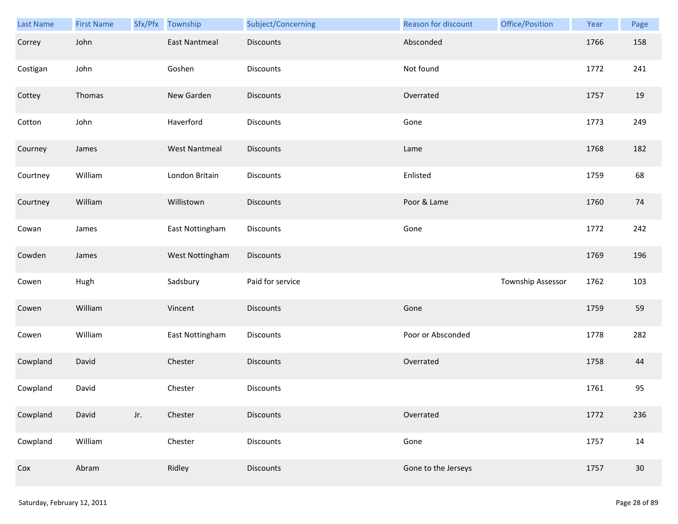| Last Name | <b>First Name</b> |     | Sfx/Pfx Township     | Subject/Concerning | Reason for discount | Office/Position   | Year | Page   |
|-----------|-------------------|-----|----------------------|--------------------|---------------------|-------------------|------|--------|
| Correy    | John              |     | <b>East Nantmeal</b> | <b>Discounts</b>   | Absconded           |                   | 1766 | 158    |
| Costigan  | John              |     | Goshen               | <b>Discounts</b>   | Not found           |                   | 1772 | 241    |
| Cottey    | Thomas            |     | New Garden           | Discounts          | Overrated           |                   | 1757 | 19     |
| Cotton    | John              |     | Haverford            | Discounts          | Gone                |                   | 1773 | 249    |
| Courney   | James             |     | <b>West Nantmeal</b> | Discounts          | Lame                |                   | 1768 | 182    |
| Courtney  | William           |     | London Britain       | Discounts          | Enlisted            |                   | 1759 | 68     |
| Courtney  | William           |     | Willistown           | Discounts          | Poor & Lame         |                   | 1760 | 74     |
| Cowan     | James             |     | East Nottingham      | Discounts          | Gone                |                   | 1772 | 242    |
| Cowden    | James             |     | West Nottingham      | Discounts          |                     |                   | 1769 | 196    |
| Cowen     | Hugh              |     | Sadsbury             | Paid for service   |                     | Township Assessor | 1762 | 103    |
| Cowen     | William           |     | Vincent              | <b>Discounts</b>   | Gone                |                   | 1759 | 59     |
| Cowen     | William           |     | East Nottingham      | Discounts          | Poor or Absconded   |                   | 1778 | 282    |
| Cowpland  | David             |     | Chester              | Discounts          | Overrated           |                   | 1758 | 44     |
| Cowpland  | David             |     | Chester              | Discounts          |                     |                   | 1761 | 95     |
| Cowpland  | David             | Jr. | Chester              | <b>Discounts</b>   | Overrated           |                   | 1772 | 236    |
| Cowpland  | William           |     | Chester              | <b>Discounts</b>   | Gone                |                   | 1757 | 14     |
| Cox       | Abram             |     | Ridley               | Discounts          | Gone to the Jerseys |                   | 1757 | $30\,$ |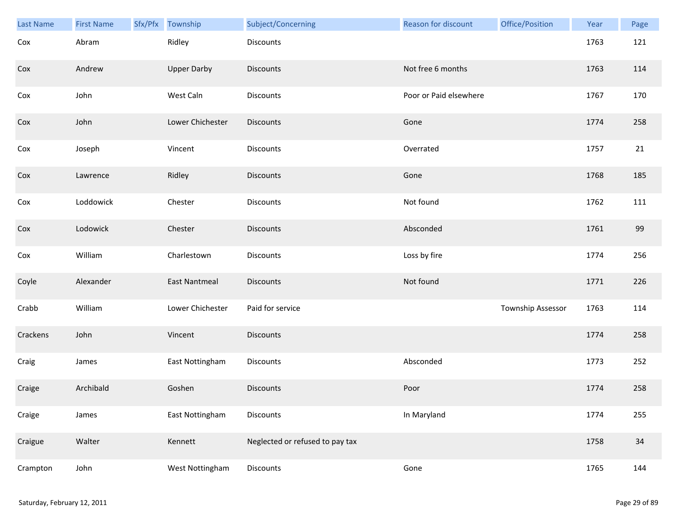| <b>Last Name</b> | <b>First Name</b> | Sfx/Pfx | Township             | Subject/Concerning              | <b>Reason for discount</b> | Office/Position   | Year | Page |
|------------------|-------------------|---------|----------------------|---------------------------------|----------------------------|-------------------|------|------|
| Cox              | Abram             |         | Ridley               | Discounts                       |                            |                   | 1763 | 121  |
| Cox              | Andrew            |         | <b>Upper Darby</b>   | Discounts                       | Not free 6 months          |                   | 1763 | 114  |
| Cox              | John              |         | West Caln            | Discounts                       | Poor or Paid elsewhere     |                   | 1767 | 170  |
| Cox              | John              |         | Lower Chichester     | Discounts                       | Gone                       |                   | 1774 | 258  |
| Cox              | Joseph            |         | Vincent              | Discounts                       | Overrated                  |                   | 1757 | 21   |
| Cox              | Lawrence          |         | Ridley               | <b>Discounts</b>                | Gone                       |                   | 1768 | 185  |
| Cox              | Loddowick         |         | Chester              | Discounts                       | Not found                  |                   | 1762 | 111  |
| Cox              | Lodowick          |         | Chester              | Discounts                       | Absconded                  |                   | 1761 | 99   |
| Cox              | William           |         | Charlestown          | Discounts                       | Loss by fire               |                   | 1774 | 256  |
| Coyle            | Alexander         |         | <b>East Nantmeal</b> | Discounts                       | Not found                  |                   | 1771 | 226  |
| Crabb            | William           |         | Lower Chichester     | Paid for service                |                            | Township Assessor | 1763 | 114  |
| Crackens         | John              |         | Vincent              | <b>Discounts</b>                |                            |                   | 1774 | 258  |
| Craig            | James             |         | East Nottingham      | Discounts                       | Absconded                  |                   | 1773 | 252  |
| Craige           | Archibald         |         | Goshen               | Discounts                       | Poor                       |                   | 1774 | 258  |
| Craige           | James             |         | East Nottingham      | Discounts                       | In Maryland                |                   | 1774 | 255  |
| Craigue          | Walter            |         | Kennett              | Neglected or refused to pay tax |                            |                   | 1758 | 34   |
| Crampton         | John              |         | West Nottingham      | Discounts                       | Gone                       |                   | 1765 | 144  |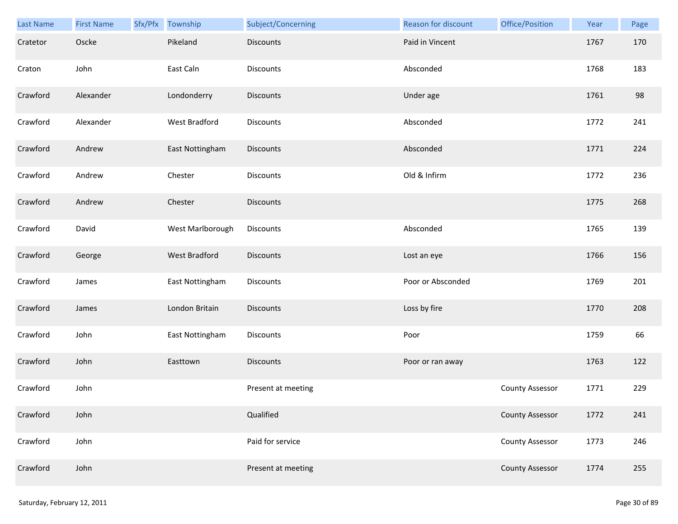| Last Name | <b>First Name</b> | Sfx/Pfx Township | Subject/Concerning | Reason for discount | Office/Position        | Year | Page |
|-----------|-------------------|------------------|--------------------|---------------------|------------------------|------|------|
| Cratetor  | Oscke             | Pikeland         | <b>Discounts</b>   | Paid in Vincent     |                        | 1767 | 170  |
| Craton    | John              | East Caln        | Discounts          | Absconded           |                        | 1768 | 183  |
| Crawford  | Alexander         | Londonderry      | Discounts          | Under age           |                        | 1761 | 98   |
| Crawford  | Alexander         | West Bradford    | <b>Discounts</b>   | Absconded           |                        | 1772 | 241  |
| Crawford  | Andrew            | East Nottingham  | Discounts          | Absconded           |                        | 1771 | 224  |
| Crawford  | Andrew            | Chester          | Discounts          | Old & Infirm        |                        | 1772 | 236  |
| Crawford  | Andrew            | Chester          | <b>Discounts</b>   |                     |                        | 1775 | 268  |
| Crawford  | David             | West Marlborough | Discounts          | Absconded           |                        | 1765 | 139  |
| Crawford  | George            | West Bradford    | <b>Discounts</b>   | Lost an eye         |                        | 1766 | 156  |
| Crawford  | James             | East Nottingham  | <b>Discounts</b>   | Poor or Absconded   |                        | 1769 | 201  |
| Crawford  | James             | London Britain   | <b>Discounts</b>   | Loss by fire        |                        | 1770 | 208  |
| Crawford  | John              | East Nottingham  | Discounts          | Poor                |                        | 1759 | 66   |
| Crawford  | John              | Easttown         | <b>Discounts</b>   | Poor or ran away    |                        | 1763 | 122  |
| Crawford  | John              |                  | Present at meeting |                     | <b>County Assessor</b> | 1771 | 229  |
| Crawford  | John              |                  | Qualified          |                     | <b>County Assessor</b> | 1772 | 241  |
| Crawford  | John              |                  | Paid for service   |                     | <b>County Assessor</b> | 1773 | 246  |
| Crawford  | John              |                  | Present at meeting |                     | <b>County Assessor</b> | 1774 | 255  |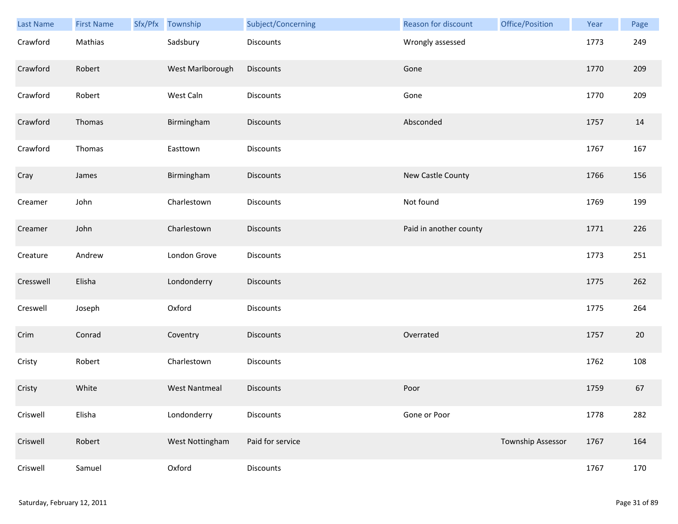| Last Name | <b>First Name</b> | Sfx/Pfx Township     | Subject/Concerning | Reason for discount    | Office/Position   | Year | Page |
|-----------|-------------------|----------------------|--------------------|------------------------|-------------------|------|------|
| Crawford  | Mathias           | Sadsbury             | Discounts          | Wrongly assessed       |                   | 1773 | 249  |
| Crawford  | Robert            | West Marlborough     | <b>Discounts</b>   | Gone                   |                   | 1770 | 209  |
| Crawford  | Robert            | West Caln            | Discounts          | Gone                   |                   | 1770 | 209  |
| Crawford  | Thomas            | Birmingham           | <b>Discounts</b>   | Absconded              |                   | 1757 | 14   |
| Crawford  | Thomas            | Easttown             | Discounts          |                        |                   | 1767 | 167  |
| Cray      | James             | Birmingham           | <b>Discounts</b>   | New Castle County      |                   | 1766 | 156  |
| Creamer   | John              | Charlestown          | Discounts          | Not found              |                   | 1769 | 199  |
| Creamer   | John              | Charlestown          | Discounts          | Paid in another county |                   | 1771 | 226  |
| Creature  | Andrew            | London Grove         | Discounts          |                        |                   | 1773 | 251  |
| Cresswell | Elisha            | Londonderry          | Discounts          |                        |                   | 1775 | 262  |
| Creswell  | Joseph            | Oxford               | Discounts          |                        |                   | 1775 | 264  |
| Crim      | Conrad            | Coventry             | Discounts          | Overrated              |                   | 1757 | 20   |
| Cristy    | Robert            | Charlestown          | Discounts          |                        |                   | 1762 | 108  |
| Cristy    | White             | <b>West Nantmeal</b> | Discounts          | Poor                   |                   | 1759 | 67   |
| Criswell  | Elisha            | Londonderry          | Discounts          | Gone or Poor           |                   | 1778 | 282  |
| Criswell  | Robert            | West Nottingham      | Paid for service   |                        | Township Assessor | 1767 | 164  |
| Criswell  | Samuel            | Oxford               | Discounts          |                        |                   | 1767 | 170  |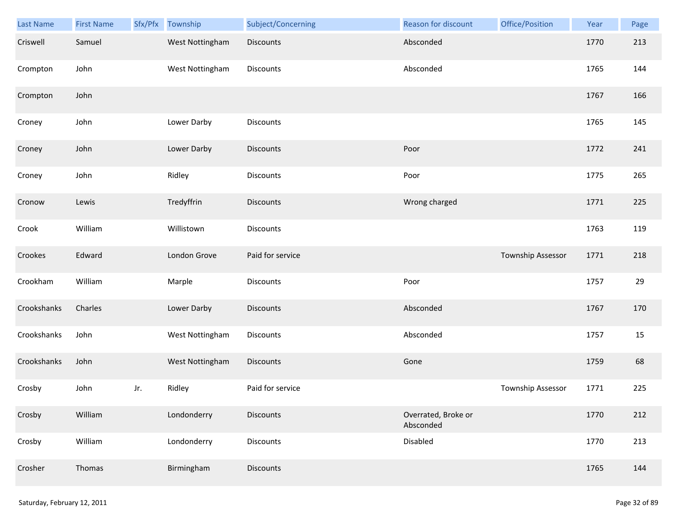| Last Name   | <b>First Name</b> | Sfx/Pfx | Township        | Subject/Concerning | Reason for discount              | Office/Position          | Year | Page |
|-------------|-------------------|---------|-----------------|--------------------|----------------------------------|--------------------------|------|------|
| Criswell    | Samuel            |         | West Nottingham | <b>Discounts</b>   | Absconded                        |                          | 1770 | 213  |
| Crompton    | John              |         | West Nottingham | Discounts          | Absconded                        |                          | 1765 | 144  |
| Crompton    | John              |         |                 |                    |                                  |                          | 1767 | 166  |
| Croney      | John              |         | Lower Darby     | Discounts          |                                  |                          | 1765 | 145  |
| Croney      | John              |         | Lower Darby     | Discounts          | Poor                             |                          | 1772 | 241  |
| Croney      | John              |         | Ridley          | Discounts          | Poor                             |                          | 1775 | 265  |
| Cronow      | Lewis             |         | Tredyffrin      | Discounts          | Wrong charged                    |                          | 1771 | 225  |
| Crook       | William           |         | Willistown      | Discounts          |                                  |                          | 1763 | 119  |
| Crookes     | Edward            |         | London Grove    | Paid for service   |                                  | <b>Township Assessor</b> | 1771 | 218  |
| Crookham    | William           |         | Marple          | Discounts          | Poor                             |                          | 1757 | 29   |
| Crookshanks | Charles           |         | Lower Darby     | <b>Discounts</b>   | Absconded                        |                          | 1767 | 170  |
| Crookshanks | John              |         | West Nottingham | Discounts          | Absconded                        |                          | 1757 | 15   |
| Crookshanks | John              |         | West Nottingham | Discounts          | Gone                             |                          | 1759 | 68   |
| Crosby      | John              | Jr.     | Ridley          | Paid for service   |                                  | Township Assessor        | 1771 | 225  |
| Crosby      | William           |         | Londonderry     | <b>Discounts</b>   | Overrated, Broke or<br>Absconded |                          | 1770 | 212  |
| Crosby      | William           |         | Londonderry     | <b>Discounts</b>   | Disabled                         |                          | 1770 | 213  |
| Crosher     | Thomas            |         | Birmingham      | Discounts          |                                  |                          | 1765 | 144  |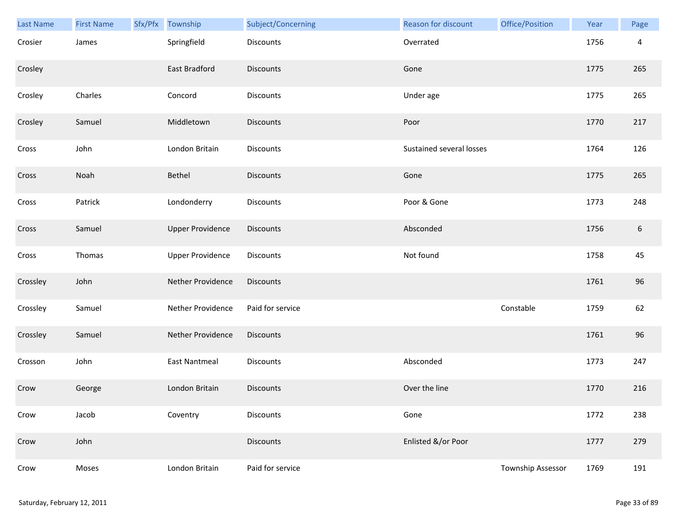| Last Name | <b>First Name</b> | Sfx/Pfx Township        | Subject/Concerning | Reason for discount      | Office/Position   | Year | Page |
|-----------|-------------------|-------------------------|--------------------|--------------------------|-------------------|------|------|
| Crosier   | James             | Springfield             | Discounts          | Overrated                |                   | 1756 | 4    |
| Crosley   |                   | <b>East Bradford</b>    | <b>Discounts</b>   | Gone                     |                   | 1775 | 265  |
| Crosley   | Charles           | Concord                 | Discounts          | Under age                |                   | 1775 | 265  |
| Crosley   | Samuel            | Middletown              | <b>Discounts</b>   | Poor                     |                   | 1770 | 217  |
| Cross     | John              | London Britain          | Discounts          | Sustained several losses |                   | 1764 | 126  |
| Cross     | Noah              | Bethel                  | <b>Discounts</b>   | Gone                     |                   | 1775 | 265  |
| Cross     | Patrick           | Londonderry             | Discounts          | Poor & Gone              |                   | 1773 | 248  |
| Cross     | Samuel            | <b>Upper Providence</b> | Discounts          | Absconded                |                   | 1756 | 6    |
| Cross     | Thomas            | <b>Upper Providence</b> | <b>Discounts</b>   | Not found                |                   | 1758 | 45   |
| Crossley  | John              | Nether Providence       | <b>Discounts</b>   |                          |                   | 1761 | 96   |
| Crossley  | Samuel            | Nether Providence       | Paid for service   |                          | Constable         | 1759 | 62   |
| Crossley  | Samuel            | Nether Providence       | Discounts          |                          |                   | 1761 | 96   |
| Crosson   | John              | East Nantmeal           | Discounts          | Absconded                |                   | 1773 | 247  |
| Crow      | George            | London Britain          | <b>Discounts</b>   | Over the line            |                   | 1770 | 216  |
| Crow      | Jacob             | Coventry                | Discounts          | Gone                     |                   | 1772 | 238  |
| Crow      | John              |                         | <b>Discounts</b>   | Enlisted &/or Poor       |                   | 1777 | 279  |
| Crow      | Moses             | London Britain          | Paid for service   |                          | Township Assessor | 1769 | 191  |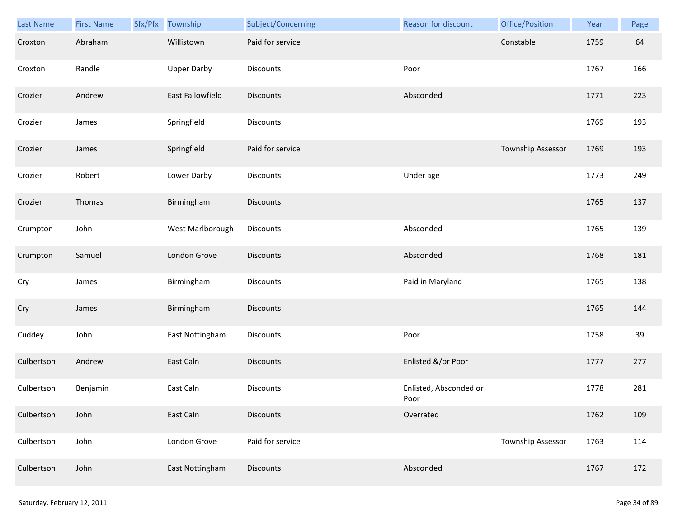| Last Name  | <b>First Name</b> | Sfx/Pfx Township   | Subject/Concerning | Reason for discount            | Office/Position          | Year | Page |
|------------|-------------------|--------------------|--------------------|--------------------------------|--------------------------|------|------|
| Croxton    | Abraham           | Willistown         | Paid for service   |                                | Constable                | 1759 | 64   |
| Croxton    | Randle            | <b>Upper Darby</b> | Discounts          | Poor                           |                          | 1767 | 166  |
| Crozier    | Andrew            | East Fallowfield   | Discounts          | Absconded                      |                          | 1771 | 223  |
| Crozier    | James             | Springfield        | <b>Discounts</b>   |                                |                          | 1769 | 193  |
| Crozier    | James             | Springfield        | Paid for service   |                                | Township Assessor        | 1769 | 193  |
| Crozier    | Robert            | Lower Darby        | Discounts          | Under age                      |                          | 1773 | 249  |
| Crozier    | Thomas            | Birmingham         | Discounts          |                                |                          | 1765 | 137  |
| Crumpton   | John              | West Marlborough   | Discounts          | Absconded                      |                          | 1765 | 139  |
| Crumpton   | Samuel            | London Grove       | <b>Discounts</b>   | Absconded                      |                          | 1768 | 181  |
| Cry        | James             | Birmingham         | <b>Discounts</b>   | Paid in Maryland               |                          | 1765 | 138  |
| Cry        | James             | Birmingham         | <b>Discounts</b>   |                                |                          | 1765 | 144  |
| Cuddey     | John              | East Nottingham    | Discounts          | Poor                           |                          | 1758 | 39   |
| Culbertson | Andrew            | East Caln          | <b>Discounts</b>   | Enlisted &/or Poor             |                          | 1777 | 277  |
| Culbertson | Benjamin          | East Caln          | <b>Discounts</b>   | Enlisted, Absconded or<br>Poor |                          | 1778 | 281  |
| Culbertson | John              | East Caln          | <b>Discounts</b>   | Overrated                      |                          | 1762 | 109  |
| Culbertson | John              | London Grove       | Paid for service   |                                | <b>Township Assessor</b> | 1763 | 114  |
| Culbertson | John              | East Nottingham    | Discounts          | Absconded                      |                          | 1767 | 172  |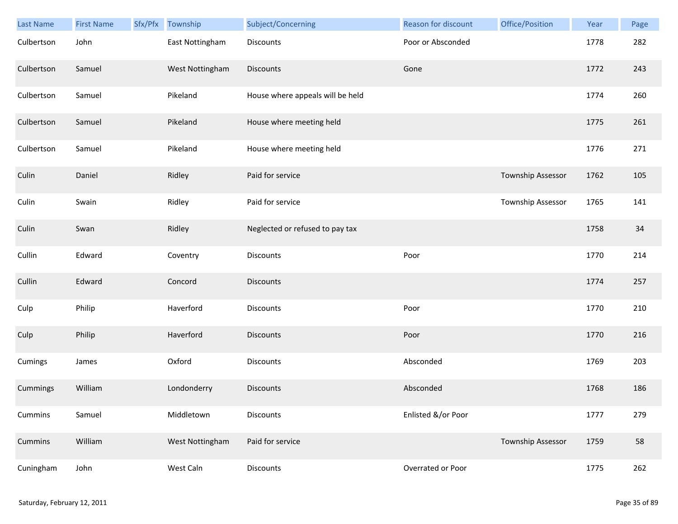| Last Name  | <b>First Name</b> | Sfx/Pfx | Township        | Subject/Concerning               | Reason for discount | Office/Position   | Year | Page |
|------------|-------------------|---------|-----------------|----------------------------------|---------------------|-------------------|------|------|
| Culbertson | John              |         | East Nottingham | <b>Discounts</b>                 | Poor or Absconded   |                   | 1778 | 282  |
| Culbertson | Samuel            |         | West Nottingham | <b>Discounts</b>                 | Gone                |                   | 1772 | 243  |
| Culbertson | Samuel            |         | Pikeland        | House where appeals will be held |                     |                   | 1774 | 260  |
| Culbertson | Samuel            |         | Pikeland        | House where meeting held         |                     |                   | 1775 | 261  |
| Culbertson | Samuel            |         | Pikeland        | House where meeting held         |                     |                   | 1776 | 271  |
| Culin      | Daniel            |         | Ridley          | Paid for service                 |                     | Township Assessor | 1762 | 105  |
| Culin      | Swain             |         | Ridley          | Paid for service                 |                     | Township Assessor | 1765 | 141  |
| Culin      | Swan              |         | Ridley          | Neglected or refused to pay tax  |                     |                   | 1758 | 34   |
| Cullin     | Edward            |         | Coventry        | <b>Discounts</b>                 | Poor                |                   | 1770 | 214  |
| Cullin     | Edward            |         | Concord         | <b>Discounts</b>                 |                     |                   | 1774 | 257  |
| Culp       | Philip            |         | Haverford       | <b>Discounts</b>                 | Poor                |                   | 1770 | 210  |
| Culp       | Philip            |         | Haverford       | Discounts                        | Poor                |                   | 1770 | 216  |
| Cumings    | James             |         | Oxford          | Discounts                        | Absconded           |                   | 1769 | 203  |
| Cummings   | William           |         | Londonderry     | <b>Discounts</b>                 | Absconded           |                   | 1768 | 186  |
| Cummins    | Samuel            |         | Middletown      | Discounts                        | Enlisted &/or Poor  |                   | 1777 | 279  |
| Cummins    | William           |         | West Nottingham | Paid for service                 |                     | Township Assessor | 1759 | 58   |
| Cuningham  | John              |         | West Caln       | Discounts                        | Overrated or Poor   |                   | 1775 | 262  |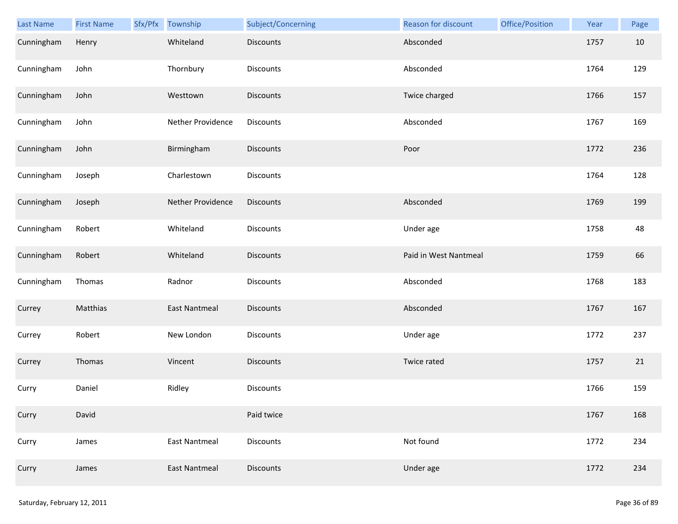| Last Name  | <b>First Name</b> | Sfx/Pfx | Township             | Subject/Concerning | Reason for discount   | Office/Position | Year | Page |
|------------|-------------------|---------|----------------------|--------------------|-----------------------|-----------------|------|------|
| Cunningham | Henry             |         | Whiteland            | Discounts          | Absconded             |                 | 1757 | 10   |
| Cunningham | John              |         | Thornbury            | Discounts          | Absconded             |                 | 1764 | 129  |
| Cunningham | John              |         | Westtown             | Discounts          | Twice charged         |                 | 1766 | 157  |
| Cunningham | John              |         | Nether Providence    | Discounts          | Absconded             |                 | 1767 | 169  |
| Cunningham | John              |         | Birmingham           | Discounts          | Poor                  |                 | 1772 | 236  |
| Cunningham | Joseph            |         | Charlestown          | Discounts          |                       |                 | 1764 | 128  |
| Cunningham | Joseph            |         | Nether Providence    | Discounts          | Absconded             |                 | 1769 | 199  |
| Cunningham | Robert            |         | Whiteland            | Discounts          | Under age             |                 | 1758 | 48   |
| Cunningham | Robert            |         | Whiteland            | Discounts          | Paid in West Nantmeal |                 | 1759 | 66   |
| Cunningham | Thomas            |         | Radnor               | Discounts          | Absconded             |                 | 1768 | 183  |
| Currey     | Matthias          |         | <b>East Nantmeal</b> | Discounts          | Absconded             |                 | 1767 | 167  |
| Currey     | Robert            |         | New London           | Discounts          | Under age             |                 | 1772 | 237  |
| Currey     | Thomas            |         | Vincent              | <b>Discounts</b>   | Twice rated           |                 | 1757 | 21   |
| Curry      | Daniel            |         | Ridley               | Discounts          |                       |                 | 1766 | 159  |
| Curry      | David             |         |                      | Paid twice         |                       |                 | 1767 | 168  |
| Curry      | James             |         | <b>East Nantmeal</b> | Discounts          | Not found             |                 | 1772 | 234  |
| Curry      | James             |         | <b>East Nantmeal</b> | Discounts          | Under age             |                 | 1772 | 234  |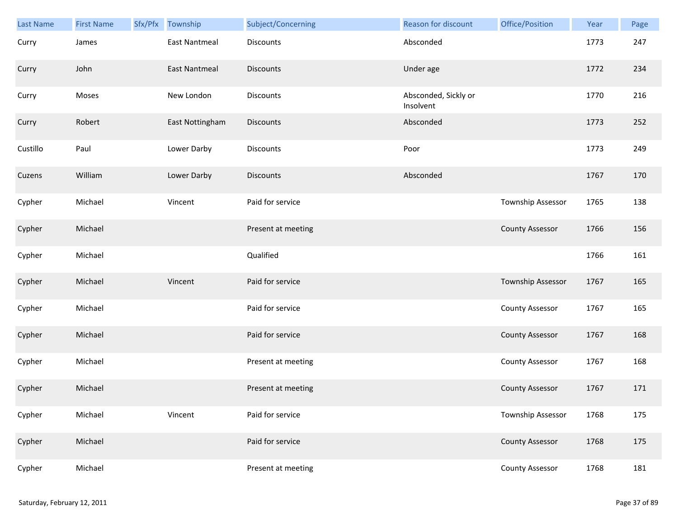| <b>Last Name</b> | <b>First Name</b> | Sfx/Pfx | Township             | Subject/Concerning | <b>Reason for discount</b>        | Office/Position        | Year | Page |
|------------------|-------------------|---------|----------------------|--------------------|-----------------------------------|------------------------|------|------|
| Curry            | James             |         | <b>East Nantmeal</b> | <b>Discounts</b>   | Absconded                         |                        | 1773 | 247  |
| Curry            | John              |         | <b>East Nantmeal</b> | <b>Discounts</b>   | Under age                         |                        | 1772 | 234  |
| Curry            | Moses             |         | New London           | <b>Discounts</b>   | Absconded, Sickly or<br>Insolvent |                        | 1770 | 216  |
| Curry            | Robert            |         | East Nottingham      | <b>Discounts</b>   | Absconded                         |                        | 1773 | 252  |
| Custillo         | Paul              |         | Lower Darby          | Discounts          | Poor                              |                        | 1773 | 249  |
| Cuzens           | William           |         | Lower Darby          | <b>Discounts</b>   | Absconded                         |                        | 1767 | 170  |
| Cypher           | Michael           |         | Vincent              | Paid for service   |                                   | Township Assessor      | 1765 | 138  |
| Cypher           | Michael           |         |                      | Present at meeting |                                   | <b>County Assessor</b> | 1766 | 156  |
| Cypher           | Michael           |         |                      | Qualified          |                                   |                        | 1766 | 161  |
| Cypher           | Michael           |         | Vincent              | Paid for service   |                                   | Township Assessor      | 1767 | 165  |
| Cypher           | Michael           |         |                      | Paid for service   |                                   | <b>County Assessor</b> | 1767 | 165  |
| Cypher           | Michael           |         |                      | Paid for service   |                                   | <b>County Assessor</b> | 1767 | 168  |
| Cypher           | Michael           |         |                      | Present at meeting |                                   | County Assessor        | 1767 | 168  |
| Cypher           | Michael           |         |                      | Present at meeting |                                   | <b>County Assessor</b> | 1767 | 171  |
| Cypher           | Michael           |         | Vincent              | Paid for service   |                                   | Township Assessor      | 1768 | 175  |
| Cypher           | Michael           |         |                      | Paid for service   |                                   | <b>County Assessor</b> | 1768 | 175  |
| Cypher           | Michael           |         |                      | Present at meeting |                                   | <b>County Assessor</b> | 1768 | 181  |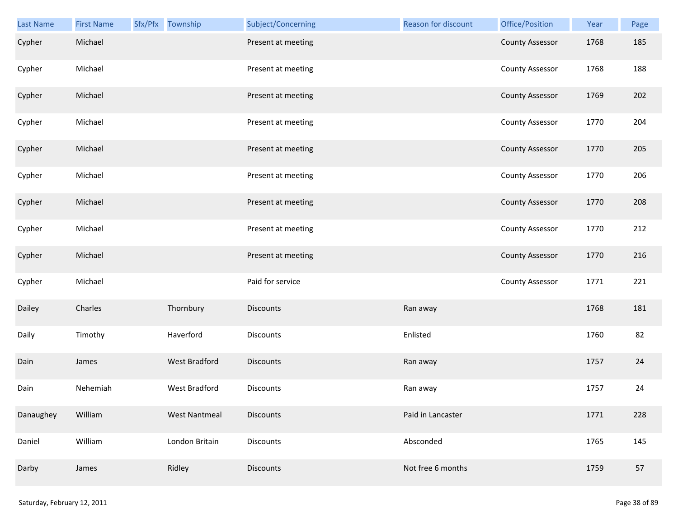| <b>Last Name</b> | <b>First Name</b> | Sfx/Pfx Township     | Subject/Concerning | Reason for discount | Office/Position        | Year | Page |
|------------------|-------------------|----------------------|--------------------|---------------------|------------------------|------|------|
| Cypher           | Michael           |                      | Present at meeting |                     | <b>County Assessor</b> | 1768 | 185  |
| Cypher           | Michael           |                      | Present at meeting |                     | <b>County Assessor</b> | 1768 | 188  |
| Cypher           | Michael           |                      | Present at meeting |                     | <b>County Assessor</b> | 1769 | 202  |
| Cypher           | Michael           |                      | Present at meeting |                     | <b>County Assessor</b> | 1770 | 204  |
| Cypher           | Michael           |                      | Present at meeting |                     | <b>County Assessor</b> | 1770 | 205  |
| Cypher           | Michael           |                      | Present at meeting |                     | <b>County Assessor</b> | 1770 | 206  |
| Cypher           | Michael           |                      | Present at meeting |                     | <b>County Assessor</b> | 1770 | 208  |
| Cypher           | Michael           |                      | Present at meeting |                     | <b>County Assessor</b> | 1770 | 212  |
| Cypher           | Michael           |                      | Present at meeting |                     | <b>County Assessor</b> | 1770 | 216  |
| Cypher           | Michael           |                      | Paid for service   |                     | <b>County Assessor</b> | 1771 | 221  |
| Dailey           | Charles           | Thornbury            | <b>Discounts</b>   | Ran away            |                        | 1768 | 181  |
| Daily            | Timothy           | Haverford            | Discounts          | Enlisted            |                        | 1760 | 82   |
| Dain             | James             | <b>West Bradford</b> | Discounts          | Ran away            |                        | 1757 | 24   |
| Dain             | Nehemiah          | <b>West Bradford</b> | Discounts          | Ran away            |                        | 1757 | 24   |
| Danaughey        | William           | <b>West Nantmeal</b> | <b>Discounts</b>   | Paid in Lancaster   |                        | 1771 | 228  |
| Daniel           | William           | London Britain       | Discounts          | Absconded           |                        | 1765 | 145  |
| Darby            | James             | Ridley               | <b>Discounts</b>   | Not free 6 months   |                        | 1759 | 57   |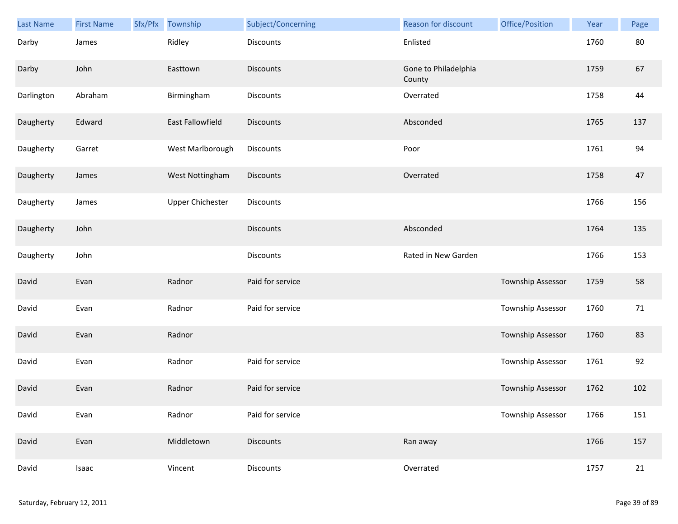| Last Name  | <b>First Name</b> | Sfx/Pfx Township        | Subject/Concerning | Reason for discount            | Office/Position          | Year | Page |
|------------|-------------------|-------------------------|--------------------|--------------------------------|--------------------------|------|------|
| Darby      | James             | Ridley                  | <b>Discounts</b>   | Enlisted                       |                          | 1760 | 80   |
| Darby      | John              | Easttown                | <b>Discounts</b>   | Gone to Philadelphia<br>County |                          | 1759 | 67   |
| Darlington | Abraham           | Birmingham              | Discounts          | Overrated                      |                          | 1758 | 44   |
| Daugherty  | Edward            | East Fallowfield        | <b>Discounts</b>   | Absconded                      |                          | 1765 | 137  |
| Daugherty  | Garret            | West Marlborough        | Discounts          | Poor                           |                          | 1761 | 94   |
| Daugherty  | James             | West Nottingham         | Discounts          | Overrated                      |                          | 1758 | 47   |
| Daugherty  | James             | <b>Upper Chichester</b> | Discounts          |                                |                          | 1766 | 156  |
| Daugherty  | John              |                         | <b>Discounts</b>   | Absconded                      |                          | 1764 | 135  |
| Daugherty  | John              |                         | Discounts          | Rated in New Garden            |                          | 1766 | 153  |
| David      | Evan              | Radnor                  | Paid for service   |                                | Township Assessor        | 1759 | 58   |
| David      | Evan              | Radnor                  | Paid for service   |                                | <b>Township Assessor</b> | 1760 | 71   |
| David      | Evan              | Radnor                  |                    |                                | Township Assessor        | 1760 | 83   |
| David      | Evan              | Radnor                  | Paid for service   |                                | Township Assessor        | 1761 | 92   |
| David      | Evan              | Radnor                  | Paid for service   |                                | <b>Township Assessor</b> | 1762 | 102  |
| David      | Evan              | Radnor                  | Paid for service   |                                | Township Assessor        | 1766 | 151  |
| David      | Evan              | Middletown              | <b>Discounts</b>   | Ran away                       |                          | 1766 | 157  |
| David      | Isaac             | Vincent                 | Discounts          | Overrated                      |                          | 1757 | 21   |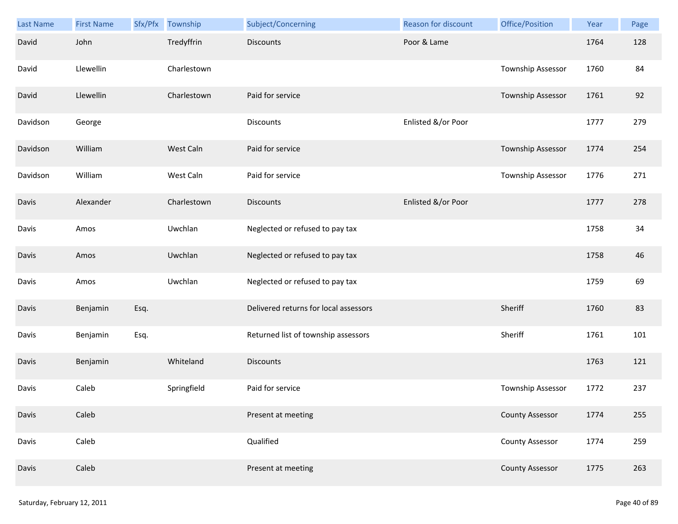| Last Name | <b>First Name</b> | Sfx/Pfx | Township    | Subject/Concerning                    | Reason for discount | Office/Position        | Year | Page |
|-----------|-------------------|---------|-------------|---------------------------------------|---------------------|------------------------|------|------|
| David     | John              |         | Tredyffrin  | <b>Discounts</b>                      | Poor & Lame         |                        | 1764 | 128  |
| David     | Llewellin         |         | Charlestown |                                       |                     | Township Assessor      | 1760 | 84   |
| David     | Llewellin         |         | Charlestown | Paid for service                      |                     | Township Assessor      | 1761 | 92   |
| Davidson  | George            |         |             | <b>Discounts</b>                      | Enlisted &/or Poor  |                        | 1777 | 279  |
| Davidson  | William           |         | West Caln   | Paid for service                      |                     | Township Assessor      | 1774 | 254  |
| Davidson  | William           |         | West Caln   | Paid for service                      |                     | Township Assessor      | 1776 | 271  |
| Davis     | Alexander         |         | Charlestown | <b>Discounts</b>                      | Enlisted &/or Poor  |                        | 1777 | 278  |
| Davis     | Amos              |         | Uwchlan     | Neglected or refused to pay tax       |                     |                        | 1758 | 34   |
| Davis     | Amos              |         | Uwchlan     | Neglected or refused to pay tax       |                     |                        | 1758 | 46   |
| Davis     | Amos              |         | Uwchlan     | Neglected or refused to pay tax       |                     |                        | 1759 | 69   |
| Davis     | Benjamin          | Esq.    |             | Delivered returns for local assessors |                     | Sheriff                | 1760 | 83   |
| Davis     | Benjamin          | Esq.    |             | Returned list of township assessors   |                     | Sheriff                | 1761 | 101  |
| Davis     | Benjamin          |         | Whiteland   | <b>Discounts</b>                      |                     |                        | 1763 | 121  |
| Davis     | Caleb             |         | Springfield | Paid for service                      |                     | Township Assessor      | 1772 | 237  |
| Davis     | Caleb             |         |             | Present at meeting                    |                     | <b>County Assessor</b> | 1774 | 255  |
| Davis     | Caleb             |         |             | Qualified                             |                     | <b>County Assessor</b> | 1774 | 259  |
| Davis     | Caleb             |         |             | Present at meeting                    |                     | <b>County Assessor</b> | 1775 | 263  |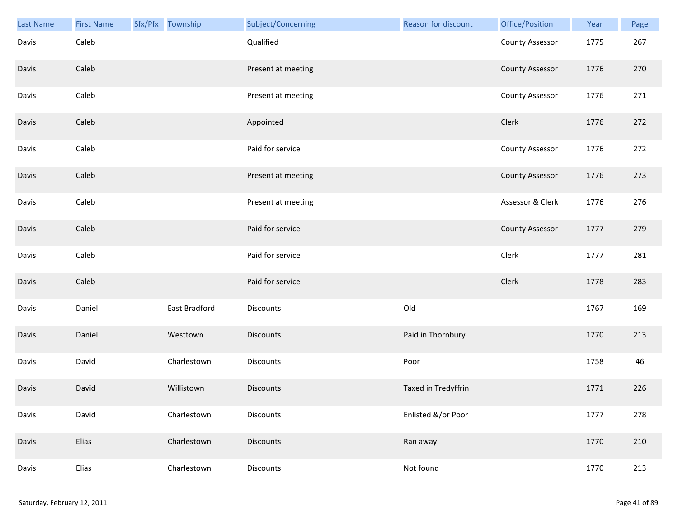| <b>Last Name</b> | <b>First Name</b> | Sfx/Pfx Township |               | Subject/Concerning | Reason for discount | Office/Position        | Year | Page |
|------------------|-------------------|------------------|---------------|--------------------|---------------------|------------------------|------|------|
| Davis            | Caleb             |                  |               | Qualified          |                     | <b>County Assessor</b> | 1775 | 267  |
| Davis            | Caleb             |                  |               | Present at meeting |                     | <b>County Assessor</b> | 1776 | 270  |
| Davis            | Caleb             |                  |               | Present at meeting |                     | <b>County Assessor</b> | 1776 | 271  |
| Davis            | Caleb             |                  |               | Appointed          |                     | Clerk                  | 1776 | 272  |
| Davis            | Caleb             |                  |               | Paid for service   |                     | <b>County Assessor</b> | 1776 | 272  |
| Davis            | Caleb             |                  |               | Present at meeting |                     | <b>County Assessor</b> | 1776 | 273  |
| Davis            | Caleb             |                  |               | Present at meeting |                     | Assessor & Clerk       | 1776 | 276  |
| Davis            | Caleb             |                  |               | Paid for service   |                     | <b>County Assessor</b> | 1777 | 279  |
| Davis            | Caleb             |                  |               | Paid for service   |                     | Clerk                  | 1777 | 281  |
| Davis            | Caleb             |                  |               | Paid for service   |                     | Clerk                  | 1778 | 283  |
| Davis            | Daniel            |                  | East Bradford | Discounts          | Old                 |                        | 1767 | 169  |
| Davis            | Daniel            |                  | Westtown      | <b>Discounts</b>   | Paid in Thornbury   |                        | 1770 | 213  |
| Davis            | David             |                  | Charlestown   | Discounts          | Poor                |                        | 1758 | 46   |
| Davis            | David             |                  | Willistown    | <b>Discounts</b>   | Taxed in Tredyffrin |                        | 1771 | 226  |
| Davis            | David             |                  | Charlestown   | <b>Discounts</b>   | Enlisted &/or Poor  |                        | 1777 | 278  |
| Davis            | Elias             |                  | Charlestown   | <b>Discounts</b>   | Ran away            |                        | 1770 | 210  |
| Davis            | Elias             |                  | Charlestown   | Discounts          | Not found           |                        | 1770 | 213  |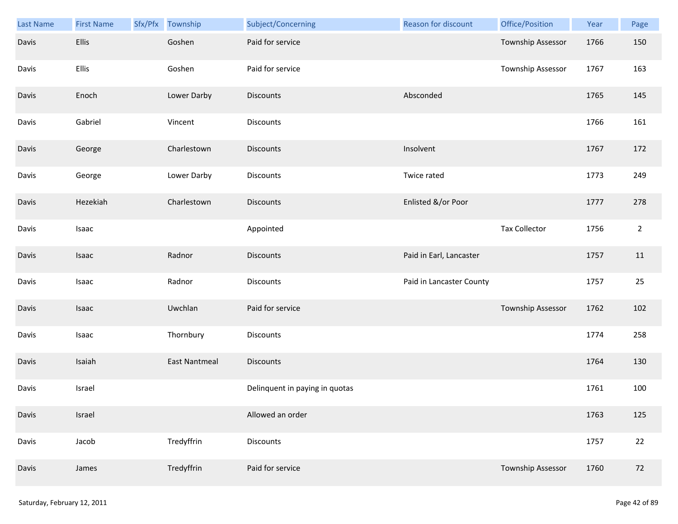| <b>Last Name</b> | <b>First Name</b> | Sfx/Pfx | Township             | Subject/Concerning             | <b>Reason for discount</b> | Office/Position          | Year | Page           |
|------------------|-------------------|---------|----------------------|--------------------------------|----------------------------|--------------------------|------|----------------|
| Davis            | <b>Ellis</b>      |         | Goshen               | Paid for service               |                            | Township Assessor        | 1766 | 150            |
| Davis            | Ellis             |         | Goshen               | Paid for service               |                            | Township Assessor        | 1767 | 163            |
| Davis            | Enoch             |         | Lower Darby          | <b>Discounts</b>               | Absconded                  |                          | 1765 | 145            |
| Davis            | Gabriel           |         | Vincent              | <b>Discounts</b>               |                            |                          | 1766 | 161            |
| Davis            | George            |         | Charlestown          | <b>Discounts</b>               | Insolvent                  |                          | 1767 | 172            |
| Davis            | George            |         | Lower Darby          | <b>Discounts</b>               | Twice rated                |                          | 1773 | 249            |
| Davis            | Hezekiah          |         | Charlestown          | <b>Discounts</b>               | Enlisted &/or Poor         |                          | 1777 | 278            |
| Davis            | Isaac             |         |                      | Appointed                      |                            | <b>Tax Collector</b>     | 1756 | $\overline{2}$ |
| Davis            | Isaac             |         | Radnor               | <b>Discounts</b>               | Paid in Earl, Lancaster    |                          | 1757 | 11             |
| Davis            | Isaac             |         | Radnor               | Discounts                      | Paid in Lancaster County   |                          | 1757 | 25             |
| Davis            | Isaac             |         | Uwchlan              | Paid for service               |                            | Township Assessor        | 1762 | 102            |
| Davis            | Isaac             |         | Thornbury            | Discounts                      |                            |                          | 1774 | 258            |
| Davis            | Isaiah            |         | <b>East Nantmeal</b> | Discounts                      |                            |                          | 1764 | 130            |
| Davis            | Israel            |         |                      | Delinquent in paying in quotas |                            |                          | 1761 | 100            |
| Davis            | Israel            |         |                      | Allowed an order               |                            |                          | 1763 | 125            |
| Davis            | Jacob             |         | Tredyffrin           | Discounts                      |                            |                          | 1757 | 22             |
| Davis            | James             |         | Tredyffrin           | Paid for service               |                            | <b>Township Assessor</b> | 1760 | 72             |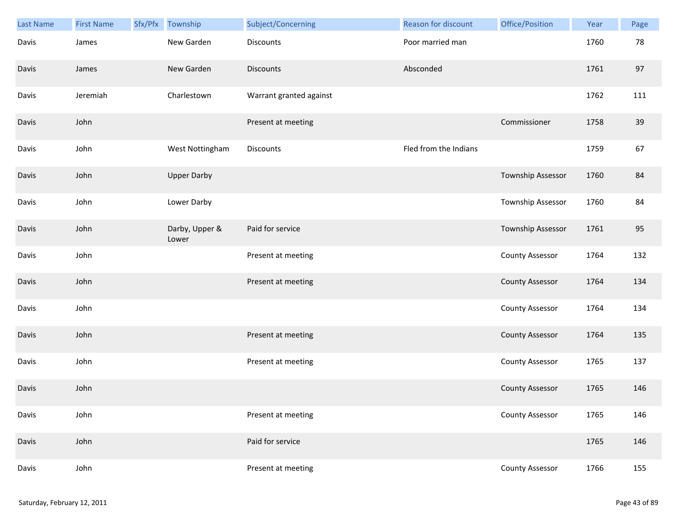| Last Name | <b>First Name</b> | Sfx/Pfx | Township                | Subject/Concerning      | Reason for discount   | Office/Position        | Year | Page |
|-----------|-------------------|---------|-------------------------|-------------------------|-----------------------|------------------------|------|------|
| Davis     | James             |         | New Garden              | <b>Discounts</b>        | Poor married man      |                        | 1760 | 78   |
| Davis     | James             |         | New Garden              | <b>Discounts</b>        | Absconded             |                        | 1761 | 97   |
| Davis     | Jeremiah          |         | Charlestown             | Warrant granted against |                       |                        | 1762 | 111  |
| Davis     | John              |         |                         | Present at meeting      |                       | Commissioner           | 1758 | 39   |
| Davis     | John              |         | West Nottingham         | <b>Discounts</b>        | Fled from the Indians |                        | 1759 | 67   |
| Davis     | John              |         | <b>Upper Darby</b>      |                         |                       | Township Assessor      | 1760 | 84   |
| Davis     | John              |         | Lower Darby             |                         |                       | Township Assessor      | 1760 | 84   |
| Davis     | John              |         | Darby, Upper &<br>Lower | Paid for service        |                       | Township Assessor      | 1761 | 95   |
| Davis     | John              |         |                         | Present at meeting      |                       | <b>County Assessor</b> | 1764 | 132  |
| Davis     | John              |         |                         | Present at meeting      |                       | <b>County Assessor</b> | 1764 | 134  |
| Davis     | John              |         |                         |                         |                       | <b>County Assessor</b> | 1764 | 134  |
| Davis     | John              |         |                         | Present at meeting      |                       | <b>County Assessor</b> | 1764 | 135  |
| Davis     | John              |         |                         | Present at meeting      |                       | <b>County Assessor</b> | 1765 | 137  |
| Davis     | John              |         |                         |                         |                       | <b>County Assessor</b> | 1765 | 146  |
| Davis     | John              |         |                         | Present at meeting      |                       | <b>County Assessor</b> | 1765 | 146  |
| Davis     | John              |         |                         | Paid for service        |                       |                        | 1765 | 146  |
| Davis     | John              |         |                         | Present at meeting      |                       | <b>County Assessor</b> | 1766 | 155  |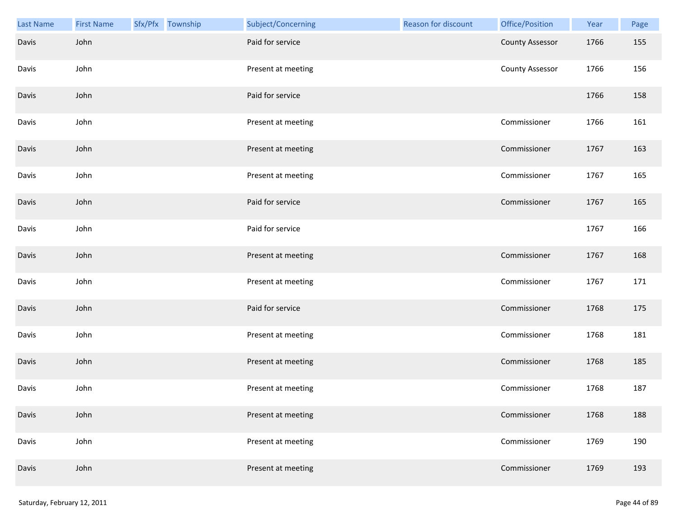| <b>Last Name</b> | <b>First Name</b> | Sfx/Pfx Township | Subject/Concerning | Reason for discount | Office/Position        | Year | Page |
|------------------|-------------------|------------------|--------------------|---------------------|------------------------|------|------|
| Davis            | John              |                  | Paid for service   |                     | <b>County Assessor</b> | 1766 | 155  |
| Davis            | John              |                  | Present at meeting |                     | <b>County Assessor</b> | 1766 | 156  |
| Davis            | John              |                  | Paid for service   |                     |                        | 1766 | 158  |
| Davis            | John              |                  | Present at meeting |                     | Commissioner           | 1766 | 161  |
| Davis            | John              |                  | Present at meeting |                     | Commissioner           | 1767 | 163  |
| Davis            | John              |                  | Present at meeting |                     | Commissioner           | 1767 | 165  |
| Davis            | John              |                  | Paid for service   |                     | Commissioner           | 1767 | 165  |
| Davis            | John              |                  | Paid for service   |                     |                        | 1767 | 166  |
| Davis            | John              |                  | Present at meeting |                     | Commissioner           | 1767 | 168  |
| Davis            | John              |                  | Present at meeting |                     | Commissioner           | 1767 | 171  |
| Davis            | John              |                  | Paid for service   |                     | Commissioner           | 1768 | 175  |
| Davis            | John              |                  | Present at meeting |                     | Commissioner           | 1768 | 181  |
| Davis            | John              |                  | Present at meeting |                     | Commissioner           | 1768 | 185  |
| Davis            | John              |                  | Present at meeting |                     | Commissioner           | 1768 | 187  |
| Davis            | John              |                  | Present at meeting |                     | Commissioner           | 1768 | 188  |
| Davis            | John              |                  | Present at meeting |                     | Commissioner           | 1769 | 190  |
| Davis            | John              |                  | Present at meeting |                     | Commissioner           | 1769 | 193  |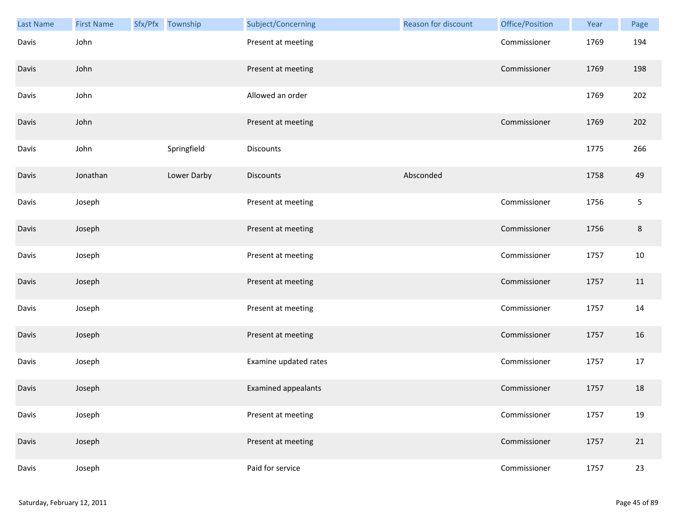| <b>Last Name</b> | <b>First Name</b> | Sfx/Pfx Township | Subject/Concerning         | Reason for discount | Office/Position | Year | Page       |
|------------------|-------------------|------------------|----------------------------|---------------------|-----------------|------|------------|
| Davis            | John              |                  | Present at meeting         |                     | Commissioner    | 1769 | 194        |
| Davis            | John              |                  | Present at meeting         |                     | Commissioner    | 1769 | 198        |
| Davis            | John              |                  | Allowed an order           |                     |                 | 1769 | 202        |
| Davis            | John              |                  | Present at meeting         |                     | Commissioner    | 1769 | 202        |
| Davis            | John              | Springfield      | Discounts                  |                     |                 | 1775 | 266        |
| Davis            | Jonathan          | Lower Darby      | <b>Discounts</b>           | Absconded           |                 | 1758 | 49         |
| Davis            | Joseph            |                  | Present at meeting         |                     | Commissioner    | 1756 | $\sqrt{5}$ |
| Davis            | Joseph            |                  | Present at meeting         |                     | Commissioner    | 1756 | $\,8\,$    |
| Davis            | Joseph            |                  | Present at meeting         |                     | Commissioner    | 1757 | 10         |
| Davis            | Joseph            |                  | Present at meeting         |                     | Commissioner    | 1757 | 11         |
| Davis            | Joseph            |                  | Present at meeting         |                     | Commissioner    | 1757 | 14         |
| Davis            | Joseph            |                  | Present at meeting         |                     | Commissioner    | 1757 | 16         |
| Davis            | Joseph            |                  | Examine updated rates      |                     | Commissioner    | 1757 | 17         |
| Davis            | Joseph            |                  | <b>Examined appealants</b> |                     | Commissioner    | 1757 | 18         |
| Davis            | Joseph            |                  | Present at meeting         |                     | Commissioner    | 1757 | 19         |
| Davis            | Joseph            |                  | Present at meeting         |                     | Commissioner    | 1757 | 21         |
| Davis            | Joseph            |                  | Paid for service           |                     | Commissioner    | 1757 | 23         |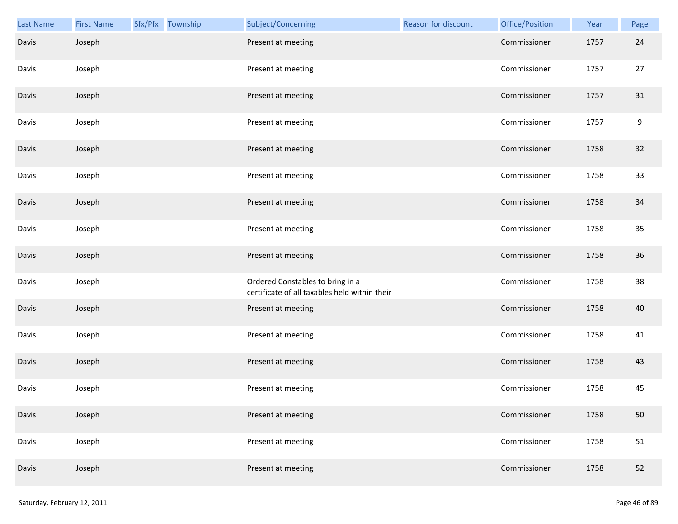| <b>Last Name</b> | <b>First Name</b> | Sfx/Pfx Township | Subject/Concerning                                                                | Reason for discount | Office/Position | Year | Page |
|------------------|-------------------|------------------|-----------------------------------------------------------------------------------|---------------------|-----------------|------|------|
| Davis            | Joseph            |                  | Present at meeting                                                                |                     | Commissioner    | 1757 | 24   |
| Davis            | Joseph            |                  | Present at meeting                                                                |                     | Commissioner    | 1757 | 27   |
| Davis            | Joseph            |                  | Present at meeting                                                                |                     | Commissioner    | 1757 | 31   |
| Davis            | Joseph            |                  | Present at meeting                                                                |                     | Commissioner    | 1757 | 9    |
| Davis            | Joseph            |                  | Present at meeting                                                                |                     | Commissioner    | 1758 | 32   |
| Davis            | Joseph            |                  | Present at meeting                                                                |                     | Commissioner    | 1758 | 33   |
| Davis            | Joseph            |                  | Present at meeting                                                                |                     | Commissioner    | 1758 | 34   |
| Davis            | Joseph            |                  | Present at meeting                                                                |                     | Commissioner    | 1758 | 35   |
| Davis            | Joseph            |                  | Present at meeting                                                                |                     | Commissioner    | 1758 | 36   |
| Davis            | Joseph            |                  | Ordered Constables to bring in a<br>certificate of all taxables held within their |                     | Commissioner    | 1758 | 38   |
| Davis            | Joseph            |                  | Present at meeting                                                                |                     | Commissioner    | 1758 | 40   |
| Davis            | Joseph            |                  | Present at meeting                                                                |                     | Commissioner    | 1758 | 41   |
| Davis            | Joseph            |                  | Present at meeting                                                                |                     | Commissioner    | 1758 | 43   |
| Davis            | Joseph            |                  | Present at meeting                                                                |                     | Commissioner    | 1758 | 45   |
| Davis            | Joseph            |                  | Present at meeting                                                                |                     | Commissioner    | 1758 | 50   |
| Davis            | Joseph            |                  | Present at meeting                                                                |                     | Commissioner    | 1758 | 51   |
| Davis            | Joseph            |                  | Present at meeting                                                                |                     | Commissioner    | 1758 | 52   |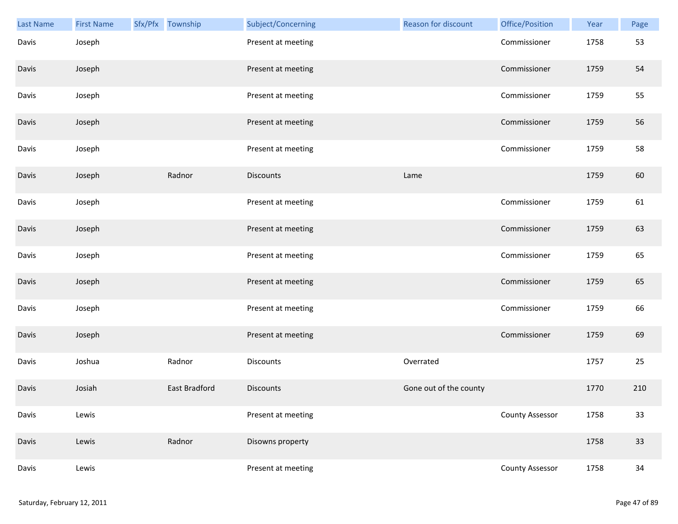| Last Name | <b>First Name</b> | Sfx/Pfx Township     | Subject/Concerning | Reason for discount    | Office/Position        | Year | Page   |
|-----------|-------------------|----------------------|--------------------|------------------------|------------------------|------|--------|
| Davis     | Joseph            |                      | Present at meeting |                        | Commissioner           | 1758 | 53     |
| Davis     | Joseph            |                      | Present at meeting |                        | Commissioner           | 1759 | 54     |
| Davis     | Joseph            |                      | Present at meeting |                        | Commissioner           | 1759 | 55     |
| Davis     | Joseph            |                      | Present at meeting |                        | Commissioner           | 1759 | 56     |
| Davis     | Joseph            |                      | Present at meeting |                        | Commissioner           | 1759 | 58     |
| Davis     | Joseph            | Radnor               | <b>Discounts</b>   | Lame                   |                        | 1759 | 60     |
| Davis     | Joseph            |                      | Present at meeting |                        | Commissioner           | 1759 | 61     |
| Davis     | Joseph            |                      | Present at meeting |                        | Commissioner           | 1759 | 63     |
| Davis     | Joseph            |                      | Present at meeting |                        | Commissioner           | 1759 | 65     |
| Davis     | Joseph            |                      | Present at meeting |                        | Commissioner           | 1759 | 65     |
| Davis     | Joseph            |                      | Present at meeting |                        | Commissioner           | 1759 | 66     |
| Davis     | Joseph            |                      | Present at meeting |                        | Commissioner           | 1759 | 69     |
| Davis     | Joshua            | Radnor               | Discounts          | Overrated              |                        | 1757 | 25     |
| Davis     | Josiah            | <b>East Bradford</b> | <b>Discounts</b>   | Gone out of the county |                        | 1770 | 210    |
| Davis     | Lewis             |                      | Present at meeting |                        | County Assessor        | 1758 | 33     |
| Davis     | Lewis             | Radnor               | Disowns property   |                        |                        | 1758 | $33$   |
| Davis     | Lewis             |                      | Present at meeting |                        | <b>County Assessor</b> | 1758 | $34\,$ |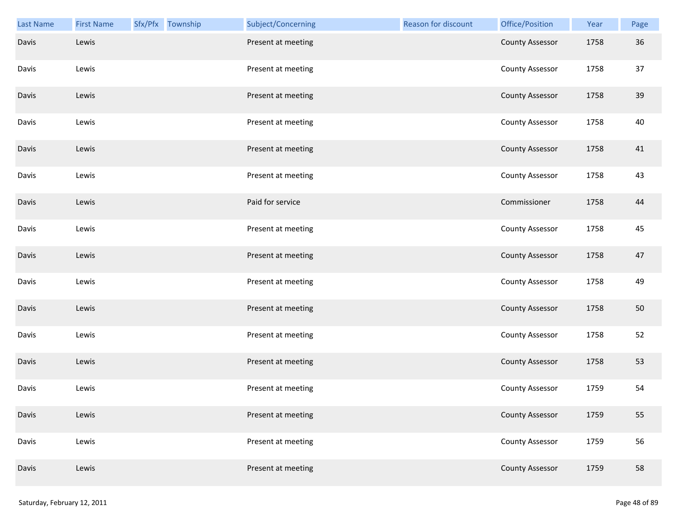| <b>Last Name</b> | <b>First Name</b> | Sfx/Pfx Township | Subject/Concerning | Reason for discount | Office/Position        | Year | Page |
|------------------|-------------------|------------------|--------------------|---------------------|------------------------|------|------|
| Davis            | Lewis             |                  | Present at meeting |                     | <b>County Assessor</b> | 1758 | 36   |
| Davis            | Lewis             |                  | Present at meeting |                     | <b>County Assessor</b> | 1758 | 37   |
| Davis            | Lewis             |                  | Present at meeting |                     | <b>County Assessor</b> | 1758 | 39   |
| Davis            | Lewis             |                  | Present at meeting |                     | <b>County Assessor</b> | 1758 | 40   |
| Davis            | Lewis             |                  | Present at meeting |                     | <b>County Assessor</b> | 1758 | 41   |
| Davis            | Lewis             |                  | Present at meeting |                     | <b>County Assessor</b> | 1758 | 43   |
| Davis            | Lewis             |                  | Paid for service   |                     | Commissioner           | 1758 | 44   |
| Davis            | Lewis             |                  | Present at meeting |                     | <b>County Assessor</b> | 1758 | 45   |
| Davis            | Lewis             |                  | Present at meeting |                     | <b>County Assessor</b> | 1758 | 47   |
| Davis            | Lewis             |                  | Present at meeting |                     | <b>County Assessor</b> | 1758 | 49   |
| Davis            | Lewis             |                  | Present at meeting |                     | <b>County Assessor</b> | 1758 | 50   |
| Davis            | Lewis             |                  | Present at meeting |                     | <b>County Assessor</b> | 1758 | 52   |
| Davis            | Lewis             |                  | Present at meeting |                     | <b>County Assessor</b> | 1758 | 53   |
| Davis            | Lewis             |                  | Present at meeting |                     | <b>County Assessor</b> | 1759 | 54   |
| Davis            | Lewis             |                  | Present at meeting |                     | <b>County Assessor</b> | 1759 | 55   |
| Davis            | Lewis             |                  | Present at meeting |                     | <b>County Assessor</b> | 1759 | 56   |
| Davis            | Lewis             |                  | Present at meeting |                     | <b>County Assessor</b> | 1759 | 58   |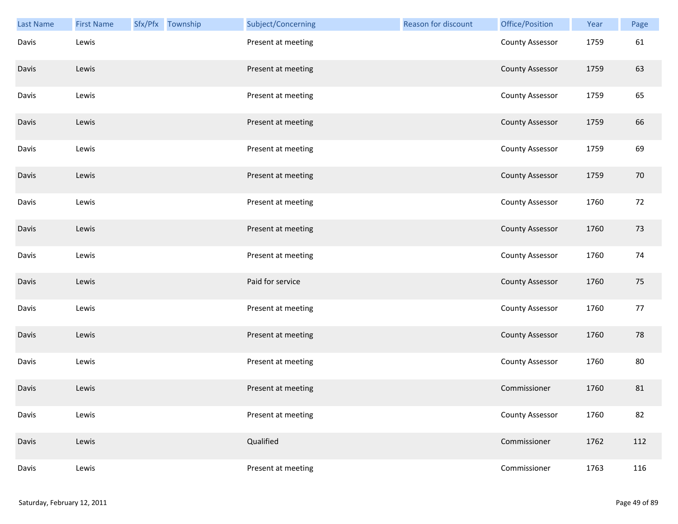| <b>Last Name</b> | <b>First Name</b> | Sfx/Pfx Township | Subject/Concerning | Reason for discount | Office/Position        | Year | Page |
|------------------|-------------------|------------------|--------------------|---------------------|------------------------|------|------|
| Davis            | Lewis             |                  | Present at meeting |                     | <b>County Assessor</b> | 1759 | 61   |
| Davis            | Lewis             |                  | Present at meeting |                     | <b>County Assessor</b> | 1759 | 63   |
| Davis            | Lewis             |                  | Present at meeting |                     | <b>County Assessor</b> | 1759 | 65   |
| Davis            | Lewis             |                  | Present at meeting |                     | <b>County Assessor</b> | 1759 | 66   |
| Davis            | Lewis             |                  | Present at meeting |                     | <b>County Assessor</b> | 1759 | 69   |
| Davis            | Lewis             |                  | Present at meeting |                     | <b>County Assessor</b> | 1759 | 70   |
| Davis            | Lewis             |                  | Present at meeting |                     | <b>County Assessor</b> | 1760 | 72   |
| Davis            | Lewis             |                  | Present at meeting |                     | <b>County Assessor</b> | 1760 | 73   |
| Davis            | Lewis             |                  | Present at meeting |                     | <b>County Assessor</b> | 1760 | 74   |
| Davis            | Lewis             |                  | Paid for service   |                     | <b>County Assessor</b> | 1760 | 75   |
| Davis            | Lewis             |                  | Present at meeting |                     | <b>County Assessor</b> | 1760 | 77   |
| Davis            | Lewis             |                  | Present at meeting |                     | <b>County Assessor</b> | 1760 | 78   |
| Davis            | Lewis             |                  | Present at meeting |                     | <b>County Assessor</b> | 1760 | 80   |
| Davis            | Lewis             |                  | Present at meeting |                     | Commissioner           | 1760 | 81   |
| Davis            | Lewis             |                  | Present at meeting |                     | <b>County Assessor</b> | 1760 | 82   |
| Davis            | Lewis             |                  | Qualified          |                     | Commissioner           | 1762 | 112  |
| Davis            | Lewis             |                  | Present at meeting |                     | Commissioner           | 1763 | 116  |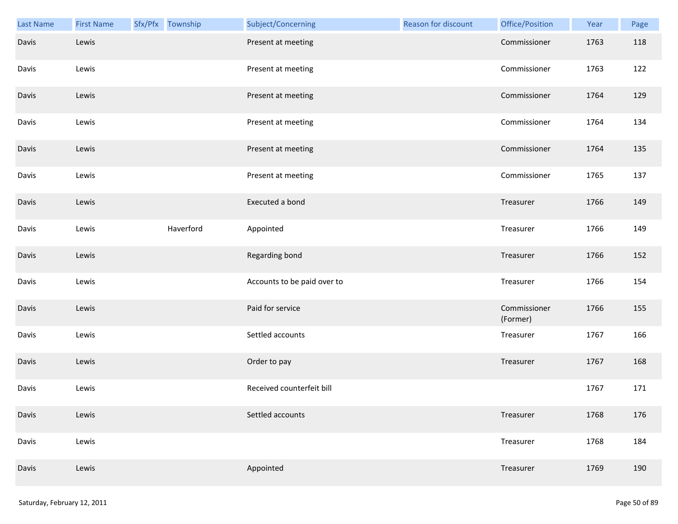| <b>Last Name</b> | <b>First Name</b> | Sfx/Pfx Township | Subject/Concerning          | <b>Reason for discount</b> | Office/Position          | Year | Page |
|------------------|-------------------|------------------|-----------------------------|----------------------------|--------------------------|------|------|
| Davis            | Lewis             |                  | Present at meeting          |                            | Commissioner             | 1763 | 118  |
| Davis            | Lewis             |                  | Present at meeting          |                            | Commissioner             | 1763 | 122  |
| Davis            | Lewis             |                  | Present at meeting          |                            | Commissioner             | 1764 | 129  |
| Davis            | Lewis             |                  | Present at meeting          |                            | Commissioner             | 1764 | 134  |
| Davis            | Lewis             |                  | Present at meeting          |                            | Commissioner             | 1764 | 135  |
| Davis            | Lewis             |                  | Present at meeting          |                            | Commissioner             | 1765 | 137  |
| Davis            | Lewis             |                  | Executed a bond             |                            | Treasurer                | 1766 | 149  |
| Davis            | Lewis             | Haverford        | Appointed                   |                            | Treasurer                | 1766 | 149  |
| Davis            | Lewis             |                  | Regarding bond              |                            | Treasurer                | 1766 | 152  |
| Davis            | Lewis             |                  | Accounts to be paid over to |                            | Treasurer                | 1766 | 154  |
| Davis            | Lewis             |                  | Paid for service            |                            | Commissioner<br>(Former) | 1766 | 155  |
| Davis            | Lewis             |                  | Settled accounts            |                            | Treasurer                | 1767 | 166  |
| Davis            | Lewis             |                  | Order to pay                |                            | Treasurer                | 1767 | 168  |
| Davis            | Lewis             |                  | Received counterfeit bill   |                            |                          | 1767 | 171  |
| Davis            | Lewis             |                  | Settled accounts            |                            | Treasurer                | 1768 | 176  |
| Davis            | Lewis             |                  |                             |                            | Treasurer                | 1768 | 184  |
| Davis            | Lewis             |                  | Appointed                   |                            | Treasurer                | 1769 | 190  |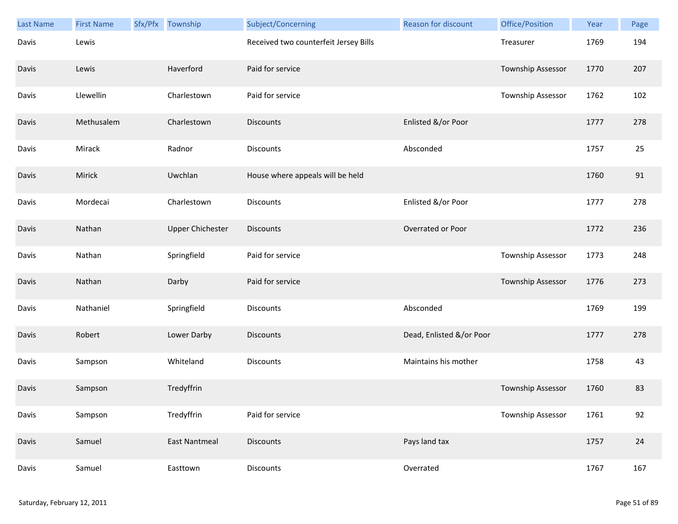| <b>Last Name</b> | <b>First Name</b> | Sfx/Pfx | Township                | Subject/Concerning                    | <b>Reason for discount</b> | Office/Position   | Year | Page |
|------------------|-------------------|---------|-------------------------|---------------------------------------|----------------------------|-------------------|------|------|
| Davis            | Lewis             |         |                         | Received two counterfeit Jersey Bills |                            | Treasurer         | 1769 | 194  |
| Davis            | Lewis             |         | Haverford               | Paid for service                      |                            | Township Assessor | 1770 | 207  |
| Davis            | Llewellin         |         | Charlestown             | Paid for service                      |                            | Township Assessor | 1762 | 102  |
| Davis            | Methusalem        |         | Charlestown             | <b>Discounts</b>                      | Enlisted &/or Poor         |                   | 1777 | 278  |
| Davis            | Mirack            |         | Radnor                  | <b>Discounts</b>                      | Absconded                  |                   | 1757 | 25   |
| Davis            | Mirick            |         | Uwchlan                 | House where appeals will be held      |                            |                   | 1760 | 91   |
| Davis            | Mordecai          |         | Charlestown             | <b>Discounts</b>                      | Enlisted &/or Poor         |                   | 1777 | 278  |
| Davis            | Nathan            |         | <b>Upper Chichester</b> | <b>Discounts</b>                      | Overrated or Poor          |                   | 1772 | 236  |
| Davis            | Nathan            |         | Springfield             | Paid for service                      |                            | Township Assessor | 1773 | 248  |
| Davis            | Nathan            |         | Darby                   | Paid for service                      |                            | Township Assessor | 1776 | 273  |
| Davis            | Nathaniel         |         | Springfield             | <b>Discounts</b>                      | Absconded                  |                   | 1769 | 199  |
| Davis            | Robert            |         | Lower Darby             | <b>Discounts</b>                      | Dead, Enlisted &/or Poor   |                   | 1777 | 278  |
| Davis            | Sampson           |         | Whiteland               | <b>Discounts</b>                      | Maintains his mother       |                   | 1758 | 43   |
| Davis            | Sampson           |         | Tredyffrin              |                                       |                            | Township Assessor | 1760 | 83   |
| Davis            | Sampson           |         | Tredyffrin              | Paid for service                      |                            | Township Assessor | 1761 | 92   |
| Davis            | Samuel            |         | <b>East Nantmeal</b>    | <b>Discounts</b>                      | Pays land tax              |                   | 1757 | 24   |
| Davis            | Samuel            |         | Easttown                | <b>Discounts</b>                      | Overrated                  |                   | 1767 | 167  |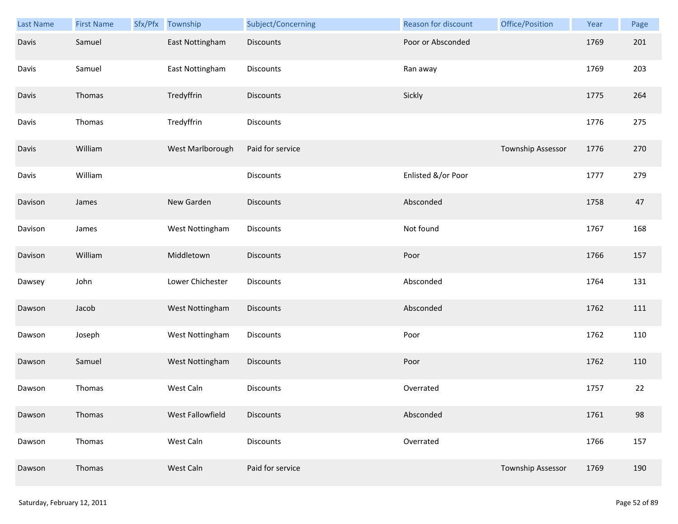| <b>Last Name</b> | <b>First Name</b> | Sfx/Pfx | Township         | Subject/Concerning | Reason for discount | Office/Position   | Year | Page |
|------------------|-------------------|---------|------------------|--------------------|---------------------|-------------------|------|------|
| Davis            | Samuel            |         | East Nottingham  | <b>Discounts</b>   | Poor or Absconded   |                   | 1769 | 201  |
| Davis            | Samuel            |         | East Nottingham  | Discounts          | Ran away            |                   | 1769 | 203  |
| Davis            | Thomas            |         | Tredyffrin       | Discounts          | Sickly              |                   | 1775 | 264  |
| Davis            | Thomas            |         | Tredyffrin       | <b>Discounts</b>   |                     |                   | 1776 | 275  |
| Davis            | William           |         | West Marlborough | Paid for service   |                     | Township Assessor | 1776 | 270  |
| Davis            | William           |         |                  | <b>Discounts</b>   | Enlisted &/or Poor  |                   | 1777 | 279  |
| Davison          | James             |         | New Garden       | <b>Discounts</b>   | Absconded           |                   | 1758 | 47   |
| Davison          | James             |         | West Nottingham  | Discounts          | Not found           |                   | 1767 | 168  |
| Davison          | William           |         | Middletown       | <b>Discounts</b>   | Poor                |                   | 1766 | 157  |
| Dawsey           | John              |         | Lower Chichester | <b>Discounts</b>   | Absconded           |                   | 1764 | 131  |
| Dawson           | Jacob             |         | West Nottingham  | Discounts          | Absconded           |                   | 1762 | 111  |
| Dawson           | Joseph            |         | West Nottingham  | Discounts          | Poor                |                   | 1762 | 110  |
| Dawson           | Samuel            |         | West Nottingham  | Discounts          | Poor                |                   | 1762 | 110  |
| Dawson           | Thomas            |         | West Caln        | <b>Discounts</b>   | Overrated           |                   | 1757 | 22   |
| Dawson           | Thomas            |         | West Fallowfield | <b>Discounts</b>   | Absconded           |                   | 1761 | 98   |
| Dawson           | Thomas            |         | West Caln        | <b>Discounts</b>   | Overrated           |                   | 1766 | 157  |
| Dawson           | Thomas            |         | West Caln        | Paid for service   |                     | Township Assessor | 1769 | 190  |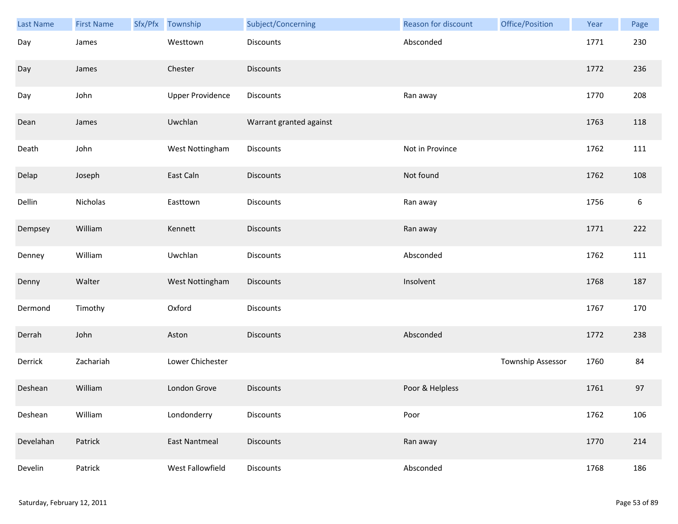| <b>Last Name</b> | <b>First Name</b> | Sfx/Pfx | Township                | Subject/Concerning      | Reason for discount | Office/Position   | Year | Page             |
|------------------|-------------------|---------|-------------------------|-------------------------|---------------------|-------------------|------|------------------|
| Day              | James             |         | Westtown                | Discounts               | Absconded           |                   | 1771 | 230              |
| Day              | James             |         | Chester                 | <b>Discounts</b>        |                     |                   | 1772 | 236              |
| Day              | John              |         | <b>Upper Providence</b> | Discounts               | Ran away            |                   | 1770 | 208              |
| Dean             | James             |         | Uwchlan                 | Warrant granted against |                     |                   | 1763 | 118              |
| Death            | John              |         | West Nottingham         | Discounts               | Not in Province     |                   | 1762 | 111              |
| Delap            | Joseph            |         | East Caln               | Discounts               | Not found           |                   | 1762 | 108              |
| Dellin           | Nicholas          |         | Easttown                | Discounts               | Ran away            |                   | 1756 | $\boldsymbol{6}$ |
| Dempsey          | William           |         | Kennett                 | <b>Discounts</b>        | Ran away            |                   | 1771 | 222              |
| Denney           | William           |         | Uwchlan                 | Discounts               | Absconded           |                   | 1762 | 111              |
| Denny            | Walter            |         | West Nottingham         | Discounts               | Insolvent           |                   | 1768 | 187              |
| Dermond          | Timothy           |         | Oxford                  | Discounts               |                     |                   | 1767 | 170              |
| Derrah           | John              |         | Aston                   | Discounts               | Absconded           |                   | 1772 | 238              |
| Derrick          | Zachariah         |         | Lower Chichester        |                         |                     | Township Assessor | 1760 | 84               |
| Deshean          | William           |         | London Grove            | <b>Discounts</b>        | Poor & Helpless     |                   | 1761 | 97               |
| Deshean          | William           |         | Londonderry             | <b>Discounts</b>        | Poor                |                   | 1762 | 106              |
| Develahan        | Patrick           |         | <b>East Nantmeal</b>    | <b>Discounts</b>        | Ran away            |                   | 1770 | 214              |
| Develin          | Patrick           |         | West Fallowfield        | Discounts               | Absconded           |                   | 1768 | 186              |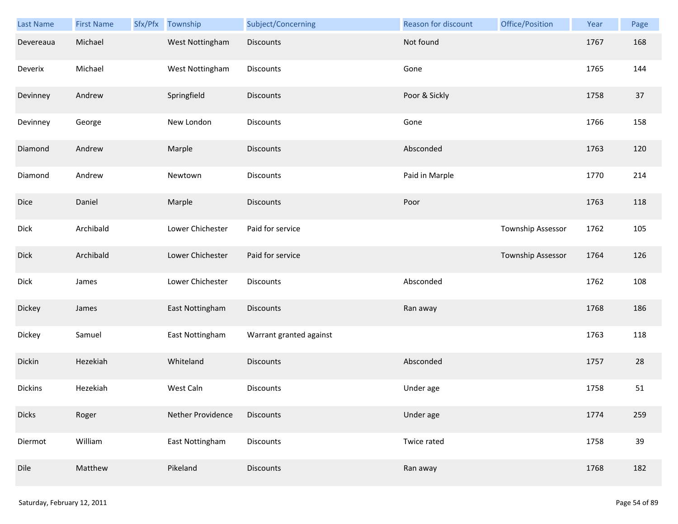| Last Name    | <b>First Name</b> | Sfx/Pfx Township  | Subject/Concerning      | Reason for discount | Office/Position   | Year | Page |
|--------------|-------------------|-------------------|-------------------------|---------------------|-------------------|------|------|
| Devereaua    | Michael           | West Nottingham   | <b>Discounts</b>        | Not found           |                   | 1767 | 168  |
| Deverix      | Michael           | West Nottingham   | Discounts               | Gone                |                   | 1765 | 144  |
| Devinney     | Andrew            | Springfield       | Discounts               | Poor & Sickly       |                   | 1758 | 37   |
| Devinney     | George            | New London        | Discounts               | Gone                |                   | 1766 | 158  |
| Diamond      | Andrew            | Marple            | <b>Discounts</b>        | Absconded           |                   | 1763 | 120  |
| Diamond      | Andrew            | Newtown           | Discounts               | Paid in Marple      |                   | 1770 | 214  |
| Dice         | Daniel            | Marple            | Discounts               | Poor                |                   | 1763 | 118  |
| Dick         | Archibald         | Lower Chichester  | Paid for service        |                     | Township Assessor | 1762 | 105  |
| Dick         | Archibald         | Lower Chichester  | Paid for service        |                     | Township Assessor | 1764 | 126  |
| Dick         | James             | Lower Chichester  | Discounts               | Absconded           |                   | 1762 | 108  |
| Dickey       | James             | East Nottingham   | <b>Discounts</b>        | Ran away            |                   | 1768 | 186  |
| Dickey       | Samuel            | East Nottingham   | Warrant granted against |                     |                   | 1763 | 118  |
| Dickin       | Hezekiah          | Whiteland         | <b>Discounts</b>        | Absconded           |                   | 1757 | 28   |
| Dickins      | Hezekiah          | West Caln         | <b>Discounts</b>        | Under age           |                   | 1758 | 51   |
| <b>Dicks</b> | Roger             | Nether Providence | <b>Discounts</b>        | Under age           |                   | 1774 | 259  |
| Diermot      | William           | East Nottingham   | Discounts               | Twice rated         |                   | 1758 | 39   |
| Dile         | Matthew           | Pikeland          | Discounts               | Ran away            |                   | 1768 | 182  |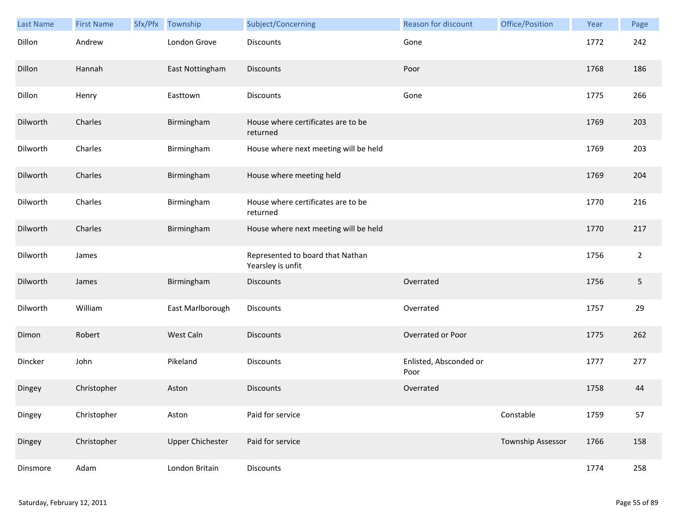| Last Name | <b>First Name</b> | Sfx/Pfx | Township                | Subject/Concerning                                    | <b>Reason for discount</b>     | Office/Position   | Year | Page           |
|-----------|-------------------|---------|-------------------------|-------------------------------------------------------|--------------------------------|-------------------|------|----------------|
| Dillon    | Andrew            |         | London Grove            | Discounts                                             | Gone                           |                   | 1772 | 242            |
| Dillon    | Hannah            |         | East Nottingham         | <b>Discounts</b>                                      | Poor                           |                   | 1768 | 186            |
| Dillon    | Henry             |         | Easttown                | Discounts                                             | Gone                           |                   | 1775 | 266            |
| Dilworth  | Charles           |         | Birmingham              | House where certificates are to be<br>returned        |                                |                   | 1769 | 203            |
| Dilworth  | Charles           |         | Birmingham              | House where next meeting will be held                 |                                |                   | 1769 | 203            |
| Dilworth  | Charles           |         | Birmingham              | House where meeting held                              |                                |                   | 1769 | 204            |
| Dilworth  | Charles           |         | Birmingham              | House where certificates are to be<br>returned        |                                |                   | 1770 | 216            |
| Dilworth  | Charles           |         | Birmingham              | House where next meeting will be held                 |                                |                   | 1770 | 217            |
| Dilworth  | James             |         |                         | Represented to board that Nathan<br>Yearsley is unfit |                                |                   | 1756 | $\overline{2}$ |
| Dilworth  | James             |         | Birmingham              | <b>Discounts</b>                                      | Overrated                      |                   | 1756 | 5              |
| Dilworth  | William           |         | East Marlborough        | Discounts                                             | Overrated                      |                   | 1757 | 29             |
| Dimon     | Robert            |         | West Caln               | <b>Discounts</b>                                      | Overrated or Poor              |                   | 1775 | 262            |
| Dincker   | John              |         | Pikeland                | Discounts                                             | Enlisted, Absconded or<br>Poor |                   | 1777 | 277            |
| Dingey    | Christopher       |         | Aston                   | <b>Discounts</b>                                      | Overrated                      |                   | 1758 | 44             |
| Dingey    | Christopher       |         | Aston                   | Paid for service                                      |                                | Constable         | 1759 | 57             |
| Dingey    | Christopher       |         | <b>Upper Chichester</b> | Paid for service                                      |                                | Township Assessor | 1766 | 158            |
| Dinsmore  | Adam              |         | London Britain          | Discounts                                             |                                |                   | 1774 | 258            |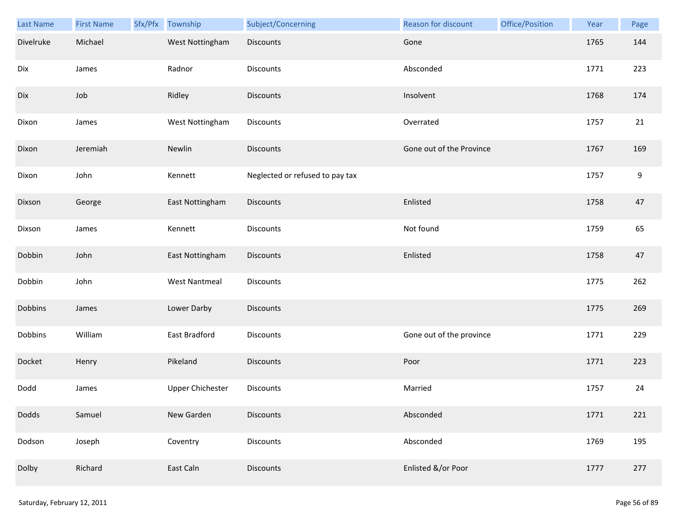| Last Name | <b>First Name</b> | Sfx/Pfx Township        | Subject/Concerning              | Reason for discount      | Office/Position | Year | Page             |
|-----------|-------------------|-------------------------|---------------------------------|--------------------------|-----------------|------|------------------|
| Divelruke | Michael           | West Nottingham         | <b>Discounts</b>                | Gone                     |                 | 1765 | 144              |
| Dix       | James             | Radnor                  | Discounts                       | Absconded                |                 | 1771 | 223              |
| Dix       | Job               | Ridley                  | <b>Discounts</b>                | Insolvent                |                 | 1768 | 174              |
| Dixon     | James             | West Nottingham         | Discounts                       | Overrated                |                 | 1757 | 21               |
| Dixon     | Jeremiah          | Newlin                  | <b>Discounts</b>                | Gone out of the Province |                 | 1767 | 169              |
| Dixon     | John              | Kennett                 | Neglected or refused to pay tax |                          |                 | 1757 | $\boldsymbol{9}$ |
| Dixson    | George            | East Nottingham         | <b>Discounts</b>                | Enlisted                 |                 | 1758 | 47               |
| Dixson    | James             | Kennett                 | Discounts                       | Not found                |                 | 1759 | 65               |
| Dobbin    | John              | East Nottingham         | <b>Discounts</b>                | Enlisted                 |                 | 1758 | 47               |
| Dobbin    | John              | <b>West Nantmeal</b>    | Discounts                       |                          |                 | 1775 | 262              |
| Dobbins   | James             | Lower Darby             | <b>Discounts</b>                |                          |                 | 1775 | 269              |
| Dobbins   | William           | East Bradford           | Discounts                       | Gone out of the province |                 | 1771 | 229              |
| Docket    | Henry             | Pikeland                | Discounts                       | Poor                     |                 | 1771 | 223              |
| Dodd      | James             | <b>Upper Chichester</b> | Discounts                       | Married                  |                 | 1757 | 24               |
| Dodds     | Samuel            | New Garden              | <b>Discounts</b>                | Absconded                |                 | 1771 | 221              |
| Dodson    | Joseph            | Coventry                | <b>Discounts</b>                | Absconded                |                 | 1769 | 195              |
| Dolby     | Richard           | East Caln               | Discounts                       | Enlisted &/or Poor       |                 | 1777 | 277              |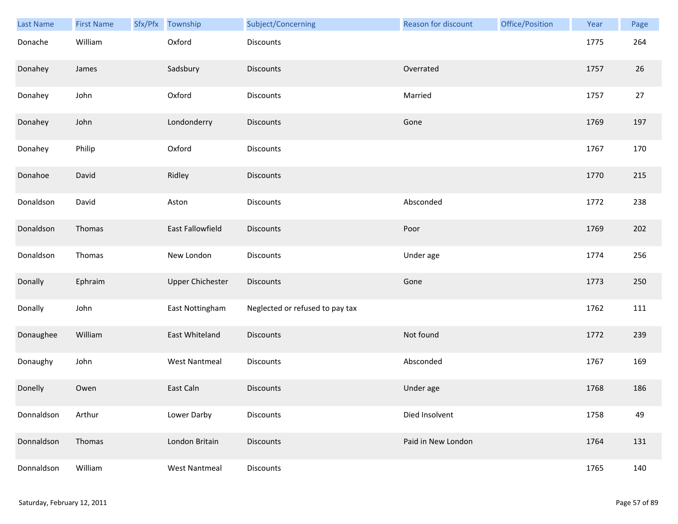| Last Name  | <b>First Name</b> | Sfx/Pfx Township        | Subject/Concerning              | Reason for discount | Office/Position | Year | Page |
|------------|-------------------|-------------------------|---------------------------------|---------------------|-----------------|------|------|
| Donache    | William           | Oxford                  | Discounts                       |                     |                 | 1775 | 264  |
| Donahey    | James             | Sadsbury                | <b>Discounts</b>                | Overrated           |                 | 1757 | 26   |
| Donahey    | John              | Oxford                  | Discounts                       | Married             |                 | 1757 | 27   |
| Donahey    | John              | Londonderry             | Discounts                       | Gone                |                 | 1769 | 197  |
| Donahey    | Philip            | Oxford                  | Discounts                       |                     |                 | 1767 | 170  |
| Donahoe    | David             | Ridley                  | <b>Discounts</b>                |                     |                 | 1770 | 215  |
| Donaldson  | David             | Aston                   | Discounts                       | Absconded           |                 | 1772 | 238  |
| Donaldson  | Thomas            | East Fallowfield        | Discounts                       | Poor                |                 | 1769 | 202  |
| Donaldson  | Thomas            | New London              | Discounts                       | Under age           |                 | 1774 | 256  |
| Donally    | Ephraim           | <b>Upper Chichester</b> | <b>Discounts</b>                | Gone                |                 | 1773 | 250  |
| Donally    | John              | East Nottingham         | Neglected or refused to pay tax |                     |                 | 1762 | 111  |
| Donaughee  | William           | East Whiteland          | Discounts                       | Not found           |                 | 1772 | 239  |
| Donaughy   | John              | <b>West Nantmeal</b>    | Discounts                       | Absconded           |                 | 1767 | 169  |
| Donelly    | Owen              | East Caln               | <b>Discounts</b>                | Under age           |                 | 1768 | 186  |
| Donnaldson | Arthur            | Lower Darby             | Discounts                       | Died Insolvent      |                 | 1758 | 49   |
| Donnaldson | Thomas            | London Britain          | <b>Discounts</b>                | Paid in New London  |                 | 1764 | 131  |
| Donnaldson | William           | <b>West Nantmeal</b>    | Discounts                       |                     |                 | 1765 | 140  |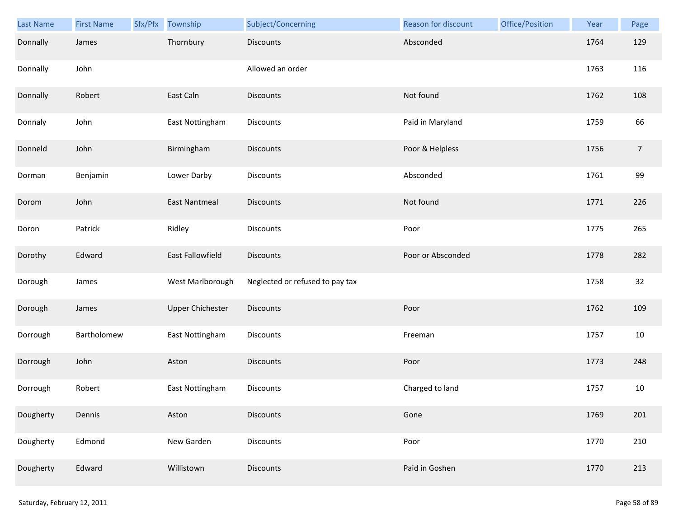| Last Name | <b>First Name</b> | Sfx/Pfx Township        | Subject/Concerning              | Reason for discount | Office/Position | Year | Page           |
|-----------|-------------------|-------------------------|---------------------------------|---------------------|-----------------|------|----------------|
| Donnally  | James             | Thornbury               | <b>Discounts</b>                | Absconded           |                 | 1764 | 129            |
| Donnally  | John              |                         | Allowed an order                |                     |                 | 1763 | 116            |
| Donnally  | Robert            | East Caln               | Discounts                       | Not found           |                 | 1762 | 108            |
| Donnaly   | John              | East Nottingham         | Discounts                       | Paid in Maryland    |                 | 1759 | 66             |
| Donneld   | John              | Birmingham              | <b>Discounts</b>                | Poor & Helpless     |                 | 1756 | $\overline{7}$ |
| Dorman    | Benjamin          | Lower Darby             | <b>Discounts</b>                | Absconded           |                 | 1761 | 99             |
| Dorom     | John              | <b>East Nantmeal</b>    | Discounts                       | Not found           |                 | 1771 | 226            |
| Doron     | Patrick           | Ridley                  | Discounts                       | Poor                |                 | 1775 | 265            |
| Dorothy   | Edward            | East Fallowfield        | <b>Discounts</b>                | Poor or Absconded   |                 | 1778 | 282            |
| Dorough   | James             | West Marlborough        | Neglected or refused to pay tax |                     |                 | 1758 | 32             |
| Dorough   | James             | <b>Upper Chichester</b> | Discounts                       | Poor                |                 | 1762 | 109            |
| Dorrough  | Bartholomew       | East Nottingham         | Discounts                       | Freeman             |                 | 1757 | $10\,$         |
| Dorrough  | John              | Aston                   | <b>Discounts</b>                | Poor                |                 | 1773 | 248            |
| Dorrough  | Robert            | East Nottingham         | <b>Discounts</b>                | Charged to land     |                 | 1757 | 10             |
| Dougherty | Dennis            | Aston                   | <b>Discounts</b>                | Gone                |                 | 1769 | 201            |
| Dougherty | Edmond            | New Garden              | <b>Discounts</b>                | Poor                |                 | 1770 | 210            |
| Dougherty | Edward            | Willistown              | <b>Discounts</b>                | Paid in Goshen      |                 | 1770 | 213            |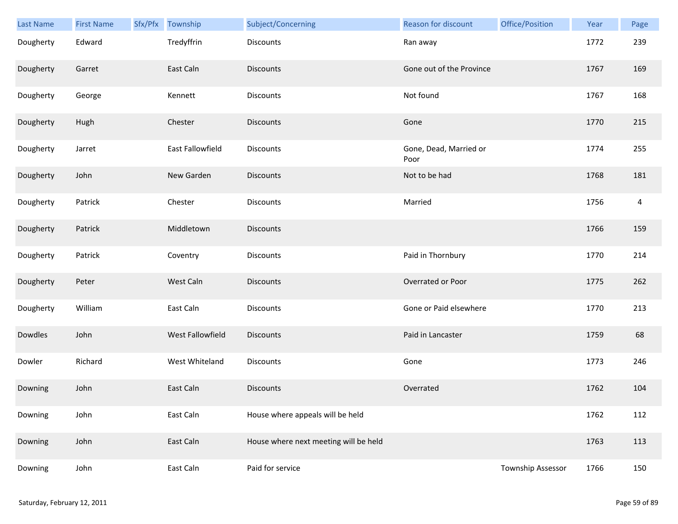| Last Name | <b>First Name</b> | Sfx/Pfx | Township         | Subject/Concerning                    | Reason for discount            | Office/Position   | Year | Page           |
|-----------|-------------------|---------|------------------|---------------------------------------|--------------------------------|-------------------|------|----------------|
| Dougherty | Edward            |         | Tredyffrin       | <b>Discounts</b>                      | Ran away                       |                   | 1772 | 239            |
| Dougherty | Garret            |         | East Caln        | <b>Discounts</b>                      | Gone out of the Province       |                   | 1767 | 169            |
| Dougherty | George            |         | Kennett          | Discounts                             | Not found                      |                   | 1767 | 168            |
| Dougherty | Hugh              |         | Chester          | <b>Discounts</b>                      | Gone                           |                   | 1770 | 215            |
| Dougherty | Jarret            |         | East Fallowfield | Discounts                             | Gone, Dead, Married or<br>Poor |                   | 1774 | 255            |
| Dougherty | John              |         | New Garden       | <b>Discounts</b>                      | Not to be had                  |                   | 1768 | 181            |
| Dougherty | Patrick           |         | Chester          | Discounts                             | Married                        |                   | 1756 | $\overline{4}$ |
| Dougherty | Patrick           |         | Middletown       | Discounts                             |                                |                   | 1766 | 159            |
| Dougherty | Patrick           |         | Coventry         | Discounts                             | Paid in Thornbury              |                   | 1770 | 214            |
| Dougherty | Peter             |         | West Caln        | <b>Discounts</b>                      | Overrated or Poor              |                   | 1775 | 262            |
| Dougherty | William           |         | East Caln        | Discounts                             | Gone or Paid elsewhere         |                   | 1770 | 213            |
| Dowdles   | John              |         | West Fallowfield | <b>Discounts</b>                      | Paid in Lancaster              |                   | 1759 | 68             |
| Dowler    | Richard           |         | West Whiteland   | Discounts                             | Gone                           |                   | 1773 | 246            |
| Downing   | John              |         | East Caln        | <b>Discounts</b>                      | Overrated                      |                   | 1762 | 104            |
| Downing   | John              |         | East Caln        | House where appeals will be held      |                                |                   | 1762 | 112            |
| Downing   | John              |         | East Caln        | House where next meeting will be held |                                |                   | 1763 | 113            |
| Downing   | John              |         | East Caln        | Paid for service                      |                                | Township Assessor | 1766 | 150            |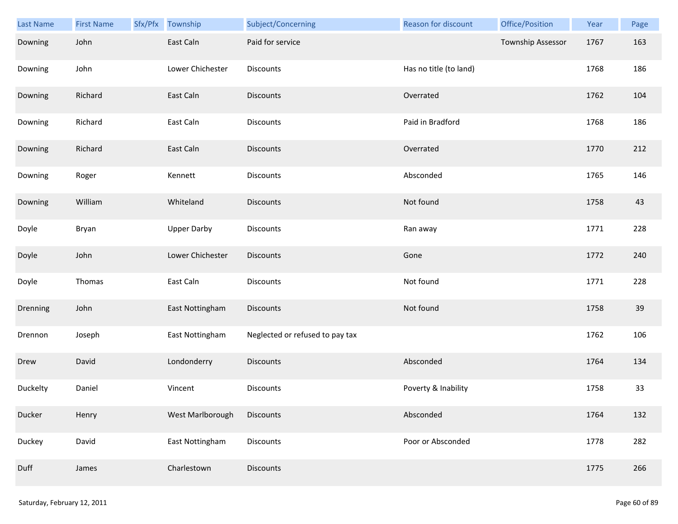| Last Name | <b>First Name</b> | Sfx/Pfx Township   | Subject/Concerning              | Reason for discount    | Office/Position          | Year | Page |
|-----------|-------------------|--------------------|---------------------------------|------------------------|--------------------------|------|------|
| Downing   | John              | East Caln          | Paid for service                |                        | <b>Township Assessor</b> | 1767 | 163  |
| Downing   | John              | Lower Chichester   | Discounts                       | Has no title (to land) |                          | 1768 | 186  |
| Downing   | Richard           | East Caln          | Discounts                       | Overrated              |                          | 1762 | 104  |
| Downing   | Richard           | East Caln          | <b>Discounts</b>                | Paid in Bradford       |                          | 1768 | 186  |
| Downing   | Richard           | East Caln          | <b>Discounts</b>                | Overrated              |                          | 1770 | 212  |
| Downing   | Roger             | Kennett            | <b>Discounts</b>                | Absconded              |                          | 1765 | 146  |
| Downing   | William           | Whiteland          | <b>Discounts</b>                | Not found              |                          | 1758 | 43   |
| Doyle     | Bryan             | <b>Upper Darby</b> | Discounts                       | Ran away               |                          | 1771 | 228  |
| Doyle     | John              | Lower Chichester   | <b>Discounts</b>                | Gone                   |                          | 1772 | 240  |
| Doyle     | Thomas            | East Caln          | Discounts                       | Not found              |                          | 1771 | 228  |
| Drenning  | John              | East Nottingham    | <b>Discounts</b>                | Not found              |                          | 1758 | 39   |
| Drennon   | Joseph            | East Nottingham    | Neglected or refused to pay tax |                        |                          | 1762 | 106  |
| Drew      | David             | Londonderry        | Discounts                       | Absconded              |                          | 1764 | 134  |
| Duckelty  | Daniel            | Vincent            | Discounts                       | Poverty & Inability    |                          | 1758 | 33   |
| Ducker    | Henry             | West Marlborough   | Discounts                       | Absconded              |                          | 1764 | 132  |
| Duckey    | David             | East Nottingham    | Discounts                       | Poor or Absconded      |                          | 1778 | 282  |
| Duff      | James             | Charlestown        | <b>Discounts</b>                |                        |                          | 1775 | 266  |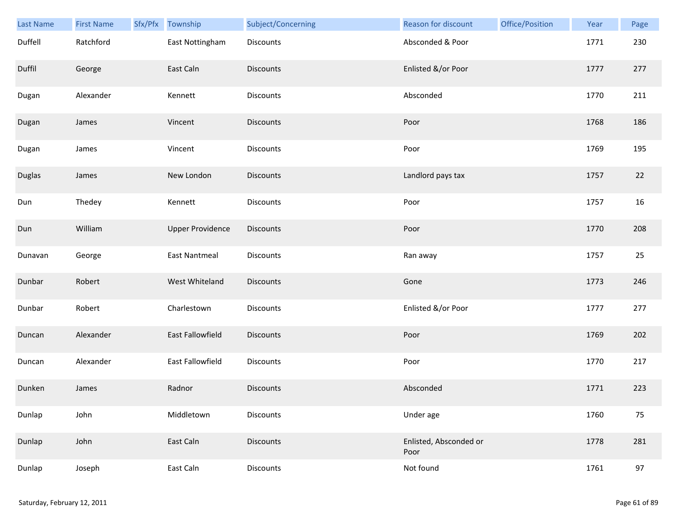| <b>Last Name</b> | <b>First Name</b> | Sfx/Pfx | Township                | Subject/Concerning | Reason for discount            | Office/Position | Year | Page   |
|------------------|-------------------|---------|-------------------------|--------------------|--------------------------------|-----------------|------|--------|
| Duffell          | Ratchford         |         | East Nottingham         | Discounts          | Absconded & Poor               |                 | 1771 | 230    |
| Duffil           | George            |         | East Caln               | <b>Discounts</b>   | Enlisted &/or Poor             |                 | 1777 | 277    |
| Dugan            | Alexander         |         | Kennett                 | Discounts          | Absconded                      |                 | 1770 | 211    |
| Dugan            | James             |         | Vincent                 | <b>Discounts</b>   | Poor                           |                 | 1768 | 186    |
| Dugan            | James             |         | Vincent                 | Discounts          | Poor                           |                 | 1769 | 195    |
| Duglas           | James             |         | New London              | <b>Discounts</b>   | Landlord pays tax              |                 | 1757 | $22\,$ |
| Dun              | Thedey            |         | Kennett                 | Discounts          | Poor                           |                 | 1757 | 16     |
| Dun              | William           |         | <b>Upper Providence</b> | Discounts          | Poor                           |                 | 1770 | 208    |
| Dunavan          | George            |         | <b>East Nantmeal</b>    | Discounts          | Ran away                       |                 | 1757 | 25     |
| Dunbar           | Robert            |         | West Whiteland          | <b>Discounts</b>   | Gone                           |                 | 1773 | 246    |
| Dunbar           | Robert            |         | Charlestown             | Discounts          | Enlisted &/or Poor             |                 | 1777 | 277    |
| Duncan           | Alexander         |         | East Fallowfield        | Discounts          | Poor                           |                 | 1769 | 202    |
| Duncan           | Alexander         |         | East Fallowfield        | Discounts          | Poor                           |                 | 1770 | 217    |
| Dunken           | James             |         | Radnor                  | <b>Discounts</b>   | Absconded                      |                 | 1771 | 223    |
| Dunlap           | John              |         | Middletown              | Discounts          | Under age                      |                 | 1760 | 75     |
| Dunlap           | John              |         | East Caln               | <b>Discounts</b>   | Enlisted, Absconded or<br>Poor |                 | 1778 | 281    |
| Dunlap           | Joseph            |         | East Caln               | Discounts          | Not found                      |                 | 1761 | 97     |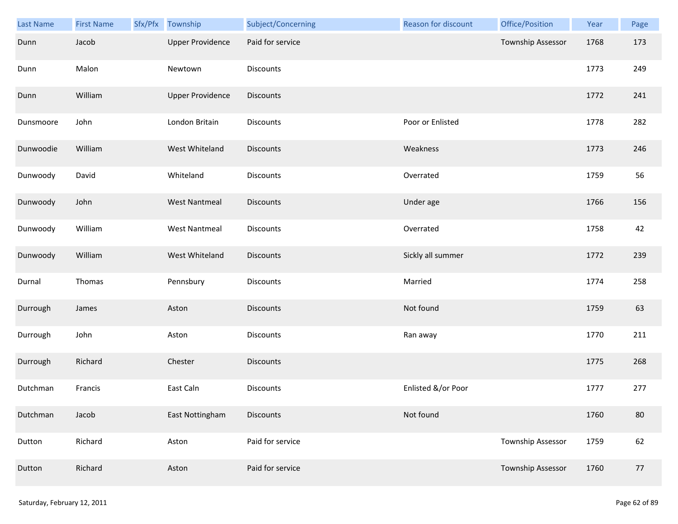| Last Name | <b>First Name</b> | Sfx/Pfx Township        | Subject/Concerning | Reason for discount | Office/Position   | Year | Page   |
|-----------|-------------------|-------------------------|--------------------|---------------------|-------------------|------|--------|
| Dunn      | Jacob             | <b>Upper Providence</b> | Paid for service   |                     | Township Assessor | 1768 | 173    |
| Dunn      | Malon             | Newtown                 | Discounts          |                     |                   | 1773 | 249    |
| Dunn      | William           | <b>Upper Providence</b> | Discounts          |                     |                   | 1772 | 241    |
| Dunsmoore | John              | London Britain          | Discounts          | Poor or Enlisted    |                   | 1778 | 282    |
| Dunwoodie | William           | West Whiteland          | Discounts          | Weakness            |                   | 1773 | 246    |
| Dunwoody  | David             | Whiteland               | Discounts          | Overrated           |                   | 1759 | 56     |
| Dunwoody  | John              | <b>West Nantmeal</b>    | <b>Discounts</b>   | Under age           |                   | 1766 | 156    |
| Dunwoody  | William           | <b>West Nantmeal</b>    | Discounts          | Overrated           |                   | 1758 | 42     |
| Dunwoody  | William           | West Whiteland          | <b>Discounts</b>   | Sickly all summer   |                   | 1772 | 239    |
| Durnal    | Thomas            | Pennsbury               | Discounts          | Married             |                   | 1774 | 258    |
| Durrough  | James             | Aston                   | <b>Discounts</b>   | Not found           |                   | 1759 | 63     |
| Durrough  | John              | Aston                   | Discounts          | Ran away            |                   | 1770 | 211    |
| Durrough  | Richard           | Chester                 | Discounts          |                     |                   | 1775 | 268    |
| Dutchman  | Francis           | East Caln               | <b>Discounts</b>   | Enlisted &/or Poor  |                   | 1777 | 277    |
| Dutchman  | Jacob             | East Nottingham         | <b>Discounts</b>   | Not found           |                   | 1760 | $80\,$ |
| Dutton    | Richard           | Aston                   | Paid for service   |                     | Township Assessor | 1759 | 62     |
| Dutton    | Richard           | Aston                   | Paid for service   |                     | Township Assessor | 1760 | 77     |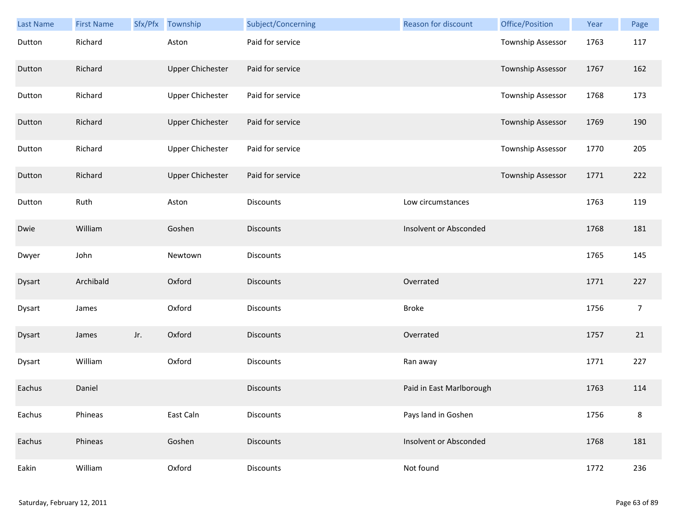| Last Name | <b>First Name</b> | Sfx/Pfx | Township                | Subject/Concerning | <b>Reason for discount</b> | Office/Position          | Year | Page           |
|-----------|-------------------|---------|-------------------------|--------------------|----------------------------|--------------------------|------|----------------|
| Dutton    | Richard           |         | Aston                   | Paid for service   |                            | Township Assessor        | 1763 | 117            |
| Dutton    | Richard           |         | <b>Upper Chichester</b> | Paid for service   |                            | Township Assessor        | 1767 | 162            |
| Dutton    | Richard           |         | <b>Upper Chichester</b> | Paid for service   |                            | Township Assessor        | 1768 | 173            |
| Dutton    | Richard           |         | <b>Upper Chichester</b> | Paid for service   |                            | <b>Township Assessor</b> | 1769 | 190            |
| Dutton    | Richard           |         | <b>Upper Chichester</b> | Paid for service   |                            | Township Assessor        | 1770 | 205            |
| Dutton    | Richard           |         | <b>Upper Chichester</b> | Paid for service   |                            | Township Assessor        | 1771 | 222            |
| Dutton    | Ruth              |         | Aston                   | <b>Discounts</b>   | Low circumstances          |                          | 1763 | 119            |
| Dwie      | William           |         | Goshen                  | <b>Discounts</b>   | Insolvent or Absconded     |                          | 1768 | 181            |
| Dwyer     | John              |         | Newtown                 | <b>Discounts</b>   |                            |                          | 1765 | 145            |
| Dysart    | Archibald         |         | Oxford                  | <b>Discounts</b>   | Overrated                  |                          | 1771 | 227            |
| Dysart    | James             |         | Oxford                  | Discounts          | <b>Broke</b>               |                          | 1756 | $\overline{7}$ |
| Dysart    | James             | Jr.     | Oxford                  | <b>Discounts</b>   | Overrated                  |                          | 1757 | 21             |
| Dysart    | William           |         | Oxford                  | Discounts          | Ran away                   |                          | 1771 | 227            |
| Eachus    | Daniel            |         |                         | <b>Discounts</b>   | Paid in East Marlborough   |                          | 1763 | 114            |
| Eachus    | Phineas           |         | East Caln               | Discounts          | Pays land in Goshen        |                          | 1756 | 8              |
| Eachus    | Phineas           |         | Goshen                  | <b>Discounts</b>   | Insolvent or Absconded     |                          | 1768 | 181            |
| Eakin     | William           |         | Oxford                  | Discounts          | Not found                  |                          | 1772 | 236            |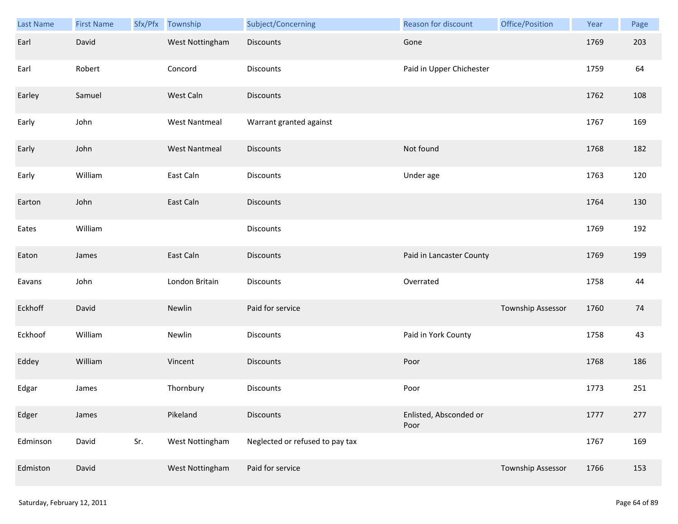| Last Name | <b>First Name</b> | Sfx/Pfx | Township             | Subject/Concerning              | Reason for discount            | Office/Position   | Year | Page |
|-----------|-------------------|---------|----------------------|---------------------------------|--------------------------------|-------------------|------|------|
| Earl      | David             |         | West Nottingham      | <b>Discounts</b>                | Gone                           |                   | 1769 | 203  |
| Earl      | Robert            |         | Concord              | Discounts                       | Paid in Upper Chichester       |                   | 1759 | 64   |
| Earley    | Samuel            |         | West Caln            | <b>Discounts</b>                |                                |                   | 1762 | 108  |
| Early     | John              |         | <b>West Nantmeal</b> | Warrant granted against         |                                |                   | 1767 | 169  |
| Early     | John              |         | <b>West Nantmeal</b> | Discounts                       | Not found                      |                   | 1768 | 182  |
| Early     | William           |         | East Caln            | Discounts                       | Under age                      |                   | 1763 | 120  |
| Earton    | John              |         | East Caln            | <b>Discounts</b>                |                                |                   | 1764 | 130  |
| Eates     | William           |         |                      | Discounts                       |                                |                   | 1769 | 192  |
| Eaton     | James             |         | East Caln            | <b>Discounts</b>                | Paid in Lancaster County       |                   | 1769 | 199  |
| Eavans    | John              |         | London Britain       | Discounts                       | Overrated                      |                   | 1758 | 44   |
| Eckhoff   | David             |         | Newlin               | Paid for service                |                                | Township Assessor | 1760 | 74   |
| Eckhoof   | William           |         | Newlin               | Discounts                       | Paid in York County            |                   | 1758 | 43   |
| Eddey     | William           |         | Vincent              | <b>Discounts</b>                | Poor                           |                   | 1768 | 186  |
| Edgar     | James             |         | Thornbury            | Discounts                       | Poor                           |                   | 1773 | 251  |
| Edger     | James             |         | Pikeland             | <b>Discounts</b>                | Enlisted, Absconded or<br>Poor |                   | 1777 | 277  |
| Edminson  | David             | Sr.     | West Nottingham      | Neglected or refused to pay tax |                                |                   | 1767 | 169  |
| Edmiston  | David             |         | West Nottingham      | Paid for service                |                                | Township Assessor | 1766 | 153  |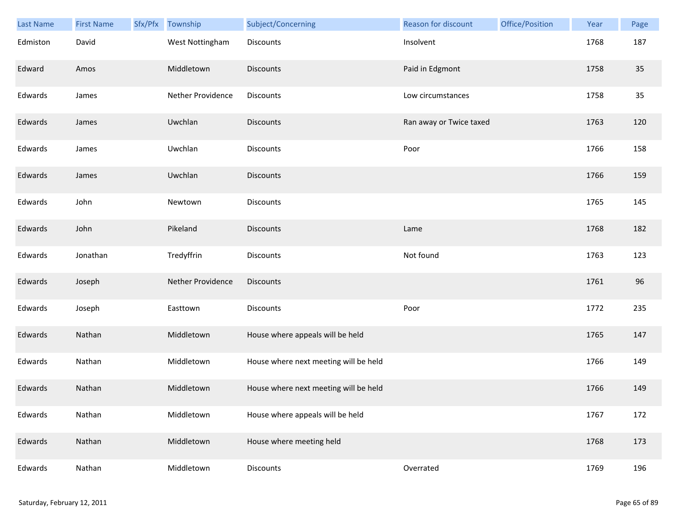| Last Name | <b>First Name</b> | Sfx/Pfx | Township          | Subject/Concerning                    | Reason for discount     | Office/Position | Year | Page |
|-----------|-------------------|---------|-------------------|---------------------------------------|-------------------------|-----------------|------|------|
| Edmiston  | David             |         | West Nottingham   | <b>Discounts</b>                      | Insolvent               |                 | 1768 | 187  |
| Edward    | Amos              |         | Middletown        | <b>Discounts</b>                      | Paid in Edgmont         |                 | 1758 | 35   |
| Edwards   | James             |         | Nether Providence | Discounts                             | Low circumstances       |                 | 1758 | 35   |
| Edwards   | James             |         | Uwchlan           | <b>Discounts</b>                      | Ran away or Twice taxed |                 | 1763 | 120  |
| Edwards   | James             |         | Uwchlan           | Discounts                             | Poor                    |                 | 1766 | 158  |
| Edwards   | James             |         | Uwchlan           | <b>Discounts</b>                      |                         |                 | 1766 | 159  |
| Edwards   | John              |         | Newtown           | Discounts                             |                         |                 | 1765 | 145  |
| Edwards   | John              |         | Pikeland          | <b>Discounts</b>                      | Lame                    |                 | 1768 | 182  |
| Edwards   | Jonathan          |         | Tredyffrin        | <b>Discounts</b>                      | Not found               |                 | 1763 | 123  |
| Edwards   | Joseph            |         | Nether Providence | <b>Discounts</b>                      |                         |                 | 1761 | 96   |
| Edwards   | Joseph            |         | Easttown          | <b>Discounts</b>                      | Poor                    |                 | 1772 | 235  |
| Edwards   | Nathan            |         | Middletown        | House where appeals will be held      |                         |                 | 1765 | 147  |
| Edwards   | Nathan            |         | Middletown        | House where next meeting will be held |                         |                 | 1766 | 149  |
| Edwards   | Nathan            |         | Middletown        | House where next meeting will be held |                         |                 | 1766 | 149  |
| Edwards   | Nathan            |         | Middletown        | House where appeals will be held      |                         |                 | 1767 | 172  |
| Edwards   | Nathan            |         | Middletown        | House where meeting held              |                         |                 | 1768 | 173  |
| Edwards   | Nathan            |         | Middletown        | Discounts                             | Overrated               |                 | 1769 | 196  |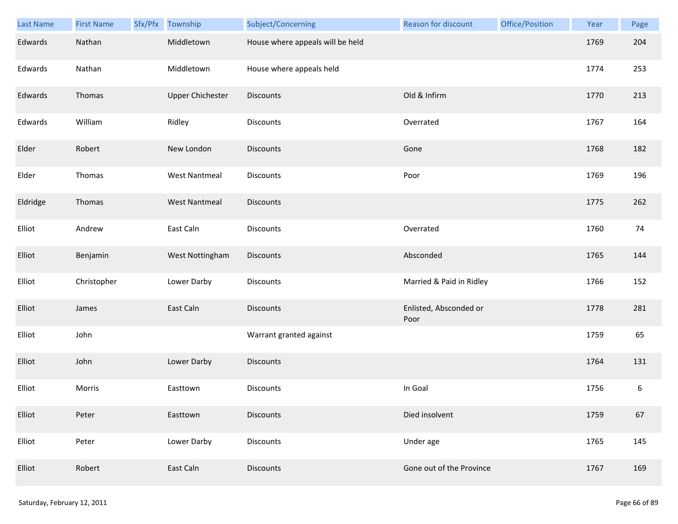| Last Name | <b>First Name</b> | Sfx/Pfx Township        | Subject/Concerning               | Reason for discount            | Office/Position | Year | Page    |
|-----------|-------------------|-------------------------|----------------------------------|--------------------------------|-----------------|------|---------|
| Edwards   | Nathan            | Middletown              | House where appeals will be held |                                |                 | 1769 | 204     |
| Edwards   | Nathan            | Middletown              | House where appeals held         |                                |                 | 1774 | 253     |
| Edwards   | Thomas            | <b>Upper Chichester</b> | Discounts                        | Old & Infirm                   |                 | 1770 | 213     |
| Edwards   | William           | Ridley                  | <b>Discounts</b>                 | Overrated                      |                 | 1767 | 164     |
| Elder     | Robert            | New London              | <b>Discounts</b>                 | Gone                           |                 | 1768 | 182     |
| Elder     | Thomas            | <b>West Nantmeal</b>    | Discounts                        | Poor                           |                 | 1769 | 196     |
| Eldridge  | Thomas            | <b>West Nantmeal</b>    | <b>Discounts</b>                 |                                |                 | 1775 | 262     |
| Elliot    | Andrew            | East Caln               | Discounts                        | Overrated                      |                 | 1760 | 74      |
| Elliot    | Benjamin          | West Nottingham         | <b>Discounts</b>                 | Absconded                      |                 | 1765 | 144     |
| Elliot    | Christopher       | Lower Darby             | Discounts                        | Married & Paid in Ridley       |                 | 1766 | 152     |
| Elliot    | James             | East Caln               | <b>Discounts</b>                 | Enlisted, Absconded or<br>Poor |                 | 1778 | 281     |
| Elliot    | John              |                         | Warrant granted against          |                                |                 | 1759 | 65      |
| Elliot    | John              | Lower Darby             | Discounts                        |                                |                 | 1764 | 131     |
| Elliot    | Morris            | Easttown                | <b>Discounts</b>                 | In Goal                        |                 | 1756 | $\,6\,$ |
| Elliot    | Peter             | Easttown                | <b>Discounts</b>                 | Died insolvent                 |                 | 1759 | 67      |
| Elliot    | Peter             | Lower Darby             | Discounts                        | Under age                      |                 | 1765 | 145     |
| Elliot    | Robert            | East Caln               | <b>Discounts</b>                 | Gone out of the Province       |                 | 1767 | 169     |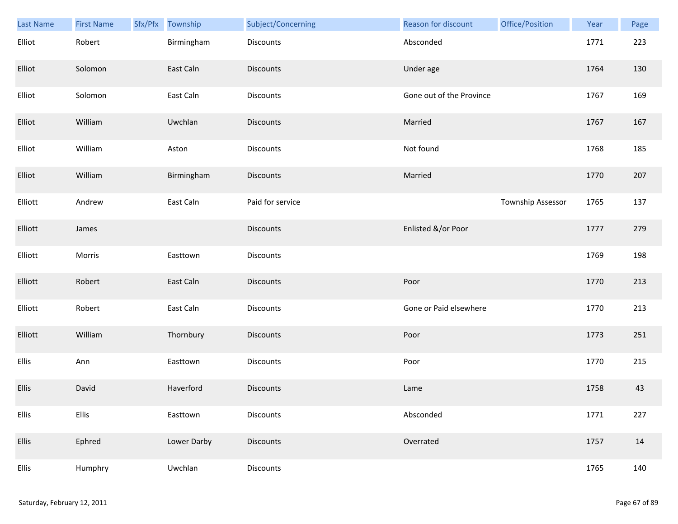| Last Name    | <b>First Name</b> | Sfx/Pfx | Township    | Subject/Concerning | Reason for discount      | Office/Position   | Year | Page |
|--------------|-------------------|---------|-------------|--------------------|--------------------------|-------------------|------|------|
| Elliot       | Robert            |         | Birmingham  | <b>Discounts</b>   | Absconded                |                   | 1771 | 223  |
| Elliot       | Solomon           |         | East Caln   | <b>Discounts</b>   | Under age                |                   | 1764 | 130  |
| Elliot       | Solomon           |         | East Caln   | Discounts          | Gone out of the Province |                   | 1767 | 169  |
| Elliot       | William           |         | Uwchlan     | <b>Discounts</b>   | Married                  |                   | 1767 | 167  |
| Elliot       | William           |         | Aston       | Discounts          | Not found                |                   | 1768 | 185  |
| Elliot       | William           |         | Birmingham  | <b>Discounts</b>   | Married                  |                   | 1770 | 207  |
| Elliott      | Andrew            |         | East Caln   | Paid for service   |                          | Township Assessor | 1765 | 137  |
| Elliott      | James             |         |             | Discounts          | Enlisted &/or Poor       |                   | 1777 | 279  |
| Elliott      | Morris            |         | Easttown    | Discounts          |                          |                   | 1769 | 198  |
| Elliott      | Robert            |         | East Caln   | <b>Discounts</b>   | Poor                     |                   | 1770 | 213  |
| Elliott      | Robert            |         | East Caln   | Discounts          | Gone or Paid elsewhere   |                   | 1770 | 213  |
| Elliott      | William           |         | Thornbury   | Discounts          | Poor                     |                   | 1773 | 251  |
| Ellis        | Ann               |         | Easttown    | Discounts          | Poor                     |                   | 1770 | 215  |
| <b>Ellis</b> | David             |         | Haverford   | <b>Discounts</b>   | Lame                     |                   | 1758 | 43   |
| Ellis        | Ellis             |         | Easttown    | Discounts          | Absconded                |                   | 1771 | 227  |
| <b>Ellis</b> | Ephred            |         | Lower Darby | <b>Discounts</b>   | Overrated                |                   | 1757 | 14   |
| Ellis        | Humphry           |         | Uwchlan     | Discounts          |                          |                   | 1765 | 140  |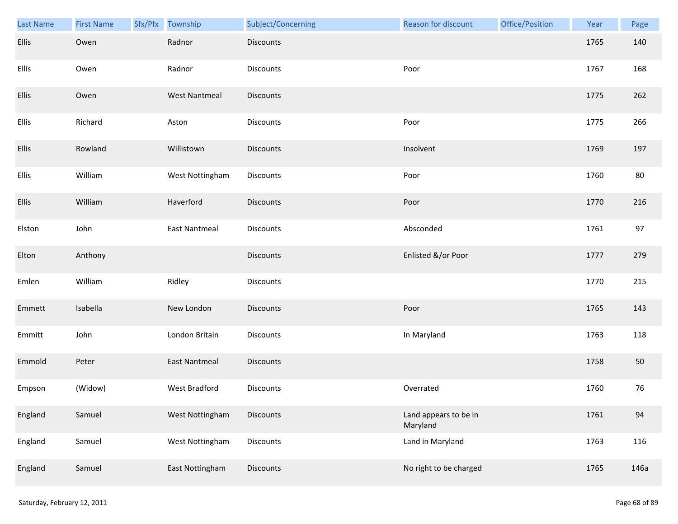| <b>Last Name</b> | <b>First Name</b> | Sfx/Pfx | Township             | Subject/Concerning | <b>Reason for discount</b>        | Office/Position | Year | Page |
|------------------|-------------------|---------|----------------------|--------------------|-----------------------------------|-----------------|------|------|
| Ellis            | Owen              |         | Radnor               | <b>Discounts</b>   |                                   |                 | 1765 | 140  |
| Ellis            | Owen              |         | Radnor               | <b>Discounts</b>   | Poor                              |                 | 1767 | 168  |
| Ellis            | Owen              |         | <b>West Nantmeal</b> | Discounts          |                                   |                 | 1775 | 262  |
| Ellis            | Richard           |         | Aston                | Discounts          | Poor                              |                 | 1775 | 266  |
| Ellis            | Rowland           |         | Willistown           | <b>Discounts</b>   | Insolvent                         |                 | 1769 | 197  |
| Ellis            | William           |         | West Nottingham      | <b>Discounts</b>   | Poor                              |                 | 1760 | 80   |
| Ellis            | William           |         | Haverford            | <b>Discounts</b>   | Poor                              |                 | 1770 | 216  |
| Elston           | John              |         | <b>East Nantmeal</b> | Discounts          | Absconded                         |                 | 1761 | 97   |
| Elton            | Anthony           |         |                      | <b>Discounts</b>   | Enlisted &/or Poor                |                 | 1777 | 279  |
| Emlen            | William           |         | Ridley               | Discounts          |                                   |                 | 1770 | 215  |
| Emmett           | Isabella          |         | New London           | Discounts          | Poor                              |                 | 1765 | 143  |
| Emmitt           | John              |         | London Britain       | Discounts          | In Maryland                       |                 | 1763 | 118  |
| Emmold           | Peter             |         | <b>East Nantmeal</b> | <b>Discounts</b>   |                                   |                 | 1758 | 50   |
| Empson           | (Widow)           |         | West Bradford        | Discounts          | Overrated                         |                 | 1760 | 76   |
| England          | Samuel            |         | West Nottingham      | <b>Discounts</b>   | Land appears to be in<br>Maryland |                 | 1761 | 94   |
| England          | Samuel            |         | West Nottingham      | <b>Discounts</b>   | Land in Maryland                  |                 | 1763 | 116  |
| England          | Samuel            |         | East Nottingham      | <b>Discounts</b>   | No right to be charged            |                 | 1765 | 146a |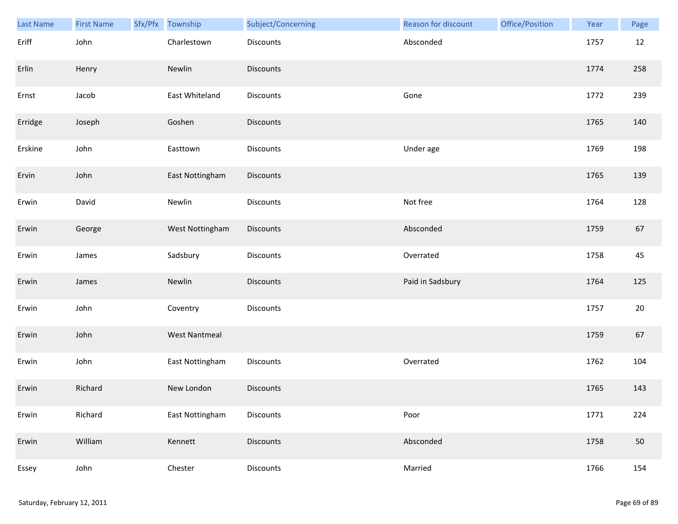| Last Name | <b>First Name</b> | Sfx/Pfx Township     | Subject/Concerning | Reason for discount | Office/Position | Year | Page   |
|-----------|-------------------|----------------------|--------------------|---------------------|-----------------|------|--------|
| Eriff     | John              | Charlestown          | Discounts          | Absconded           |                 | 1757 | 12     |
| Erlin     | Henry             | Newlin               | <b>Discounts</b>   |                     |                 | 1774 | 258    |
| Ernst     | Jacob             | East Whiteland       | Discounts          | Gone                |                 | 1772 | 239    |
| Erridge   | Joseph            | Goshen               | <b>Discounts</b>   |                     |                 | 1765 | 140    |
| Erskine   | John              | Easttown             | Discounts          | Under age           |                 | 1769 | 198    |
| Ervin     | John              | East Nottingham      | Discounts          |                     |                 | 1765 | 139    |
| Erwin     | David             | Newlin               | Discounts          | Not free            |                 | 1764 | 128    |
| Erwin     | George            | West Nottingham      | Discounts          | Absconded           |                 | 1759 | 67     |
| Erwin     | James             | Sadsbury             | Discounts          | Overrated           |                 | 1758 | 45     |
| Erwin     | James             | Newlin               | <b>Discounts</b>   | Paid in Sadsbury    |                 | 1764 | 125    |
| Erwin     | John              | Coventry             | Discounts          |                     |                 | 1757 | $20\,$ |
| Erwin     | John              | <b>West Nantmeal</b> |                    |                     |                 | 1759 | 67     |
| Erwin     | John              | East Nottingham      | Discounts          | Overrated           |                 | 1762 | 104    |
| Erwin     | Richard           | New London           | <b>Discounts</b>   |                     |                 | 1765 | 143    |
| Erwin     | Richard           | East Nottingham      | <b>Discounts</b>   | Poor                |                 | 1771 | 224    |
| Erwin     | William           | Kennett              | Discounts          | Absconded           |                 | 1758 | 50     |
| Essey     | John              | Chester              | Discounts          | Married             |                 | 1766 | 154    |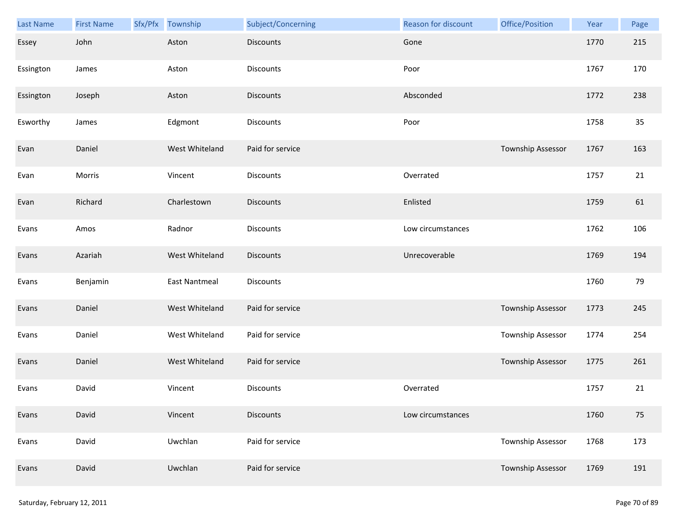| Last Name | <b>First Name</b> | Sfx/Pfx | Township             | Subject/Concerning | <b>Reason for discount</b> | Office/Position          | Year | Page |
|-----------|-------------------|---------|----------------------|--------------------|----------------------------|--------------------------|------|------|
| Essey     | John              |         | Aston                | <b>Discounts</b>   | Gone                       |                          | 1770 | 215  |
| Essington | James             |         | Aston                | <b>Discounts</b>   | Poor                       |                          | 1767 | 170  |
| Essington | Joseph            |         | Aston                | <b>Discounts</b>   | Absconded                  |                          | 1772 | 238  |
| Esworthy  | James             |         | Edgmont              | <b>Discounts</b>   | Poor                       |                          | 1758 | 35   |
| Evan      | Daniel            |         | West Whiteland       | Paid for service   |                            | Township Assessor        | 1767 | 163  |
| Evan      | Morris            |         | Vincent              | <b>Discounts</b>   | Overrated                  |                          | 1757 | 21   |
| Evan      | Richard           |         | Charlestown          | <b>Discounts</b>   | Enlisted                   |                          | 1759 | 61   |
| Evans     | Amos              |         | Radnor               | Discounts          | Low circumstances          |                          | 1762 | 106  |
| Evans     | Azariah           |         | West Whiteland       | <b>Discounts</b>   | Unrecoverable              |                          | 1769 | 194  |
| Evans     | Benjamin          |         | <b>East Nantmeal</b> | <b>Discounts</b>   |                            |                          | 1760 | 79   |
| Evans     | Daniel            |         | West Whiteland       | Paid for service   |                            | <b>Township Assessor</b> | 1773 | 245  |
| Evans     | Daniel            |         | West Whiteland       | Paid for service   |                            | Township Assessor        | 1774 | 254  |
| Evans     | Daniel            |         | West Whiteland       | Paid for service   |                            | Township Assessor        | 1775 | 261  |
| Evans     | David             |         | Vincent              | <b>Discounts</b>   | Overrated                  |                          | 1757 | 21   |
| Evans     | David             |         | Vincent              | <b>Discounts</b>   | Low circumstances          |                          | 1760 | 75   |
| Evans     | David             |         | Uwchlan              | Paid for service   |                            | Township Assessor        | 1768 | 173  |
| Evans     | David             |         | Uwchlan              | Paid for service   |                            | Township Assessor        | 1769 | 191  |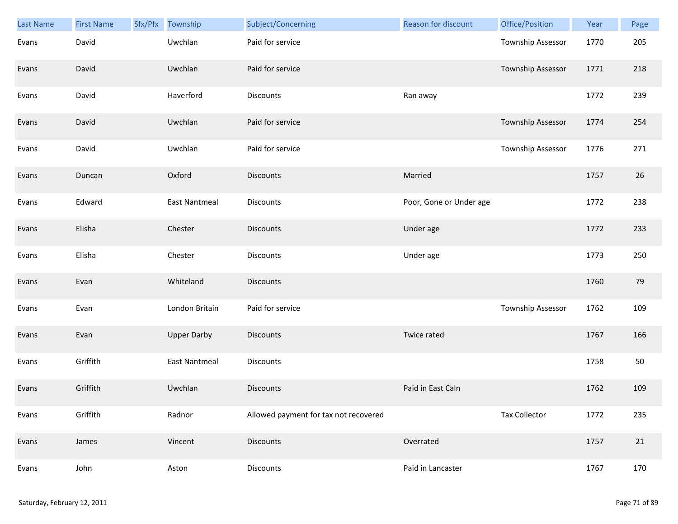| Last Name | <b>First Name</b> | Sfx/Pfx | Township             | Subject/Concerning                    | Reason for discount     | Office/Position          | Year | Page |
|-----------|-------------------|---------|----------------------|---------------------------------------|-------------------------|--------------------------|------|------|
| Evans     | David             |         | Uwchlan              | Paid for service                      |                         | <b>Township Assessor</b> | 1770 | 205  |
| Evans     | David             |         | Uwchlan              | Paid for service                      |                         | Township Assessor        | 1771 | 218  |
| Evans     | David             |         | Haverford            | Discounts                             | Ran away                |                          | 1772 | 239  |
| Evans     | David             |         | Uwchlan              | Paid for service                      |                         | Township Assessor        | 1774 | 254  |
| Evans     | David             |         | Uwchlan              | Paid for service                      |                         | Township Assessor        | 1776 | 271  |
| Evans     | Duncan            |         | Oxford               | <b>Discounts</b>                      | Married                 |                          | 1757 | 26   |
| Evans     | Edward            |         | <b>East Nantmeal</b> | Discounts                             | Poor, Gone or Under age |                          | 1772 | 238  |
| Evans     | Elisha            |         | Chester              | <b>Discounts</b>                      | Under age               |                          | 1772 | 233  |
| Evans     | Elisha            |         | Chester              | <b>Discounts</b>                      | Under age               |                          | 1773 | 250  |
| Evans     | Evan              |         | Whiteland            | <b>Discounts</b>                      |                         |                          | 1760 | 79   |
| Evans     | Evan              |         | London Britain       | Paid for service                      |                         | Township Assessor        | 1762 | 109  |
| Evans     | Evan              |         | <b>Upper Darby</b>   | <b>Discounts</b>                      | Twice rated             |                          | 1767 | 166  |
| Evans     | Griffith          |         | East Nantmeal        | Discounts                             |                         |                          | 1758 | 50   |
| Evans     | Griffith          |         | Uwchlan              | <b>Discounts</b>                      | Paid in East Caln       |                          | 1762 | 109  |
| Evans     | Griffith          |         | Radnor               | Allowed payment for tax not recovered |                         | <b>Tax Collector</b>     | 1772 | 235  |
| Evans     | James             |         | Vincent              | <b>Discounts</b>                      | Overrated               |                          | 1757 | 21   |
| Evans     | John              |         | Aston                | Discounts                             | Paid in Lancaster       |                          | 1767 | 170  |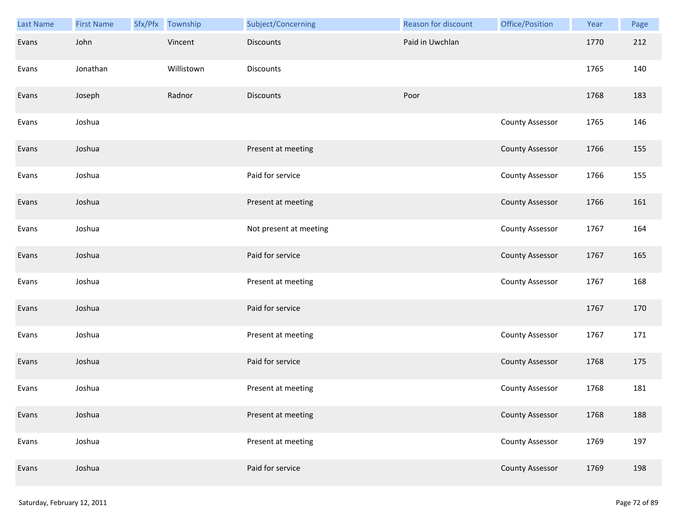| Last Name | <b>First Name</b> | Sfx/Pfx Township | Subject/Concerning     | Reason for discount | Office/Position        | Year | Page |
|-----------|-------------------|------------------|------------------------|---------------------|------------------------|------|------|
| Evans     | John              | Vincent          | <b>Discounts</b>       | Paid in Uwchlan     |                        | 1770 | 212  |
| Evans     | Jonathan          | Willistown       | Discounts              |                     |                        | 1765 | 140  |
| Evans     | Joseph            | Radnor           | <b>Discounts</b>       | Poor                |                        | 1768 | 183  |
| Evans     | Joshua            |                  |                        |                     | <b>County Assessor</b> | 1765 | 146  |
| Evans     | Joshua            |                  | Present at meeting     |                     | <b>County Assessor</b> | 1766 | 155  |
| Evans     | Joshua            |                  | Paid for service       |                     | <b>County Assessor</b> | 1766 | 155  |
| Evans     | Joshua            |                  | Present at meeting     |                     | <b>County Assessor</b> | 1766 | 161  |
| Evans     | Joshua            |                  | Not present at meeting |                     | County Assessor        | 1767 | 164  |
| Evans     | Joshua            |                  | Paid for service       |                     | <b>County Assessor</b> | 1767 | 165  |
| Evans     | Joshua            |                  | Present at meeting     |                     | <b>County Assessor</b> | 1767 | 168  |
| Evans     | Joshua            |                  | Paid for service       |                     |                        | 1767 | 170  |
| Evans     | Joshua            |                  | Present at meeting     |                     | <b>County Assessor</b> | 1767 | 171  |
| Evans     | Joshua            |                  | Paid for service       |                     | <b>County Assessor</b> | 1768 | 175  |
| Evans     | Joshua            |                  | Present at meeting     |                     | <b>County Assessor</b> | 1768 | 181  |
| Evans     | Joshua            |                  | Present at meeting     |                     | <b>County Assessor</b> | 1768 | 188  |
| Evans     | Joshua            |                  | Present at meeting     |                     | <b>County Assessor</b> | 1769 | 197  |
| Evans     | Joshua            |                  | Paid for service       |                     | <b>County Assessor</b> | 1769 | 198  |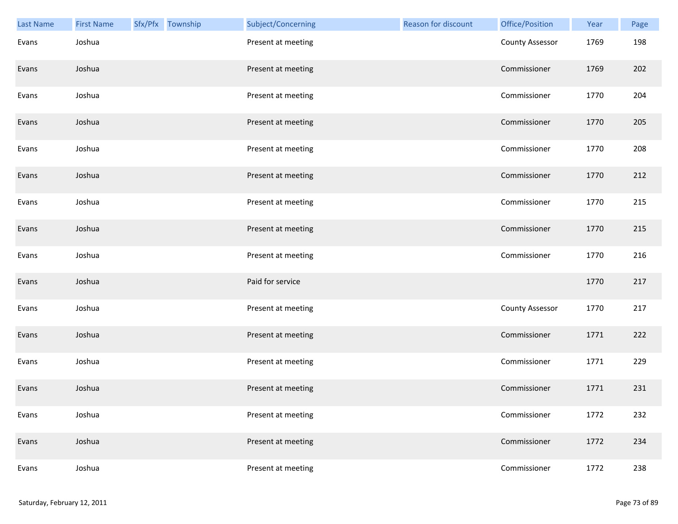| <b>Last Name</b> | <b>First Name</b> | Sfx/Pfx Township | Subject/Concerning | Reason for discount | Office/Position        | Year | Page |
|------------------|-------------------|------------------|--------------------|---------------------|------------------------|------|------|
| Evans            | Joshua            |                  | Present at meeting |                     | <b>County Assessor</b> | 1769 | 198  |
| Evans            | Joshua            |                  | Present at meeting |                     | Commissioner           | 1769 | 202  |
| Evans            | Joshua            |                  | Present at meeting |                     | Commissioner           | 1770 | 204  |
| Evans            | Joshua            |                  | Present at meeting |                     | Commissioner           | 1770 | 205  |
| Evans            | Joshua            |                  | Present at meeting |                     | Commissioner           | 1770 | 208  |
| Evans            | Joshua            |                  | Present at meeting |                     | Commissioner           | 1770 | 212  |
| Evans            | Joshua            |                  | Present at meeting |                     | Commissioner           | 1770 | 215  |
| Evans            | Joshua            |                  | Present at meeting |                     | Commissioner           | 1770 | 215  |
| Evans            | Joshua            |                  | Present at meeting |                     | Commissioner           | 1770 | 216  |
| Evans            | Joshua            |                  | Paid for service   |                     |                        | 1770 | 217  |
| Evans            | Joshua            |                  | Present at meeting |                     | <b>County Assessor</b> | 1770 | 217  |
| Evans            | Joshua            |                  | Present at meeting |                     | Commissioner           | 1771 | 222  |
| Evans            | Joshua            |                  | Present at meeting |                     | Commissioner           | 1771 | 229  |
| Evans            | Joshua            |                  | Present at meeting |                     | Commissioner           | 1771 | 231  |
| Evans            | Joshua            |                  | Present at meeting |                     | Commissioner           | 1772 | 232  |
| Evans            | Joshua            |                  | Present at meeting |                     | Commissioner           | 1772 | 234  |
| Evans            | Joshua            |                  | Present at meeting |                     | Commissioner           | 1772 | 238  |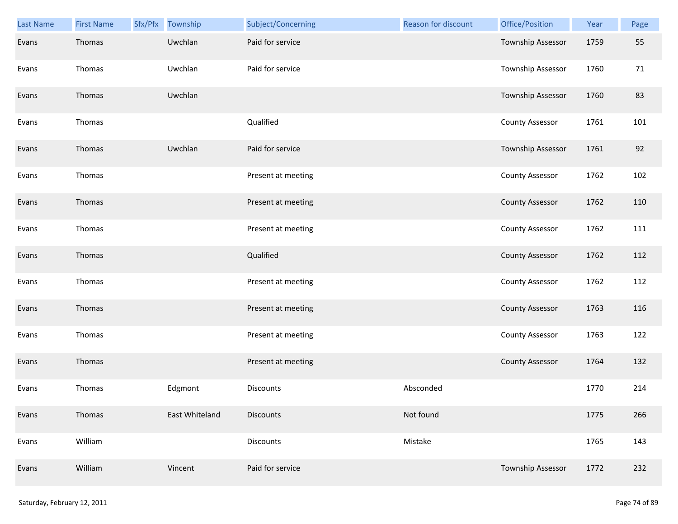| <b>Last Name</b> | <b>First Name</b> | Sfx/Pfx Township | Subject/Concerning | <b>Reason for discount</b> | Office/Position        | Year | Page |
|------------------|-------------------|------------------|--------------------|----------------------------|------------------------|------|------|
| Evans            | Thomas            | Uwchlan          | Paid for service   |                            | Township Assessor      | 1759 | 55   |
| Evans            | Thomas            | Uwchlan          | Paid for service   |                            | Township Assessor      | 1760 | 71   |
| Evans            | Thomas            | Uwchlan          |                    |                            | Township Assessor      | 1760 | 83   |
| Evans            | Thomas            |                  | Qualified          |                            | <b>County Assessor</b> | 1761 | 101  |
| Evans            | Thomas            | Uwchlan          | Paid for service   |                            | Township Assessor      | 1761 | 92   |
| Evans            | Thomas            |                  | Present at meeting |                            | <b>County Assessor</b> | 1762 | 102  |
| Evans            | Thomas            |                  | Present at meeting |                            | <b>County Assessor</b> | 1762 | 110  |
| Evans            | Thomas            |                  | Present at meeting |                            | <b>County Assessor</b> | 1762 | 111  |
| Evans            | Thomas            |                  | Qualified          |                            | <b>County Assessor</b> | 1762 | 112  |
| Evans            | Thomas            |                  | Present at meeting |                            | County Assessor        | 1762 | 112  |
| Evans            | Thomas            |                  | Present at meeting |                            | <b>County Assessor</b> | 1763 | 116  |
| Evans            | Thomas            |                  | Present at meeting |                            | <b>County Assessor</b> | 1763 | 122  |
| Evans            | Thomas            |                  | Present at meeting |                            | <b>County Assessor</b> | 1764 | 132  |
| Evans            | Thomas            | Edgmont          | Discounts          | Absconded                  |                        | 1770 | 214  |
| Evans            | Thomas            | East Whiteland   | <b>Discounts</b>   | Not found                  |                        | 1775 | 266  |
| Evans            | William           |                  | <b>Discounts</b>   | Mistake                    |                        | 1765 | 143  |
| Evans            | William           | Vincent          | Paid for service   |                            | Township Assessor      | 1772 | 232  |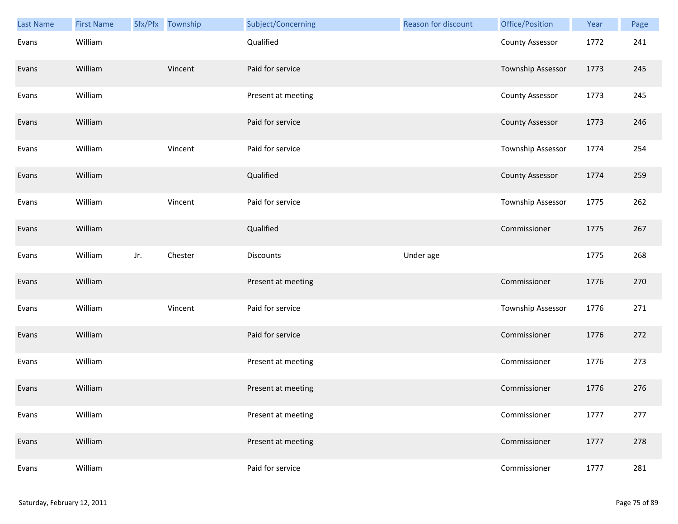| <b>Last Name</b> | <b>First Name</b> |     | Sfx/Pfx Township | Subject/Concerning | Reason for discount | Office/Position        | Year | Page |
|------------------|-------------------|-----|------------------|--------------------|---------------------|------------------------|------|------|
| Evans            | William           |     |                  | Qualified          |                     | <b>County Assessor</b> | 1772 | 241  |
| Evans            | William           |     | Vincent          | Paid for service   |                     | Township Assessor      | 1773 | 245  |
| Evans            | William           |     |                  | Present at meeting |                     | <b>County Assessor</b> | 1773 | 245  |
| Evans            | William           |     |                  | Paid for service   |                     | <b>County Assessor</b> | 1773 | 246  |
| Evans            | William           |     | Vincent          | Paid for service   |                     | Township Assessor      | 1774 | 254  |
| Evans            | William           |     |                  | Qualified          |                     | <b>County Assessor</b> | 1774 | 259  |
| Evans            | William           |     | Vincent          | Paid for service   |                     | Township Assessor      | 1775 | 262  |
| Evans            | William           |     |                  | Qualified          |                     | Commissioner           | 1775 | 267  |
| Evans            | William           | Jr. | Chester          | <b>Discounts</b>   | Under age           |                        | 1775 | 268  |
| Evans            | William           |     |                  | Present at meeting |                     | Commissioner           | 1776 | 270  |
| Evans            | William           |     | Vincent          | Paid for service   |                     | Township Assessor      | 1776 | 271  |
| Evans            | William           |     |                  | Paid for service   |                     | Commissioner           | 1776 | 272  |
| Evans            | William           |     |                  | Present at meeting |                     | Commissioner           | 1776 | 273  |
| Evans            | William           |     |                  | Present at meeting |                     | Commissioner           | 1776 | 276  |
| Evans            | William           |     |                  | Present at meeting |                     | Commissioner           | 1777 | 277  |
| Evans            | William           |     |                  | Present at meeting |                     | Commissioner           | 1777 | 278  |
| Evans            | William           |     |                  | Paid for service   |                     | Commissioner           | 1777 | 281  |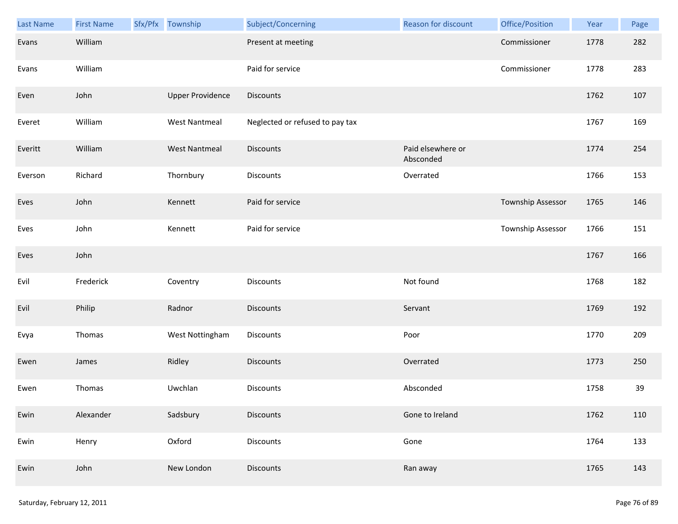| <b>Last Name</b> | <b>First Name</b> | Sfx/Pfx Township        | Subject/Concerning              | <b>Reason for discount</b>     | Office/Position          | Year | Page |
|------------------|-------------------|-------------------------|---------------------------------|--------------------------------|--------------------------|------|------|
| Evans            | William           |                         | Present at meeting              |                                | Commissioner             | 1778 | 282  |
| Evans            | William           |                         | Paid for service                |                                | Commissioner             | 1778 | 283  |
| Even             | John              | <b>Upper Providence</b> | Discounts                       |                                |                          | 1762 | 107  |
| Everet           | William           | <b>West Nantmeal</b>    | Neglected or refused to pay tax |                                |                          | 1767 | 169  |
| Everitt          | William           | <b>West Nantmeal</b>    | <b>Discounts</b>                | Paid elsewhere or<br>Absconded |                          | 1774 | 254  |
| Everson          | Richard           | Thornbury               | Discounts                       | Overrated                      |                          | 1766 | 153  |
| Eves             | John              | Kennett                 | Paid for service                |                                | <b>Township Assessor</b> | 1765 | 146  |
| Eves             | John              | Kennett                 | Paid for service                |                                | Township Assessor        | 1766 | 151  |
| Eves             | John              |                         |                                 |                                |                          | 1767 | 166  |
| Evil             | Frederick         | Coventry                | Discounts                       | Not found                      |                          | 1768 | 182  |
| Evil             | Philip            | Radnor                  | <b>Discounts</b>                | Servant                        |                          | 1769 | 192  |
| Evya             | Thomas            | West Nottingham         | Discounts                       | Poor                           |                          | 1770 | 209  |
| Ewen             | James             | Ridley                  | Discounts                       | Overrated                      |                          | 1773 | 250  |
| Ewen             | Thomas            | Uwchlan                 | Discounts                       | Absconded                      |                          | 1758 | 39   |
| Ewin             | Alexander         | Sadsbury                | <b>Discounts</b>                | Gone to Ireland                |                          | 1762 | 110  |
| Ewin             | Henry             | Oxford                  | <b>Discounts</b>                | Gone                           |                          | 1764 | 133  |
| Ewin             | John              | New London              | <b>Discounts</b>                | Ran away                       |                          | 1765 | 143  |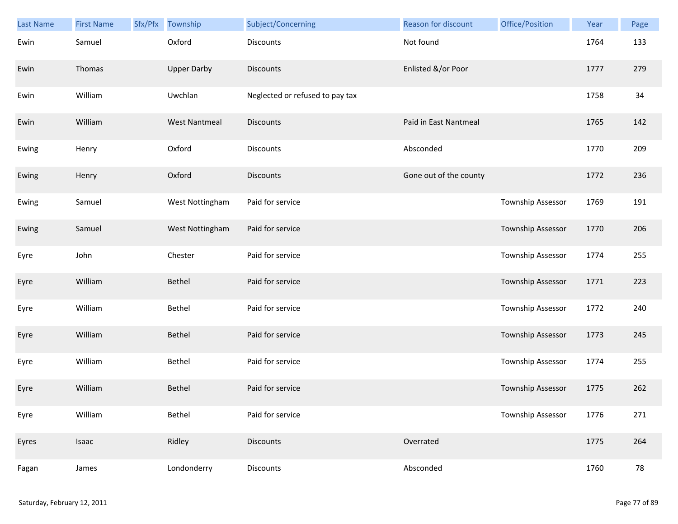| <b>Last Name</b> | <b>First Name</b> | Sfx/Pfx | Township             | Subject/Concerning              | <b>Reason for discount</b> | Office/Position   | Year | Page |
|------------------|-------------------|---------|----------------------|---------------------------------|----------------------------|-------------------|------|------|
| Ewin             | Samuel            |         | Oxford               | <b>Discounts</b>                | Not found                  |                   | 1764 | 133  |
| Ewin             | Thomas            |         | <b>Upper Darby</b>   | <b>Discounts</b>                | Enlisted &/or Poor         |                   | 1777 | 279  |
| Ewin             | William           |         | Uwchlan              | Neglected or refused to pay tax |                            |                   | 1758 | 34   |
| Ewin             | William           |         | <b>West Nantmeal</b> | <b>Discounts</b>                | Paid in East Nantmeal      |                   | 1765 | 142  |
| Ewing            | Henry             |         | Oxford               | <b>Discounts</b>                | Absconded                  |                   | 1770 | 209  |
| Ewing            | Henry             |         | Oxford               | <b>Discounts</b>                | Gone out of the county     |                   | 1772 | 236  |
| Ewing            | Samuel            |         | West Nottingham      | Paid for service                |                            | Township Assessor | 1769 | 191  |
| Ewing            | Samuel            |         | West Nottingham      | Paid for service                |                            | Township Assessor | 1770 | 206  |
| Eyre             | John              |         | Chester              | Paid for service                |                            | Township Assessor | 1774 | 255  |
| Eyre             | William           |         | Bethel               | Paid for service                |                            | Township Assessor | 1771 | 223  |
| Eyre             | William           |         | Bethel               | Paid for service                |                            | Township Assessor | 1772 | 240  |
| Eyre             | William           |         | Bethel               | Paid for service                |                            | Township Assessor | 1773 | 245  |
| Eyre             | William           |         | Bethel               | Paid for service                |                            | Township Assessor | 1774 | 255  |
| Eyre             | William           |         | <b>Bethel</b>        | Paid for service                |                            | Township Assessor | 1775 | 262  |
| Eyre             | William           |         | Bethel               | Paid for service                |                            | Township Assessor | 1776 | 271  |
| Eyres            | Isaac             |         | Ridley               | <b>Discounts</b>                | Overrated                  |                   | 1775 | 264  |
| Fagan            | James             |         | Londonderry          | <b>Discounts</b>                | Absconded                  |                   | 1760 | 78   |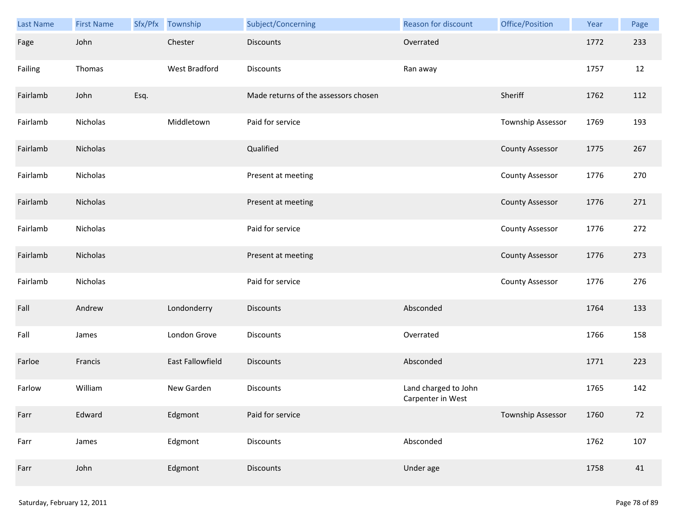| Last Name | <b>First Name</b> |      | Sfx/Pfx Township | Subject/Concerning                   | Reason for discount                       | Office/Position        | Year | Page |
|-----------|-------------------|------|------------------|--------------------------------------|-------------------------------------------|------------------------|------|------|
| Fage      | John              |      | Chester          | <b>Discounts</b>                     | Overrated                                 |                        | 1772 | 233  |
| Failing   | Thomas            |      | West Bradford    | Discounts                            | Ran away                                  |                        | 1757 | 12   |
| Fairlamb  | John              | Esq. |                  | Made returns of the assessors chosen |                                           | Sheriff                | 1762 | 112  |
| Fairlamb  | Nicholas          |      | Middletown       | Paid for service                     |                                           | Township Assessor      | 1769 | 193  |
| Fairlamb  | Nicholas          |      |                  | Qualified                            |                                           | <b>County Assessor</b> | 1775 | 267  |
| Fairlamb  | Nicholas          |      |                  | Present at meeting                   |                                           | <b>County Assessor</b> | 1776 | 270  |
| Fairlamb  | Nicholas          |      |                  | Present at meeting                   |                                           | <b>County Assessor</b> | 1776 | 271  |
| Fairlamb  | Nicholas          |      |                  | Paid for service                     |                                           | <b>County Assessor</b> | 1776 | 272  |
| Fairlamb  | Nicholas          |      |                  | Present at meeting                   |                                           | <b>County Assessor</b> | 1776 | 273  |
| Fairlamb  | Nicholas          |      |                  | Paid for service                     |                                           | <b>County Assessor</b> | 1776 | 276  |
| Fall      | Andrew            |      | Londonderry      | <b>Discounts</b>                     | Absconded                                 |                        | 1764 | 133  |
| Fall      | James             |      | London Grove     | Discounts                            | Overrated                                 |                        | 1766 | 158  |
| Farloe    | Francis           |      | East Fallowfield | <b>Discounts</b>                     | Absconded                                 |                        | 1771 | 223  |
| Farlow    | William           |      | New Garden       | Discounts                            | Land charged to John<br>Carpenter in West |                        | 1765 | 142  |
| Farr      | Edward            |      | Edgmont          | Paid for service                     |                                           | Township Assessor      | 1760 | 72   |
| Farr      | James             |      | Edgmont          | <b>Discounts</b>                     | Absconded                                 |                        | 1762 | 107  |
| Farr      | John              |      | Edgmont          | Discounts                            | Under age                                 |                        | 1758 | 41   |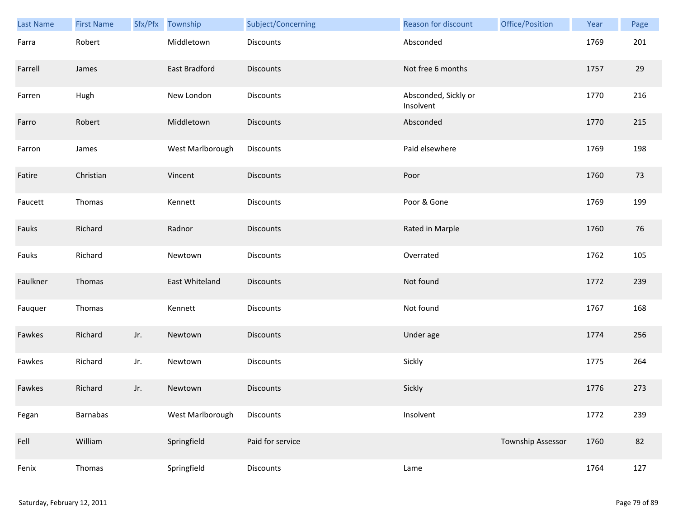| Last Name | <b>First Name</b> |     | Sfx/Pfx Township | Subject/Concerning | Reason for discount               | Office/Position          | Year | Page |
|-----------|-------------------|-----|------------------|--------------------|-----------------------------------|--------------------------|------|------|
| Farra     | Robert            |     | Middletown       | Discounts          | Absconded                         |                          | 1769 | 201  |
| Farrell   | James             |     | East Bradford    | <b>Discounts</b>   | Not free 6 months                 |                          | 1757 | 29   |
| Farren    | Hugh              |     | New London       | Discounts          | Absconded, Sickly or<br>Insolvent |                          | 1770 | 216  |
| Farro     | Robert            |     | Middletown       | <b>Discounts</b>   | Absconded                         |                          | 1770 | 215  |
| Farron    | James             |     | West Marlborough | Discounts          | Paid elsewhere                    |                          | 1769 | 198  |
| Fatire    | Christian         |     | Vincent          | Discounts          | Poor                              |                          | 1760 | 73   |
| Faucett   | Thomas            |     | Kennett          | Discounts          | Poor & Gone                       |                          | 1769 | 199  |
| Fauks     | Richard           |     | Radnor           | Discounts          | Rated in Marple                   |                          | 1760 | 76   |
| Fauks     | Richard           |     | Newtown          | <b>Discounts</b>   | Overrated                         |                          | 1762 | 105  |
| Faulkner  | Thomas            |     | East Whiteland   | <b>Discounts</b>   | Not found                         |                          | 1772 | 239  |
| Fauquer   | Thomas            |     | Kennett          | Discounts          | Not found                         |                          | 1767 | 168  |
| Fawkes    | Richard           | Jr. | Newtown          | <b>Discounts</b>   | Under age                         |                          | 1774 | 256  |
| Fawkes    | Richard           | Jr. | Newtown          | Discounts          | Sickly                            |                          | 1775 | 264  |
| Fawkes    | Richard           | Jr. | Newtown          | <b>Discounts</b>   | Sickly                            |                          | 1776 | 273  |
| Fegan     | Barnabas          |     | West Marlborough | Discounts          | Insolvent                         |                          | 1772 | 239  |
| Fell      | William           |     | Springfield      | Paid for service   |                                   | <b>Township Assessor</b> | 1760 | 82   |
| Fenix     | Thomas            |     | Springfield      | Discounts          | Lame                              |                          | 1764 | 127  |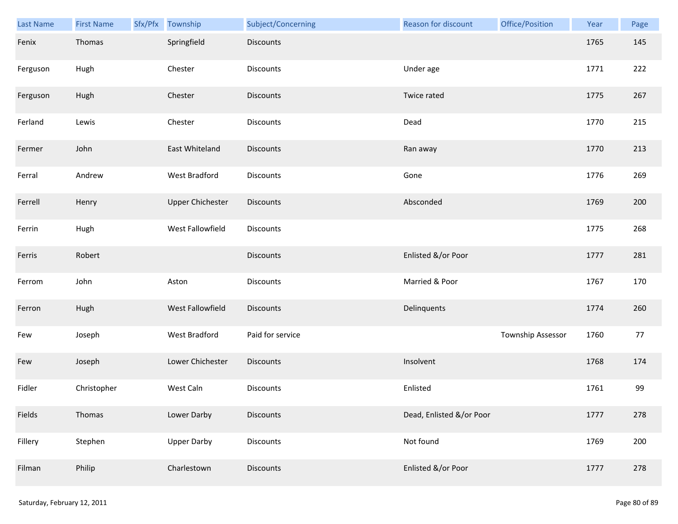| Last Name | <b>First Name</b> | Sfx/Pfx Township        | Subject/Concerning | Reason for discount      | Office/Position   | Year | Page |
|-----------|-------------------|-------------------------|--------------------|--------------------------|-------------------|------|------|
| Fenix     | Thomas            | Springfield             | <b>Discounts</b>   |                          |                   | 1765 | 145  |
| Ferguson  | Hugh              | Chester                 | <b>Discounts</b>   | Under age                |                   | 1771 | 222  |
| Ferguson  | Hugh              | Chester                 | <b>Discounts</b>   | Twice rated              |                   | 1775 | 267  |
| Ferland   | Lewis             | Chester                 | <b>Discounts</b>   | Dead                     |                   | 1770 | 215  |
| Fermer    | John              | East Whiteland          | <b>Discounts</b>   | Ran away                 |                   | 1770 | 213  |
| Ferral    | Andrew            | West Bradford           | <b>Discounts</b>   | Gone                     |                   | 1776 | 269  |
| Ferrell   | Henry             | <b>Upper Chichester</b> | Discounts          | Absconded                |                   | 1769 | 200  |
| Ferrin    | Hugh              | West Fallowfield        | Discounts          |                          |                   | 1775 | 268  |
| Ferris    | Robert            |                         | <b>Discounts</b>   | Enlisted &/or Poor       |                   | 1777 | 281  |
| Ferrom    | John              | Aston                   | <b>Discounts</b>   | Married & Poor           |                   | 1767 | 170  |
| Ferron    | Hugh              | West Fallowfield        | Discounts          | Delinquents              |                   | 1774 | 260  |
| Few       | Joseph            | West Bradford           | Paid for service   |                          | Township Assessor | 1760 | 77   |
| Few       | Joseph            | Lower Chichester        | <b>Discounts</b>   | Insolvent                |                   | 1768 | 174  |
| Fidler    | Christopher       | West Caln               | <b>Discounts</b>   | Enlisted                 |                   | 1761 | 99   |
| Fields    | Thomas            | Lower Darby             | <b>Discounts</b>   | Dead, Enlisted &/or Poor |                   | 1777 | 278  |
| Fillery   | Stephen           | <b>Upper Darby</b>      | <b>Discounts</b>   | Not found                |                   | 1769 | 200  |
| Filman    | Philip            | Charlestown             | <b>Discounts</b>   | Enlisted &/or Poor       |                   | 1777 | 278  |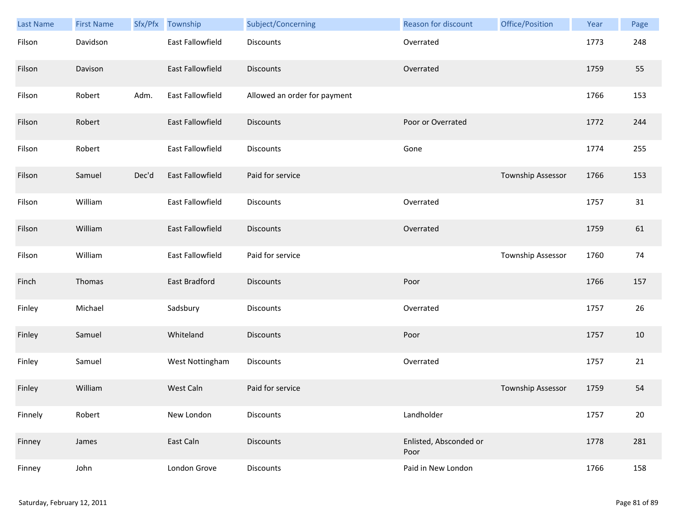| <b>Last Name</b> | <b>First Name</b> | Sfx/Pfx | Township                | Subject/Concerning           | <b>Reason for discount</b>     | Office/Position   | Year | Page |
|------------------|-------------------|---------|-------------------------|------------------------------|--------------------------------|-------------------|------|------|
| Filson           | Davidson          |         | East Fallowfield        | <b>Discounts</b>             | Overrated                      |                   | 1773 | 248  |
| Filson           | Davison           |         | <b>East Fallowfield</b> | <b>Discounts</b>             | Overrated                      |                   | 1759 | 55   |
| Filson           | Robert            | Adm.    | East Fallowfield        | Allowed an order for payment |                                |                   | 1766 | 153  |
| Filson           | Robert            |         | East Fallowfield        | <b>Discounts</b>             | Poor or Overrated              |                   | 1772 | 244  |
| Filson           | Robert            |         | <b>East Fallowfield</b> | <b>Discounts</b>             | Gone                           |                   | 1774 | 255  |
| Filson           | Samuel            | Dec'd   | East Fallowfield        | Paid for service             |                                | Township Assessor | 1766 | 153  |
| Filson           | William           |         | East Fallowfield        | <b>Discounts</b>             | Overrated                      |                   | 1757 | 31   |
| Filson           | William           |         | <b>East Fallowfield</b> | <b>Discounts</b>             | Overrated                      |                   | 1759 | 61   |
| Filson           | William           |         | East Fallowfield        | Paid for service             |                                | Township Assessor | 1760 | 74   |
| Finch            | Thomas            |         | East Bradford           | <b>Discounts</b>             | Poor                           |                   | 1766 | 157  |
| Finley           | Michael           |         | Sadsbury                | <b>Discounts</b>             | Overrated                      |                   | 1757 | 26   |
| Finley           | Samuel            |         | Whiteland               | <b>Discounts</b>             | Poor                           |                   | 1757 | 10   |
| Finley           | Samuel            |         | West Nottingham         | Discounts                    | Overrated                      |                   | 1757 | 21   |
| Finley           | William           |         | <b>West Caln</b>        | Paid for service             |                                | Township Assessor | 1759 | 54   |
| Finnely          | Robert            |         | New London              | <b>Discounts</b>             | Landholder                     |                   | 1757 | 20   |
| Finney           | James             |         | East Caln               | <b>Discounts</b>             | Enlisted, Absconded or<br>Poor |                   | 1778 | 281  |
| Finney           | John              |         | London Grove            | Discounts                    | Paid in New London             |                   | 1766 | 158  |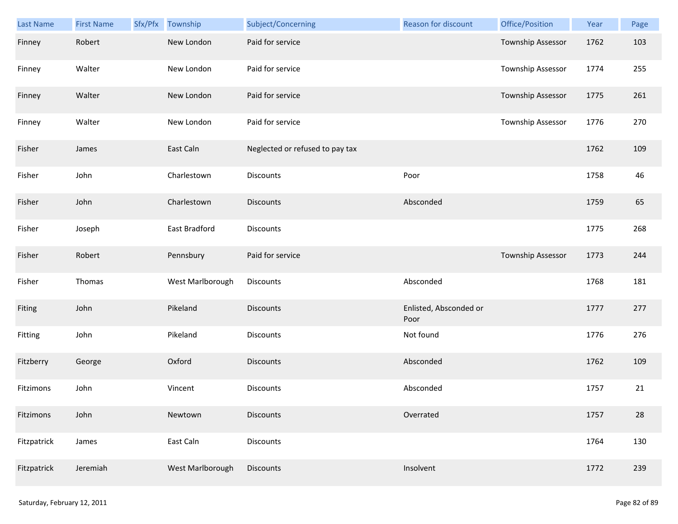| Last Name   | <b>First Name</b> | Sfx/Pfx | Township         | Subject/Concerning              | Reason for discount            | Office/Position   | Year | Page |
|-------------|-------------------|---------|------------------|---------------------------------|--------------------------------|-------------------|------|------|
| Finney      | Robert            |         | New London       | Paid for service                |                                | Township Assessor | 1762 | 103  |
| Finney      | Walter            |         | New London       | Paid for service                |                                | Township Assessor | 1774 | 255  |
| Finney      | Walter            |         | New London       | Paid for service                |                                | Township Assessor | 1775 | 261  |
| Finney      | Walter            |         | New London       | Paid for service                |                                | Township Assessor | 1776 | 270  |
| Fisher      | James             |         | East Caln        | Neglected or refused to pay tax |                                |                   | 1762 | 109  |
| Fisher      | John              |         | Charlestown      | Discounts                       | Poor                           |                   | 1758 | 46   |
| Fisher      | John              |         | Charlestown      | <b>Discounts</b>                | Absconded                      |                   | 1759 | 65   |
| Fisher      | Joseph            |         | East Bradford    | Discounts                       |                                |                   | 1775 | 268  |
| Fisher      | Robert            |         | Pennsbury        | Paid for service                |                                | Township Assessor | 1773 | 244  |
| Fisher      | Thomas            |         | West Marlborough | Discounts                       | Absconded                      |                   | 1768 | 181  |
| Fiting      | John              |         | Pikeland         | <b>Discounts</b>                | Enlisted, Absconded or<br>Poor |                   | 1777 | 277  |
| Fitting     | John              |         | Pikeland         | Discounts                       | Not found                      |                   | 1776 | 276  |
| Fitzberry   | George            |         | Oxford           | Discounts                       | Absconded                      |                   | 1762 | 109  |
| Fitzimons   | John              |         | Vincent          | <b>Discounts</b>                | Absconded                      |                   | 1757 | 21   |
| Fitzimons   | John              |         | Newtown          | <b>Discounts</b>                | Overrated                      |                   | 1757 | 28   |
| Fitzpatrick | James             |         | East Caln        | Discounts                       |                                |                   | 1764 | 130  |
| Fitzpatrick | Jeremiah          |         | West Marlborough | Discounts                       | Insolvent                      |                   | 1772 | 239  |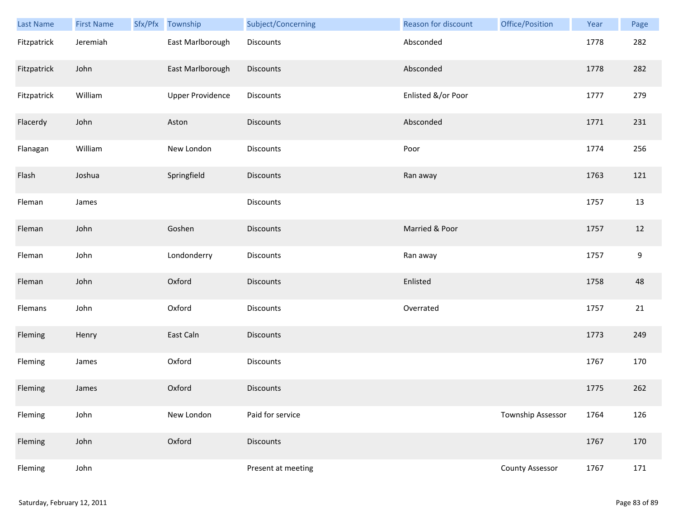| Last Name   | <b>First Name</b> | Sfx/Pfx Township        | Subject/Concerning | Reason for discount | Office/Position        | Year | Page |
|-------------|-------------------|-------------------------|--------------------|---------------------|------------------------|------|------|
| Fitzpatrick | Jeremiah          | East Marlborough        | Discounts          | Absconded           |                        | 1778 | 282  |
| Fitzpatrick | John              | East Marlborough        | Discounts          | Absconded           |                        | 1778 | 282  |
| Fitzpatrick | William           | <b>Upper Providence</b> | Discounts          | Enlisted &/or Poor  |                        | 1777 | 279  |
| Flacerdy    | John              | Aston                   | <b>Discounts</b>   | Absconded           |                        | 1771 | 231  |
| Flanagan    | William           | New London              | Discounts          | Poor                |                        | 1774 | 256  |
| Flash       | Joshua            | Springfield             | Discounts          | Ran away            |                        | 1763 | 121  |
| Fleman      | James             |                         | Discounts          |                     |                        | 1757 | 13   |
| Fleman      | John              | Goshen                  | Discounts          | Married & Poor      |                        | 1757 | 12   |
| Fleman      | John              | Londonderry             | <b>Discounts</b>   | Ran away            |                        | 1757 | 9    |
| Fleman      | John              | Oxford                  | Discounts          | Enlisted            |                        | 1758 | 48   |
| Flemans     | John              | Oxford                  | Discounts          | Overrated           |                        | 1757 | 21   |
| Fleming     | Henry             | East Caln               | Discounts          |                     |                        | 1773 | 249  |
| Fleming     | James             | Oxford                  | Discounts          |                     |                        | 1767 | 170  |
| Fleming     | James             | Oxford                  | <b>Discounts</b>   |                     |                        | 1775 | 262  |
| Fleming     | John              | New London              | Paid for service   |                     | Township Assessor      | 1764 | 126  |
| Fleming     | John              | Oxford                  | <b>Discounts</b>   |                     |                        | 1767 | 170  |
| Fleming     | John              |                         | Present at meeting |                     | <b>County Assessor</b> | 1767 | 171  |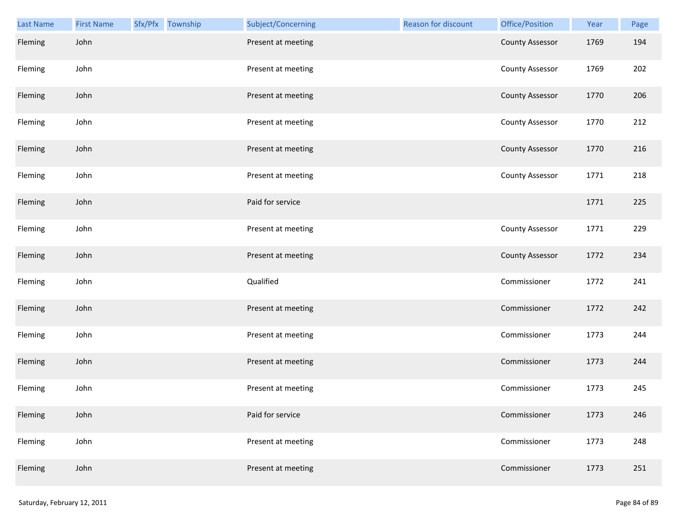| Last Name | <b>First Name</b> | Sfx/Pfx Township | Subject/Concerning | Reason for discount | Office/Position        | Year | Page |
|-----------|-------------------|------------------|--------------------|---------------------|------------------------|------|------|
| Fleming   | John              |                  | Present at meeting |                     | <b>County Assessor</b> | 1769 | 194  |
| Fleming   | John              |                  | Present at meeting |                     | <b>County Assessor</b> | 1769 | 202  |
| Fleming   | John              |                  | Present at meeting |                     | <b>County Assessor</b> | 1770 | 206  |
| Fleming   | John              |                  | Present at meeting |                     | <b>County Assessor</b> | 1770 | 212  |
| Fleming   | John              |                  | Present at meeting |                     | <b>County Assessor</b> | 1770 | 216  |
| Fleming   | John              |                  | Present at meeting |                     | <b>County Assessor</b> | 1771 | 218  |
| Fleming   | John              |                  | Paid for service   |                     |                        | 1771 | 225  |
| Fleming   | John              |                  | Present at meeting |                     | <b>County Assessor</b> | 1771 | 229  |
| Fleming   | John              |                  | Present at meeting |                     | <b>County Assessor</b> | 1772 | 234  |
| Fleming   | John              |                  | Qualified          |                     | Commissioner           | 1772 | 241  |
| Fleming   | John              |                  | Present at meeting |                     | Commissioner           | 1772 | 242  |
| Fleming   | John              |                  | Present at meeting |                     | Commissioner           | 1773 | 244  |
| Fleming   | John              |                  | Present at meeting |                     | Commissioner           | 1773 | 244  |
| Fleming   | John              |                  | Present at meeting |                     | Commissioner           | 1773 | 245  |
| Fleming   | John              |                  | Paid for service   |                     | Commissioner           | 1773 | 246  |
| Fleming   | John              |                  | Present at meeting |                     | Commissioner           | 1773 | 248  |
| Fleming   | John              |                  | Present at meeting |                     | Commissioner           | 1773 | 251  |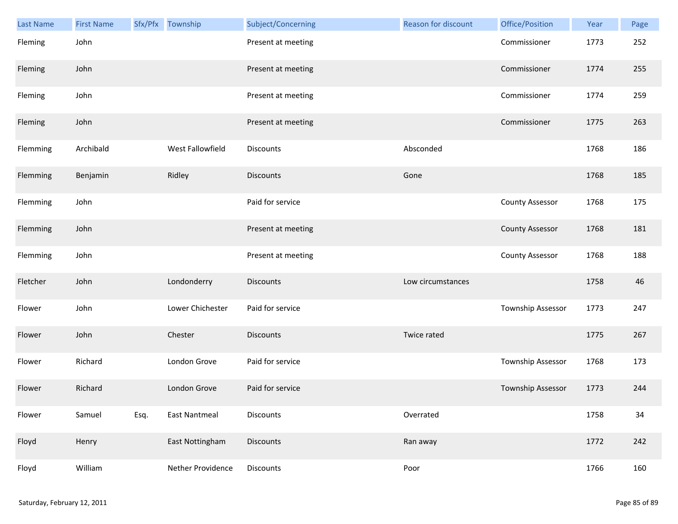| <b>Last Name</b> | <b>First Name</b> |      | Sfx/Pfx Township     | Subject/Concerning | Reason for discount | Office/Position        | Year | Page |
|------------------|-------------------|------|----------------------|--------------------|---------------------|------------------------|------|------|
| Fleming          | John              |      |                      | Present at meeting |                     | Commissioner           | 1773 | 252  |
| Fleming          | John              |      |                      | Present at meeting |                     | Commissioner           | 1774 | 255  |
| Fleming          | John              |      |                      | Present at meeting |                     | Commissioner           | 1774 | 259  |
| Fleming          | John              |      |                      | Present at meeting |                     | Commissioner           | 1775 | 263  |
| Flemming         | Archibald         |      | West Fallowfield     | <b>Discounts</b>   | Absconded           |                        | 1768 | 186  |
| Flemming         | Benjamin          |      | Ridley               | Discounts          | Gone                |                        | 1768 | 185  |
| Flemming         | John              |      |                      | Paid for service   |                     | <b>County Assessor</b> | 1768 | 175  |
| Flemming         | John              |      |                      | Present at meeting |                     | <b>County Assessor</b> | 1768 | 181  |
| Flemming         | John              |      |                      | Present at meeting |                     | <b>County Assessor</b> | 1768 | 188  |
| Fletcher         | John              |      | Londonderry          | <b>Discounts</b>   | Low circumstances   |                        | 1758 | 46   |
| Flower           | John              |      | Lower Chichester     | Paid for service   |                     | Township Assessor      | 1773 | 247  |
| Flower           | John              |      | Chester              | <b>Discounts</b>   | Twice rated         |                        | 1775 | 267  |
| Flower           | Richard           |      | London Grove         | Paid for service   |                     | Township Assessor      | 1768 | 173  |
| Flower           | Richard           |      | London Grove         | Paid for service   |                     | Township Assessor      | 1773 | 244  |
| Flower           | Samuel            | Esq. | <b>East Nantmeal</b> | Discounts          | Overrated           |                        | 1758 | 34   |
| Floyd            | Henry             |      | East Nottingham      | <b>Discounts</b>   | Ran away            |                        | 1772 | 242  |
| Floyd            | William           |      | Nether Providence    | Discounts          | Poor                |                        | 1766 | 160  |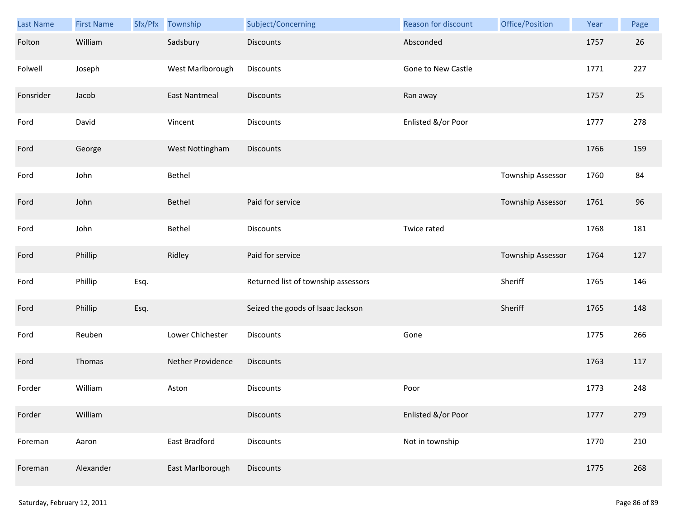| Last Name | <b>First Name</b> | Sfx/Pfx | Township          | Subject/Concerning                  | Reason for discount | Office/Position   | Year | Page |
|-----------|-------------------|---------|-------------------|-------------------------------------|---------------------|-------------------|------|------|
| Folton    | William           |         | Sadsbury          | <b>Discounts</b>                    | Absconded           |                   | 1757 | 26   |
| Folwell   | Joseph            |         | West Marlborough  | <b>Discounts</b>                    | Gone to New Castle  |                   | 1771 | 227  |
| Fonsrider | Jacob             |         | East Nantmeal     | <b>Discounts</b>                    | Ran away            |                   | 1757 | 25   |
| Ford      | David             |         | Vincent           | Discounts                           | Enlisted &/or Poor  |                   | 1777 | 278  |
| Ford      | George            |         | West Nottingham   | <b>Discounts</b>                    |                     |                   | 1766 | 159  |
| Ford      | John              |         | Bethel            |                                     |                     | Township Assessor | 1760 | 84   |
| Ford      | John              |         | Bethel            | Paid for service                    |                     | Township Assessor | 1761 | 96   |
| Ford      | John              |         | Bethel            | Discounts                           | Twice rated         |                   | 1768 | 181  |
| Ford      | Phillip           |         | Ridley            | Paid for service                    |                     | Township Assessor | 1764 | 127  |
| Ford      | Phillip           | Esq.    |                   | Returned list of township assessors |                     | Sheriff           | 1765 | 146  |
| Ford      | Phillip           | Esq.    |                   | Seized the goods of Isaac Jackson   |                     | Sheriff           | 1765 | 148  |
| Ford      | Reuben            |         | Lower Chichester  | Discounts                           | Gone                |                   | 1775 | 266  |
| Ford      | Thomas            |         | Nether Providence | <b>Discounts</b>                    |                     |                   | 1763 | 117  |
| Forder    | William           |         | Aston             | Discounts                           | Poor                |                   | 1773 | 248  |
| Forder    | William           |         |                   | <b>Discounts</b>                    | Enlisted &/or Poor  |                   | 1777 | 279  |
| Foreman   | Aaron             |         | East Bradford     | <b>Discounts</b>                    | Not in township     |                   | 1770 | 210  |
| Foreman   | Alexander         |         | East Marlborough  | Discounts                           |                     |                   | 1775 | 268  |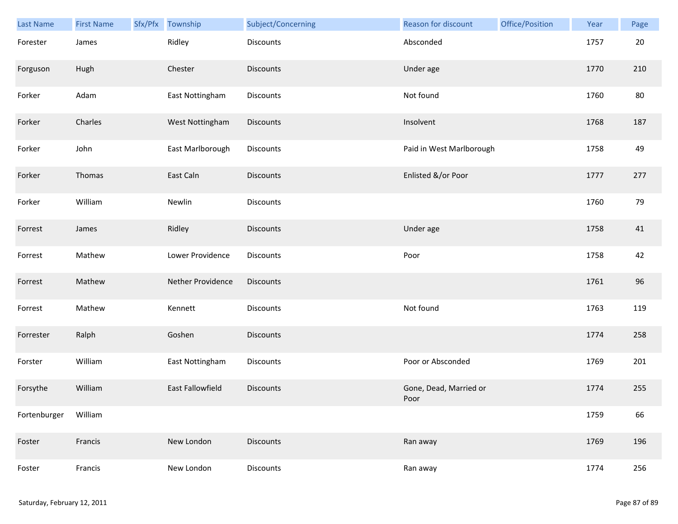| Last Name    | <b>First Name</b> | Sfx/Pfx | Township          | Subject/Concerning | Reason for discount            | Office/Position | Year | Page |
|--------------|-------------------|---------|-------------------|--------------------|--------------------------------|-----------------|------|------|
| Forester     | James             |         | Ridley            | <b>Discounts</b>   | Absconded                      |                 | 1757 | 20   |
| Forguson     | Hugh              |         | Chester           | <b>Discounts</b>   | Under age                      |                 | 1770 | 210  |
| Forker       | Adam              |         | East Nottingham   | Discounts          | Not found                      |                 | 1760 | 80   |
| Forker       | Charles           |         | West Nottingham   | Discounts          | Insolvent                      |                 | 1768 | 187  |
| Forker       | John              |         | East Marlborough  | <b>Discounts</b>   | Paid in West Marlborough       |                 | 1758 | 49   |
| Forker       | Thomas            |         | East Caln         | <b>Discounts</b>   | Enlisted &/or Poor             |                 | 1777 | 277  |
| Forker       | William           |         | Newlin            | Discounts          |                                |                 | 1760 | 79   |
| Forrest      | James             |         | Ridley            | Discounts          | Under age                      |                 | 1758 | 41   |
| Forrest      | Mathew            |         | Lower Providence  | <b>Discounts</b>   | Poor                           |                 | 1758 | 42   |
| Forrest      | Mathew            |         | Nether Providence | Discounts          |                                |                 | 1761 | 96   |
| Forrest      | Mathew            |         | Kennett           | Discounts          | Not found                      |                 | 1763 | 119  |
| Forrester    | Ralph             |         | Goshen            | <b>Discounts</b>   |                                |                 | 1774 | 258  |
| Forster      | William           |         | East Nottingham   | Discounts          | Poor or Absconded              |                 | 1769 | 201  |
| Forsythe     | William           |         | East Fallowfield  | <b>Discounts</b>   | Gone, Dead, Married or<br>Poor |                 | 1774 | 255  |
| Fortenburger | William           |         |                   |                    |                                |                 | 1759 | 66   |
| Foster       | Francis           |         | New London        | <b>Discounts</b>   | Ran away                       |                 | 1769 | 196  |
| Foster       | Francis           |         | New London        | Discounts          | Ran away                       |                 | 1774 | 256  |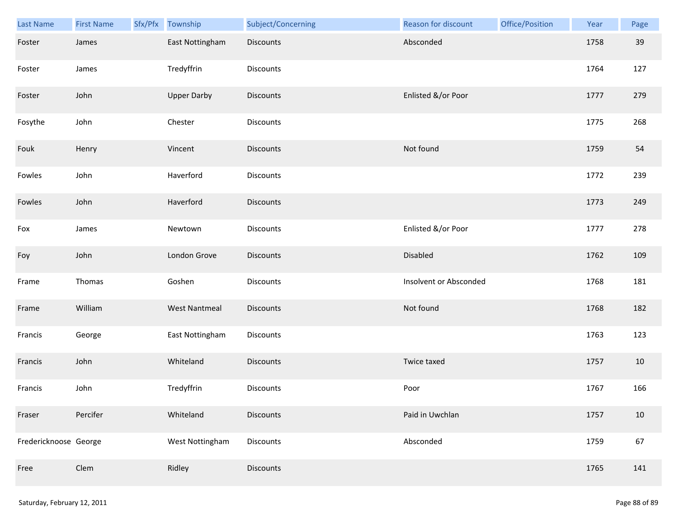| Last Name             | <b>First Name</b> | Sfx/Pfx | Township             | Subject/Concerning | Reason for discount    | Office/Position | Year | Page |
|-----------------------|-------------------|---------|----------------------|--------------------|------------------------|-----------------|------|------|
| Foster                | James             |         | East Nottingham      | <b>Discounts</b>   | Absconded              |                 | 1758 | 39   |
| Foster                | James             |         | Tredyffrin           | Discounts          |                        |                 | 1764 | 127  |
| Foster                | John              |         | <b>Upper Darby</b>   | Discounts          | Enlisted &/or Poor     |                 | 1777 | 279  |
| Fosythe               | John              |         | Chester              | Discounts          |                        |                 | 1775 | 268  |
| Fouk                  | Henry             |         | Vincent              | <b>Discounts</b>   | Not found              |                 | 1759 | 54   |
| Fowles                | John              |         | Haverford            | Discounts          |                        |                 | 1772 | 239  |
| Fowles                | John              |         | Haverford            | <b>Discounts</b>   |                        |                 | 1773 | 249  |
| Fox                   | James             |         | Newtown              | Discounts          | Enlisted &/or Poor     |                 | 1777 | 278  |
| Foy                   | John              |         | London Grove         | <b>Discounts</b>   | Disabled               |                 | 1762 | 109  |
| Frame                 | Thomas            |         | Goshen               | Discounts          | Insolvent or Absconded |                 | 1768 | 181  |
| Frame                 | William           |         | <b>West Nantmeal</b> | Discounts          | Not found              |                 | 1768 | 182  |
| Francis               | George            |         | East Nottingham      | Discounts          |                        |                 | 1763 | 123  |
| Francis               | John              |         | Whiteland            | Discounts          | Twice taxed            |                 | 1757 | 10   |
| Francis               | John              |         | Tredyffrin           | Discounts          | Poor                   |                 | 1767 | 166  |
| Fraser                | Percifer          |         | Whiteland            | <b>Discounts</b>   | Paid in Uwchlan        |                 | 1757 | 10   |
| Fredericknoose George |                   |         | West Nottingham      | Discounts          | Absconded              |                 | 1759 | 67   |
| Free                  | Clem              |         | Ridley               | Discounts          |                        |                 | 1765 | 141  |